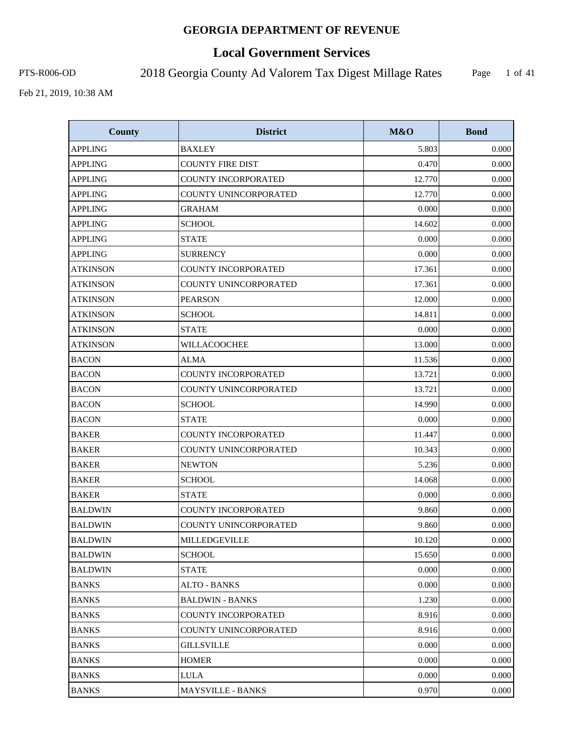# **Local Government Services**

PTS-R006-OD 2018 Georgia County Ad Valorem Tax Digest Millage Rates

Page 1 of 41

| <b>County</b>   | <b>District</b>            | M&O    | <b>Bond</b> |
|-----------------|----------------------------|--------|-------------|
| <b>APPLING</b>  | <b>BAXLEY</b>              | 5.803  | 0.000       |
| <b>APPLING</b>  | <b>COUNTY FIRE DIST</b>    | 0.470  | 0.000       |
| <b>APPLING</b>  | COUNTY INCORPORATED        | 12.770 | 0.000       |
| <b>APPLING</b>  | COUNTY UNINCORPORATED      | 12.770 | 0.000       |
| <b>APPLING</b>  | <b>GRAHAM</b>              | 0.000  | 0.000       |
| <b>APPLING</b>  | <b>SCHOOL</b>              | 14.602 | 0.000       |
| <b>APPLING</b>  | <b>STATE</b>               | 0.000  | 0.000       |
| <b>APPLING</b>  | <b>SURRENCY</b>            | 0.000  | 0.000       |
| <b>ATKINSON</b> | COUNTY INCORPORATED        | 17.361 | 0.000       |
| <b>ATKINSON</b> | COUNTY UNINCORPORATED      | 17.361 | 0.000       |
| <b>ATKINSON</b> | <b>PEARSON</b>             | 12.000 | 0.000       |
| ATKINSON        | <b>SCHOOL</b>              | 14.811 | 0.000       |
| <b>ATKINSON</b> | <b>STATE</b>               | 0.000  | 0.000       |
| <b>ATKINSON</b> | WILLACOOCHEE               | 13.000 | 0.000       |
| <b>BACON</b>    | <b>ALMA</b>                | 11.536 | 0.000       |
| <b>BACON</b>    | <b>COUNTY INCORPORATED</b> | 13.721 | 0.000       |
| <b>BACON</b>    | COUNTY UNINCORPORATED      | 13.721 | 0.000       |
| <b>BACON</b>    | <b>SCHOOL</b>              | 14.990 | 0.000       |
| <b>BACON</b>    | <b>STATE</b>               | 0.000  | 0.000       |
| <b>BAKER</b>    | COUNTY INCORPORATED        | 11.447 | 0.000       |
| <b>BAKER</b>    | COUNTY UNINCORPORATED      | 10.343 | 0.000       |
| <b>BAKER</b>    | <b>NEWTON</b>              | 5.236  | 0.000       |
| <b>BAKER</b>    | <b>SCHOOL</b>              | 14.068 | 0.000       |
| <b>BAKER</b>    | <b>STATE</b>               | 0.000  | 0.000       |
| <b>BALDWIN</b>  | <b>COUNTY INCORPORATED</b> | 9.860  | 0.000       |
| <b>BALDWIN</b>  | COUNTY UNINCORPORATED      | 9.860  | 0.000       |
| <b>BALDWIN</b>  | MILLEDGEVILLE              | 10.120 | 0.000       |
| <b>BALDWIN</b>  | <b>SCHOOL</b>              | 15.650 | 0.000       |
| <b>BALDWIN</b>  | <b>STATE</b>               | 0.000  | 0.000       |
| <b>BANKS</b>    | <b>ALTO - BANKS</b>        | 0.000  | 0.000       |
| <b>BANKS</b>    | <b>BALDWIN - BANKS</b>     | 1.230  | 0.000       |
| <b>BANKS</b>    | COUNTY INCORPORATED        | 8.916  | 0.000       |
| <b>BANKS</b>    | COUNTY UNINCORPORATED      | 8.916  | 0.000       |
| <b>BANKS</b>    | <b>GILLSVILLE</b>          | 0.000  | 0.000       |
| <b>BANKS</b>    | <b>HOMER</b>               | 0.000  | 0.000       |
| <b>BANKS</b>    | <b>LULA</b>                | 0.000  | 0.000       |
| <b>BANKS</b>    | MAYSVILLE - BANKS          | 0.970  | 0.000       |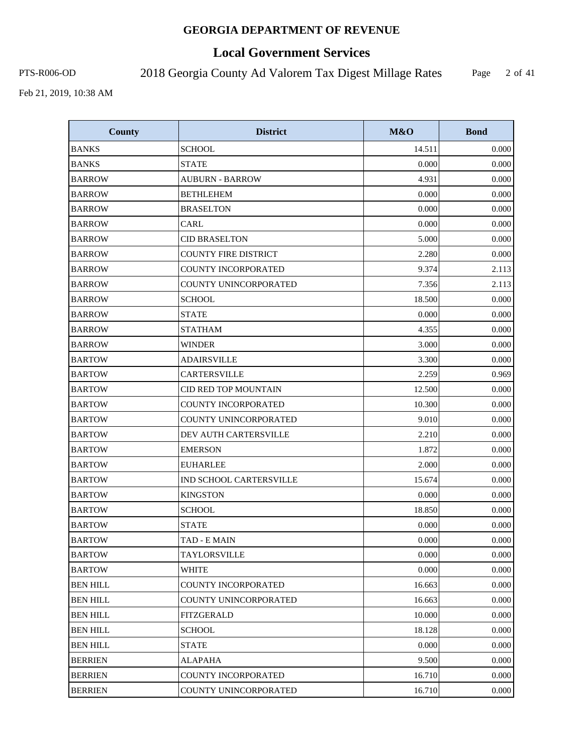# **Local Government Services**

PTS-R006-OD 2018 Georgia County Ad Valorem Tax Digest Millage Rates

Page 2 of 41

| <b>County</b>   | <b>District</b>             | M&O    | <b>Bond</b> |
|-----------------|-----------------------------|--------|-------------|
| <b>BANKS</b>    | <b>SCHOOL</b>               | 14.511 | 0.000       |
| <b>BANKS</b>    | <b>STATE</b>                | 0.000  | 0.000       |
| <b>BARROW</b>   | <b>AUBURN - BARROW</b>      | 4.931  | 0.000       |
| <b>BARROW</b>   | <b>BETHLEHEM</b>            | 0.000  | 0.000       |
| <b>BARROW</b>   | <b>BRASELTON</b>            | 0.000  | 0.000       |
| <b>BARROW</b>   | <b>CARL</b>                 | 0.000  | 0.000       |
| <b>BARROW</b>   | <b>CID BRASELTON</b>        | 5.000  | 0.000       |
| <b>BARROW</b>   | <b>COUNTY FIRE DISTRICT</b> | 2.280  | 0.000       |
| <b>BARROW</b>   | COUNTY INCORPORATED         | 9.374  | 2.113       |
| <b>BARROW</b>   | COUNTY UNINCORPORATED       | 7.356  | 2.113       |
| <b>BARROW</b>   | <b>SCHOOL</b>               | 18.500 | 0.000       |
| <b>BARROW</b>   | <b>STATE</b>                | 0.000  | 0.000       |
| <b>BARROW</b>   | <b>STATHAM</b>              | 4.355  | 0.000       |
| <b>BARROW</b>   | <b>WINDER</b>               | 3.000  | 0.000       |
| <b>BARTOW</b>   | <b>ADAIRSVILLE</b>          | 3.300  | 0.000       |
| <b>BARTOW</b>   | CARTERSVILLE                | 2.259  | 0.969       |
| <b>BARTOW</b>   | <b>CID RED TOP MOUNTAIN</b> | 12.500 | 0.000       |
| <b>BARTOW</b>   | COUNTY INCORPORATED         | 10.300 | 0.000       |
| <b>BARTOW</b>   | COUNTY UNINCORPORATED       | 9.010  | 0.000       |
| <b>BARTOW</b>   | DEV AUTH CARTERSVILLE       | 2.210  | 0.000       |
| <b>BARTOW</b>   | <b>EMERSON</b>              | 1.872  | 0.000       |
| <b>BARTOW</b>   | <b>EUHARLEE</b>             | 2.000  | 0.000       |
| <b>BARTOW</b>   | IND SCHOOL CARTERSVILLE     | 15.674 | 0.000       |
| <b>BARTOW</b>   | <b>KINGSTON</b>             | 0.000  | 0.000       |
| <b>BARTOW</b>   | <b>SCHOOL</b>               | 18.850 | 0.000       |
| <b>BARTOW</b>   | <b>STATE</b>                | 0.000  | 0.000       |
| <b>BARTOW</b>   | TAD - E MAIN                | 0.000  | 0.000       |
| <b>BARTOW</b>   | TAYLORSVILLE                | 0.000  | 0.000       |
| <b>BARTOW</b>   | <b>WHITE</b>                | 0.000  | 0.000       |
| <b>BEN HILL</b> | COUNTY INCORPORATED         | 16.663 | 0.000       |
| <b>BEN HILL</b> | COUNTY UNINCORPORATED       | 16.663 | 0.000       |
| <b>BEN HILL</b> | FITZGERALD                  | 10.000 | 0.000       |
| <b>BEN HILL</b> | <b>SCHOOL</b>               | 18.128 | 0.000       |
| <b>BEN HILL</b> | <b>STATE</b>                | 0.000  | 0.000       |
| <b>BERRIEN</b>  | <b>ALAPAHA</b>              | 9.500  | 0.000       |
| <b>BERRIEN</b>  | COUNTY INCORPORATED         | 16.710 | 0.000       |
| <b>BERRIEN</b>  | COUNTY UNINCORPORATED       | 16.710 | 0.000       |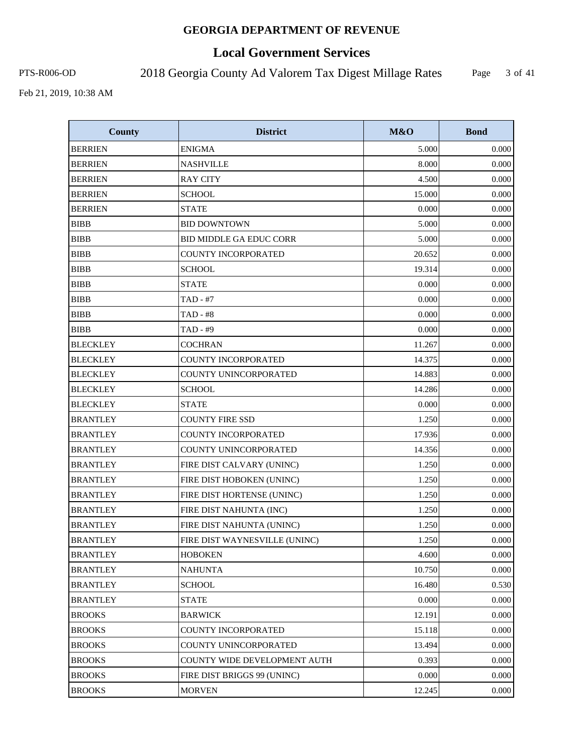# **Local Government Services**

PTS-R006-OD 2018 Georgia County Ad Valorem Tax Digest Millage Rates

Page 3 of 41

| <b>County</b>   | <b>District</b>                | <b>M&amp;O</b> | <b>Bond</b> |
|-----------------|--------------------------------|----------------|-------------|
| <b>BERRIEN</b>  | <b>ENIGMA</b>                  | 5.000          | 0.000       |
| <b>BERRIEN</b>  | <b>NASHVILLE</b>               | 8.000          | 0.000       |
| <b>BERRIEN</b>  | <b>RAY CITY</b>                | 4.500          | 0.000       |
| <b>BERRIEN</b>  | <b>SCHOOL</b>                  | 15.000         | 0.000       |
| <b>BERRIEN</b>  | <b>STATE</b>                   | 0.000          | 0.000       |
| <b>BIBB</b>     | <b>BID DOWNTOWN</b>            | 5.000          | 0.000       |
| <b>BIBB</b>     | <b>BID MIDDLE GA EDUC CORR</b> | 5.000          | 0.000       |
| <b>BIBB</b>     | COUNTY INCORPORATED            | 20.652         | 0.000       |
| <b>BIBB</b>     | <b>SCHOOL</b>                  | 19.314         | 0.000       |
| <b>BIBB</b>     | <b>STATE</b>                   | 0.000          | 0.000       |
| <b>BIBB</b>     | TAD - #7                       | 0.000          | 0.000       |
| <b>BIBB</b>     | <b>TAD - #8</b>                | 0.000          | 0.000       |
| <b>BIBB</b>     | TAD - #9                       | 0.000          | 0.000       |
| <b>BLECKLEY</b> | <b>COCHRAN</b>                 | 11.267         | 0.000       |
| <b>BLECKLEY</b> | <b>COUNTY INCORPORATED</b>     | 14.375         | 0.000       |
| <b>BLECKLEY</b> | COUNTY UNINCORPORATED          | 14.883         | 0.000       |
| <b>BLECKLEY</b> | <b>SCHOOL</b>                  | 14.286         | 0.000       |
| <b>BLECKLEY</b> | <b>STATE</b>                   | 0.000          | 0.000       |
| <b>BRANTLEY</b> | <b>COUNTY FIRE SSD</b>         | 1.250          | 0.000       |
| <b>BRANTLEY</b> | <b>COUNTY INCORPORATED</b>     | 17.936         | 0.000       |
| <b>BRANTLEY</b> | COUNTY UNINCORPORATED          | 14.356         | 0.000       |
| <b>BRANTLEY</b> | FIRE DIST CALVARY (UNINC)      | 1.250          | 0.000       |
| <b>BRANTLEY</b> | FIRE DIST HOBOKEN (UNINC)      | 1.250          | 0.000       |
| <b>BRANTLEY</b> | FIRE DIST HORTENSE (UNINC)     | 1.250          | 0.000       |
| <b>BRANTLEY</b> | FIRE DIST NAHUNTA (INC)        | 1.250          | 0.000       |
| <b>BRANTLEY</b> | FIRE DIST NAHUNTA (UNINC)      | 1.250          | 0.000       |
| <b>BRANTLEY</b> | FIRE DIST WAYNESVILLE (UNINC)  | 1.250          | 0.000       |
| <b>BRANTLEY</b> | <b>HOBOKEN</b>                 | 4.600          | 0.000       |
| <b>BRANTLEY</b> | <b>NAHUNTA</b>                 | 10.750         | 0.000       |
| <b>BRANTLEY</b> | <b>SCHOOL</b>                  | 16.480         | 0.530       |
| <b>BRANTLEY</b> | <b>STATE</b>                   | 0.000          | 0.000       |
| <b>BROOKS</b>   | <b>BARWICK</b>                 | 12.191         | 0.000       |
| <b>BROOKS</b>   | <b>COUNTY INCORPORATED</b>     | 15.118         | 0.000       |
| <b>BROOKS</b>   | COUNTY UNINCORPORATED          | 13.494         | 0.000       |
| <b>BROOKS</b>   | COUNTY WIDE DEVELOPMENT AUTH   | 0.393          | 0.000       |
| <b>BROOKS</b>   | FIRE DIST BRIGGS 99 (UNINC)    | 0.000          | 0.000       |
| <b>BROOKS</b>   | <b>MORVEN</b>                  | 12.245         | 0.000       |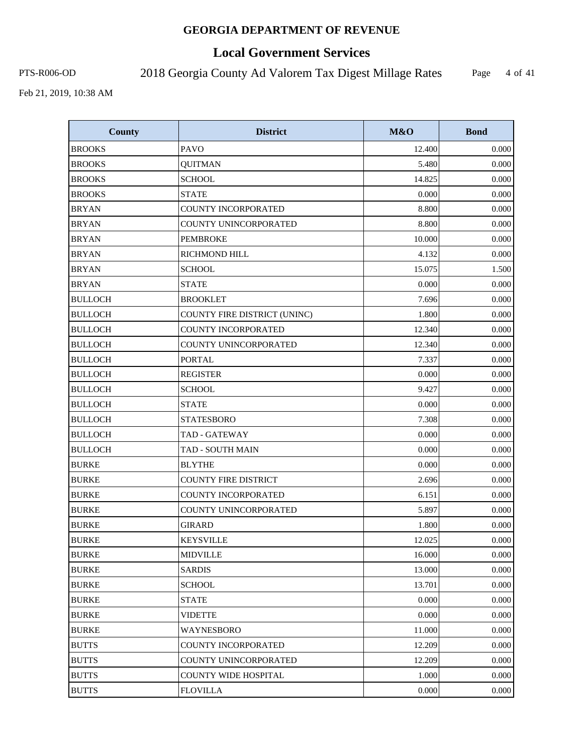# **Local Government Services**

PTS-R006-OD 2018 Georgia County Ad Valorem Tax Digest Millage Rates

Page 4 of 41

| <b>County</b>  | <b>District</b>              | M&O    | <b>Bond</b> |
|----------------|------------------------------|--------|-------------|
| <b>BROOKS</b>  | <b>PAVO</b>                  | 12.400 | 0.000       |
| <b>BROOKS</b>  | <b>QUITMAN</b>               | 5.480  | 0.000       |
| <b>BROOKS</b>  | <b>SCHOOL</b>                | 14.825 | 0.000       |
| <b>BROOKS</b>  | <b>STATE</b>                 | 0.000  | 0.000       |
| <b>BRYAN</b>   | <b>COUNTY INCORPORATED</b>   | 8.800  | 0.000       |
| <b>BRYAN</b>   | COUNTY UNINCORPORATED        | 8.800  | 0.000       |
| <b>BRYAN</b>   | <b>PEMBROKE</b>              | 10.000 | 0.000       |
| <b>BRYAN</b>   | <b>RICHMOND HILL</b>         | 4.132  | 0.000       |
| <b>BRYAN</b>   | <b>SCHOOL</b>                | 15.075 | 1.500       |
| <b>BRYAN</b>   | <b>STATE</b>                 | 0.000  | 0.000       |
| <b>BULLOCH</b> | <b>BROOKLET</b>              | 7.696  | 0.000       |
| <b>BULLOCH</b> | COUNTY FIRE DISTRICT (UNINC) | 1.800  | 0.000       |
| <b>BULLOCH</b> | <b>COUNTY INCORPORATED</b>   | 12.340 | 0.000       |
| <b>BULLOCH</b> | <b>COUNTY UNINCORPORATED</b> | 12.340 | 0.000       |
| <b>BULLOCH</b> | <b>PORTAL</b>                | 7.337  | 0.000       |
| <b>BULLOCH</b> | <b>REGISTER</b>              | 0.000  | 0.000       |
| <b>BULLOCH</b> | <b>SCHOOL</b>                | 9.427  | 0.000       |
| <b>BULLOCH</b> | <b>STATE</b>                 | 0.000  | 0.000       |
| <b>BULLOCH</b> | <b>STATESBORO</b>            | 7.308  | 0.000       |
| <b>BULLOCH</b> | <b>TAD - GATEWAY</b>         | 0.000  | 0.000       |
| <b>BULLOCH</b> | <b>TAD - SOUTH MAIN</b>      | 0.000  | 0.000       |
| <b>BURKE</b>   | <b>BLYTHE</b>                | 0.000  | 0.000       |
| <b>BURKE</b>   | <b>COUNTY FIRE DISTRICT</b>  | 2.696  | 0.000       |
| <b>BURKE</b>   | <b>COUNTY INCORPORATED</b>   | 6.151  | 0.000       |
| <b>BURKE</b>   | COUNTY UNINCORPORATED        | 5.897  | 0.000       |
| <b>BURKE</b>   | <b>GIRARD</b>                | 1.800  | 0.000       |
| <b>BURKE</b>   | <b>KEYSVILLE</b>             | 12.025 | 0.000       |
| <b>BURKE</b>   | <b>MIDVILLE</b>              | 16.000 | 0.000       |
| <b>BURKE</b>   | <b>SARDIS</b>                | 13.000 | 0.000       |
| <b>BURKE</b>   | <b>SCHOOL</b>                | 13.701 | 0.000       |
| <b>BURKE</b>   | <b>STATE</b>                 | 0.000  | 0.000       |
| <b>BURKE</b>   | <b>VIDETTE</b>               | 0.000  | 0.000       |
| <b>BURKE</b>   | WAYNESBORO                   | 11.000 | 0.000       |
| <b>BUTTS</b>   | COUNTY INCORPORATED          | 12.209 | 0.000       |
| <b>BUTTS</b>   | <b>COUNTY UNINCORPORATED</b> | 12.209 | 0.000       |
| <b>BUTTS</b>   | <b>COUNTY WIDE HOSPITAL</b>  | 1.000  | 0.000       |
| <b>BUTTS</b>   | <b>FLOVILLA</b>              | 0.000  | 0.000       |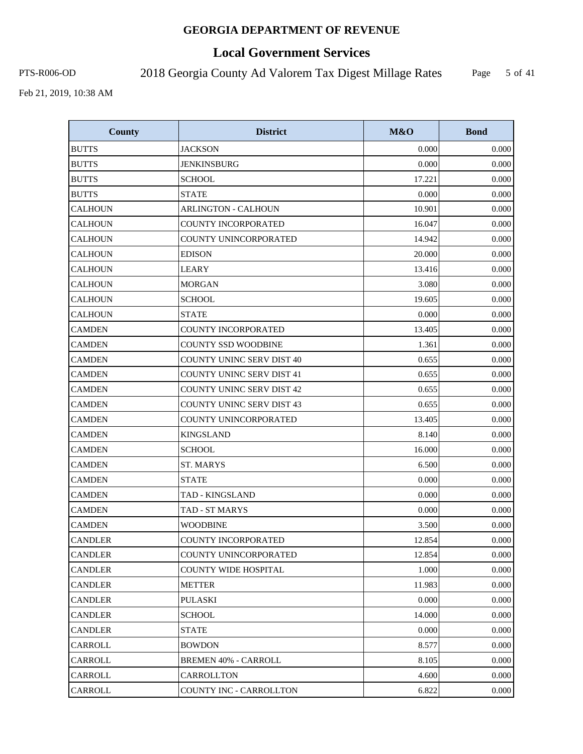# **Local Government Services**

PTS-R006-OD 2018 Georgia County Ad Valorem Tax Digest Millage Rates

Page 5 of 41

| <b>County</b>  | <b>District</b>                  | <b>M&amp;O</b> | <b>Bond</b> |
|----------------|----------------------------------|----------------|-------------|
| <b>BUTTS</b>   | <b>JACKSON</b>                   | 0.000          | 0.000       |
| <b>BUTTS</b>   | <b>JENKINSBURG</b>               | 0.000          | 0.000       |
| <b>BUTTS</b>   | <b>SCHOOL</b>                    | 17.221         | 0.000       |
| <b>BUTTS</b>   | <b>STATE</b>                     | 0.000          | 0.000       |
| <b>CALHOUN</b> | <b>ARLINGTON - CALHOUN</b>       | 10.901         | 0.000       |
| <b>CALHOUN</b> | COUNTY INCORPORATED              | 16.047         | 0.000       |
| <b>CALHOUN</b> | COUNTY UNINCORPORATED            | 14.942         | 0.000       |
| <b>CALHOUN</b> | <b>EDISON</b>                    | 20.000         | 0.000       |
| <b>CALHOUN</b> | <b>LEARY</b>                     | 13.416         | 0.000       |
| <b>CALHOUN</b> | <b>MORGAN</b>                    | 3.080          | 0.000       |
| <b>CALHOUN</b> | <b>SCHOOL</b>                    | 19.605         | 0.000       |
| <b>CALHOUN</b> | <b>STATE</b>                     | 0.000          | 0.000       |
| <b>CAMDEN</b>  | <b>COUNTY INCORPORATED</b>       | 13.405         | 0.000       |
| <b>CAMDEN</b>  | <b>COUNTY SSD WOODBINE</b>       | 1.361          | 0.000       |
| CAMDEN         | <b>COUNTY UNINC SERV DIST 40</b> | 0.655          | 0.000       |
| <b>CAMDEN</b>  | <b>COUNTY UNINC SERV DIST 41</b> | 0.655          | 0.000       |
| CAMDEN         | <b>COUNTY UNINC SERV DIST 42</b> | 0.655          | 0.000       |
| CAMDEN         | <b>COUNTY UNINC SERV DIST 43</b> | 0.655          | 0.000       |
| <b>CAMDEN</b>  | COUNTY UNINCORPORATED            | 13.405         | 0.000       |
| <b>CAMDEN</b>  | <b>KINGSLAND</b>                 | 8.140          | 0.000       |
| <b>CAMDEN</b>  | <b>SCHOOL</b>                    | 16.000         | 0.000       |
| <b>CAMDEN</b>  | ST. MARYS                        | 6.500          | 0.000       |
| <b>CAMDEN</b>  | <b>STATE</b>                     | 0.000          | 0.000       |
| <b>CAMDEN</b>  | TAD - KINGSLAND                  | 0.000          | 0.000       |
| <b>CAMDEN</b>  | TAD - ST MARYS                   | 0.000          | 0.000       |
| <b>CAMDEN</b>  | <b>WOODBINE</b>                  | 3.500          | 0.000       |
| <b>CANDLER</b> | COUNTY INCORPORATED              | 12.854         | 0.000       |
| <b>CANDLER</b> | COUNTY UNINCORPORATED            | 12.854         | 0.000       |
| <b>CANDLER</b> | <b>COUNTY WIDE HOSPITAL</b>      | 1.000          | 0.000       |
| <b>CANDLER</b> | <b>METTER</b>                    | 11.983         | 0.000       |
| <b>CANDLER</b> | <b>PULASKI</b>                   | 0.000          | 0.000       |
| <b>CANDLER</b> | <b>SCHOOL</b>                    | 14.000         | 0.000       |
| <b>CANDLER</b> | <b>STATE</b>                     | 0.000          | 0.000       |
| CARROLL        | <b>BOWDON</b>                    | 8.577          | 0.000       |
| CARROLL        | <b>BREMEN 40% - CARROLL</b>      | 8.105          | 0.000       |
| CARROLL        | CARROLLTON                       | 4.600          | 0.000       |
| CARROLL        | COUNTY INC - CARROLLTON          | 6.822          | 0.000       |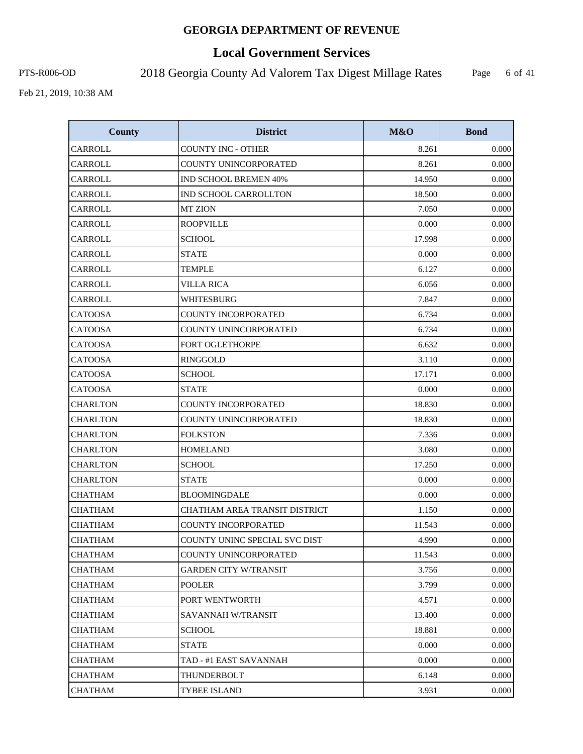# **Local Government Services**

PTS-R006-OD 2018 Georgia County Ad Valorem Tax Digest Millage Rates

Page 6 of 41

| <b>County</b>   | <b>District</b>                      | M&O    | <b>Bond</b> |
|-----------------|--------------------------------------|--------|-------------|
| CARROLL         | <b>COUNTY INC - OTHER</b>            | 8.261  | 0.000       |
| CARROLL         | COUNTY UNINCORPORATED                | 8.261  | 0.000       |
| CARROLL         | <b>IND SCHOOL BREMEN 40%</b>         | 14.950 | 0.000       |
| CARROLL         | IND SCHOOL CARROLLTON                | 18.500 | 0.000       |
| CARROLL         | <b>MT ZION</b>                       | 7.050  | 0.000       |
| CARROLL         | <b>ROOPVILLE</b>                     | 0.000  | 0.000       |
| CARROLL         | <b>SCHOOL</b>                        | 17.998 | 0.000       |
| CARROLL         | <b>STATE</b>                         | 0.000  | 0.000       |
| CARROLL         | <b>TEMPLE</b>                        | 6.127  | 0.000       |
| CARROLL         | <b>VILLA RICA</b>                    | 6.056  | 0.000       |
| CARROLL         | WHITESBURG                           | 7.847  | 0.000       |
| <b>CATOOSA</b>  | COUNTY INCORPORATED                  | 6.734  | 0.000       |
| <b>CATOOSA</b>  | COUNTY UNINCORPORATED                | 6.734  | 0.000       |
| <b>CATOOSA</b>  | <b>FORT OGLETHORPE</b>               | 6.632  | 0.000       |
| <b>CATOOSA</b>  | <b>RINGGOLD</b>                      | 3.110  | 0.000       |
| <b>CATOOSA</b>  | <b>SCHOOL</b>                        | 17.171 | 0.000       |
| <b>CATOOSA</b>  | <b>STATE</b>                         | 0.000  | 0.000       |
| <b>CHARLTON</b> | <b>COUNTY INCORPORATED</b>           | 18.830 | 0.000       |
| <b>CHARLTON</b> | COUNTY UNINCORPORATED                | 18.830 | 0.000       |
| <b>CHARLTON</b> | <b>FOLKSTON</b>                      | 7.336  | 0.000       |
| <b>CHARLTON</b> | <b>HOMELAND</b>                      | 3.080  | 0.000       |
| <b>CHARLTON</b> | <b>SCHOOL</b>                        | 17.250 | 0.000       |
| <b>CHARLTON</b> | <b>STATE</b>                         | 0.000  | 0.000       |
| <b>CHATHAM</b>  | <b>BLOOMINGDALE</b>                  | 0.000  | 0.000       |
| <b>CHATHAM</b>  | <b>CHATHAM AREA TRANSIT DISTRICT</b> | 1.150  | 0.000       |
| <b>CHATHAM</b>  | <b>COUNTY INCORPORATED</b>           | 11.543 | 0.000       |
| <b>CHATHAM</b>  | COUNTY UNINC SPECIAL SVC DIST        | 4.990  | 0.000       |
| <b>CHATHAM</b>  | COUNTY UNINCORPORATED                | 11.543 | 0.000       |
| CHATHAM         | <b>GARDEN CITY W/TRANSIT</b>         | 3.756  | 0.000       |
| <b>CHATHAM</b>  | <b>POOLER</b>                        | 3.799  | 0.000       |
| <b>CHATHAM</b>  | PORT WENTWORTH                       | 4.571  | 0.000       |
| <b>CHATHAM</b>  | SAVANNAH W/TRANSIT                   | 13.400 | 0.000       |
| <b>CHATHAM</b>  | SCHOOL                               | 18.881 | 0.000       |
| <b>CHATHAM</b>  | <b>STATE</b>                         | 0.000  | 0.000       |
| CHATHAM         | TAD - #1 EAST SAVANNAH               | 0.000  | 0.000       |
| <b>CHATHAM</b>  | THUNDERBOLT                          | 6.148  | 0.000       |
| <b>CHATHAM</b>  | <b>TYBEE ISLAND</b>                  | 3.931  | 0.000       |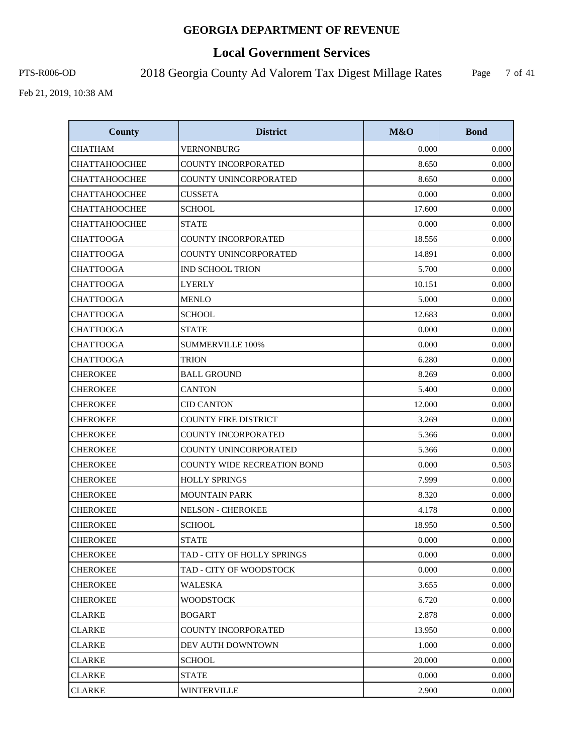# **Local Government Services**

PTS-R006-OD 2018 Georgia County Ad Valorem Tax Digest Millage Rates

Page 7 of 41

| <b>County</b>        | <b>District</b>                    | M&O    | <b>Bond</b> |
|----------------------|------------------------------------|--------|-------------|
| <b>CHATHAM</b>       | <b>VERNONBURG</b>                  | 0.000  | 0.000       |
| <b>CHATTAHOOCHEE</b> | <b>COUNTY INCORPORATED</b>         | 8.650  | 0.000       |
| <b>CHATTAHOOCHEE</b> | COUNTY UNINCORPORATED              | 8.650  | 0.000       |
| <b>CHATTAHOOCHEE</b> | <b>CUSSETA</b>                     | 0.000  | 0.000       |
| <b>CHATTAHOOCHEE</b> | <b>SCHOOL</b>                      | 17.600 | 0.000       |
| <b>CHATTAHOOCHEE</b> | <b>STATE</b>                       | 0.000  | 0.000       |
| CHATTOOGA            | COUNTY INCORPORATED                | 18.556 | 0.000       |
| <b>CHATTOOGA</b>     | COUNTY UNINCORPORATED              | 14.891 | 0.000       |
| <b>CHATTOOGA</b>     | <b>IND SCHOOL TRION</b>            | 5.700  | 0.000       |
| CHATTOOGA            | LYERLY                             | 10.151 | 0.000       |
| <b>CHATTOOGA</b>     | <b>MENLO</b>                       | 5.000  | 0.000       |
| <b>CHATTOOGA</b>     | <b>SCHOOL</b>                      | 12.683 | 0.000       |
| <b>CHATTOOGA</b>     | <b>STATE</b>                       | 0.000  | 0.000       |
| <b>CHATTOOGA</b>     | <b>SUMMERVILLE 100%</b>            | 0.000  | 0.000       |
| <b>CHATTOOGA</b>     | <b>TRION</b>                       | 6.280  | 0.000       |
| <b>CHEROKEE</b>      | <b>BALL GROUND</b>                 | 8.269  | 0.000       |
| <b>CHEROKEE</b>      | <b>CANTON</b>                      | 5.400  | 0.000       |
| <b>CHEROKEE</b>      | <b>CID CANTON</b>                  | 12.000 | 0.000       |
| <b>CHEROKEE</b>      | <b>COUNTY FIRE DISTRICT</b>        | 3.269  | 0.000       |
| <b>CHEROKEE</b>      | <b>COUNTY INCORPORATED</b>         | 5.366  | 0.000       |
| <b>CHEROKEE</b>      | COUNTY UNINCORPORATED              | 5.366  | 0.000       |
| <b>CHEROKEE</b>      | <b>COUNTY WIDE RECREATION BOND</b> | 0.000  | 0.503       |
| <b>CHEROKEE</b>      | <b>HOLLY SPRINGS</b>               | 7.999  | 0.000       |
| <b>CHEROKEE</b>      | <b>MOUNTAIN PARK</b>               | 8.320  | 0.000       |
| <b>CHEROKEE</b>      | <b>NELSON - CHEROKEE</b>           | 4.178  | 0.000       |
| <b>CHEROKEE</b>      | <b>SCHOOL</b>                      | 18.950 | 0.500       |
| <b>CHEROKEE</b>      | <b>STATE</b>                       | 0.000  | 0.000       |
| <b>CHEROKEE</b>      | TAD - CITY OF HOLLY SPRINGS        | 0.000  | 0.000       |
| <b>CHEROKEE</b>      | TAD - CITY OF WOODSTOCK            | 0.000  | 0.000       |
| <b>CHEROKEE</b>      | WALESKA                            | 3.655  | 0.000       |
| <b>CHEROKEE</b>      | <b>WOODSTOCK</b>                   | 6.720  | 0.000       |
| <b>CLARKE</b>        | <b>BOGART</b>                      | 2.878  | 0.000       |
| CLARKE               | COUNTY INCORPORATED                | 13.950 | 0.000       |
| <b>CLARKE</b>        | DEV AUTH DOWNTOWN                  | 1.000  | 0.000       |
| <b>CLARKE</b>        | SCHOOL                             | 20.000 | 0.000       |
| <b>CLARKE</b>        | <b>STATE</b>                       | 0.000  | 0.000       |
| <b>CLARKE</b>        | <b>WINTERVILLE</b>                 | 2.900  | 0.000       |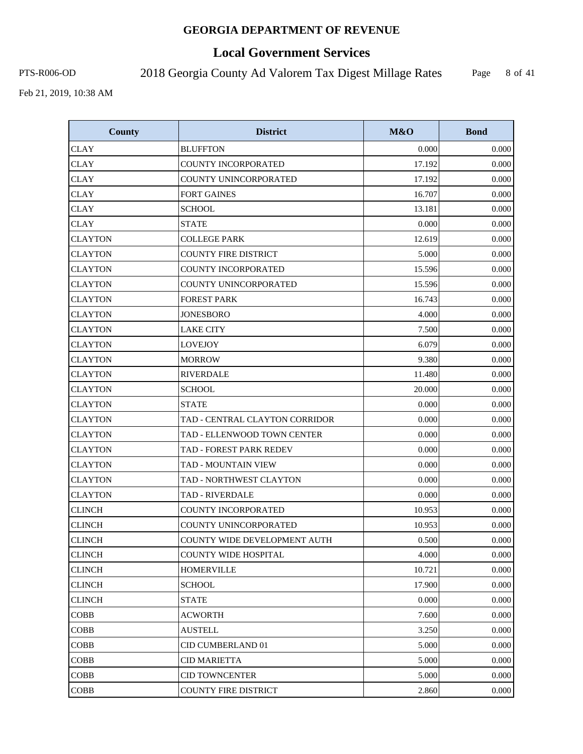# **Local Government Services**

PTS-R006-OD 2018 Georgia County Ad Valorem Tax Digest Millage Rates

Page 8 of 41

| <b>County</b>  | <b>District</b>                | M&O    | <b>Bond</b> |
|----------------|--------------------------------|--------|-------------|
| <b>CLAY</b>    | <b>BLUFFTON</b>                | 0.000  | 0.000       |
| <b>CLAY</b>    | COUNTY INCORPORATED            | 17.192 | 0.000       |
| <b>CLAY</b>    | COUNTY UNINCORPORATED          | 17.192 | 0.000       |
| <b>CLAY</b>    | <b>FORT GAINES</b>             | 16.707 | 0.000       |
| <b>CLAY</b>    | <b>SCHOOL</b>                  | 13.181 | 0.000       |
| <b>CLAY</b>    | <b>STATE</b>                   | 0.000  | 0.000       |
| <b>CLAYTON</b> | <b>COLLEGE PARK</b>            | 12.619 | 0.000       |
| <b>CLAYTON</b> | <b>COUNTY FIRE DISTRICT</b>    | 5.000  | 0.000       |
| <b>CLAYTON</b> | COUNTY INCORPORATED            | 15.596 | 0.000       |
| <b>CLAYTON</b> | COUNTY UNINCORPORATED          | 15.596 | 0.000       |
| <b>CLAYTON</b> | <b>FOREST PARK</b>             | 16.743 | 0.000       |
| <b>CLAYTON</b> | <b>JONESBORO</b>               | 4.000  | 0.000       |
| <b>CLAYTON</b> | <b>LAKE CITY</b>               | 7.500  | 0.000       |
| <b>CLAYTON</b> | <b>LOVEJOY</b>                 | 6.079  | 0.000       |
| <b>CLAYTON</b> | <b>MORROW</b>                  | 9.380  | 0.000       |
| <b>CLAYTON</b> | <b>RIVERDALE</b>               | 11.480 | 0.000       |
| <b>CLAYTON</b> | <b>SCHOOL</b>                  | 20.000 | 0.000       |
| <b>CLAYTON</b> | <b>STATE</b>                   | 0.000  | 0.000       |
| <b>CLAYTON</b> | TAD - CENTRAL CLAYTON CORRIDOR | 0.000  | 0.000       |
| <b>CLAYTON</b> | TAD - ELLENWOOD TOWN CENTER    | 0.000  | 0.000       |
| <b>CLAYTON</b> | TAD - FOREST PARK REDEV        | 0.000  | 0.000       |
| <b>CLAYTON</b> | TAD - MOUNTAIN VIEW            | 0.000  | 0.000       |
| <b>CLAYTON</b> | TAD - NORTHWEST CLAYTON        | 0.000  | 0.000       |
| <b>CLAYTON</b> | <b>TAD - RIVERDALE</b>         | 0.000  | 0.000       |
| <b>CLINCH</b>  | COUNTY INCORPORATED            | 10.953 | 0.000       |
| <b>CLINCH</b>  | COUNTY UNINCORPORATED          | 10.953 | 0.000       |
| <b>CLINCH</b>  | COUNTY WIDE DEVELOPMENT AUTH   | 0.500  | 0.000       |
| <b>CLINCH</b>  | COUNTY WIDE HOSPITAL           | 4.000  | 0.000       |
| CLINCH         | <b>HOMERVILLE</b>              | 10.721 | 0.000       |
| <b>CLINCH</b>  | <b>SCHOOL</b>                  | 17.900 | 0.000       |
| <b>CLINCH</b>  | <b>STATE</b>                   | 0.000  | 0.000       |
| COBB           | <b>ACWORTH</b>                 | 7.600  | 0.000       |
| <b>COBB</b>    | <b>AUSTELL</b>                 | 3.250  | 0.000       |
| <b>COBB</b>    | CID CUMBERLAND 01              | 5.000  | 0.000       |
| COBB           | <b>CID MARIETTA</b>            | 5.000  | 0.000       |
| <b>COBB</b>    | <b>CID TOWNCENTER</b>          | 5.000  | 0.000       |
| <b>COBB</b>    | COUNTY FIRE DISTRICT           | 2.860  | 0.000       |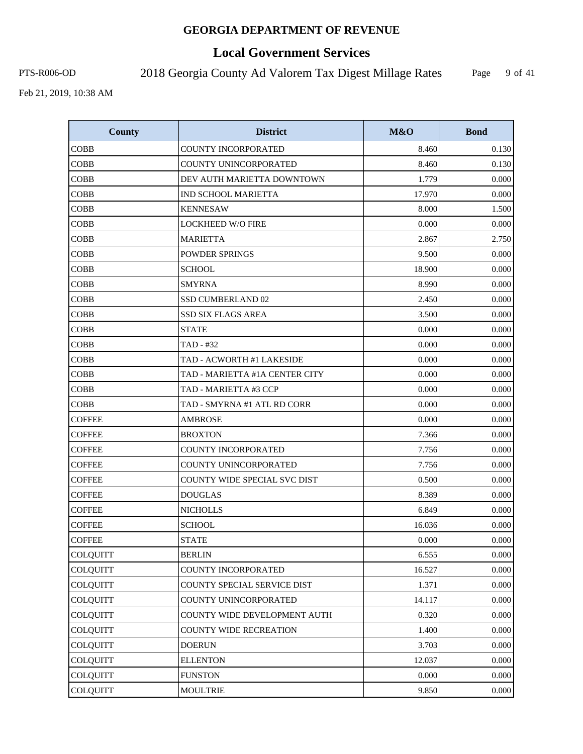# **Local Government Services**

PTS-R006-OD 2018 Georgia County Ad Valorem Tax Digest Millage Rates

Page 9 of 41

| <b>County</b>   | <b>District</b>                | M&O    | <b>Bond</b> |
|-----------------|--------------------------------|--------|-------------|
| <b>COBB</b>     | <b>COUNTY INCORPORATED</b>     | 8.460  | 0.130       |
| <b>COBB</b>     | COUNTY UNINCORPORATED          | 8.460  | 0.130       |
| <b>COBB</b>     | DEV AUTH MARIETTA DOWNTOWN     | 1.779  | 0.000       |
| <b>COBB</b>     | <b>IND SCHOOL MARIETTA</b>     | 17.970 | 0.000       |
| <b>COBB</b>     | <b>KENNESAW</b>                | 8.000  | 1.500       |
| <b>COBB</b>     | <b>LOCKHEED W/O FIRE</b>       | 0.000  | 0.000       |
| <b>COBB</b>     | <b>MARIETTA</b>                | 2.867  | 2.750       |
| <b>COBB</b>     | <b>POWDER SPRINGS</b>          | 9.500  | 0.000       |
| <b>COBB</b>     | <b>SCHOOL</b>                  | 18.900 | 0.000       |
| <b>COBB</b>     | <b>SMYRNA</b>                  | 8.990  | 0.000       |
| <b>COBB</b>     | SSD CUMBERLAND 02              | 2.450  | 0.000       |
| <b>COBB</b>     | <b>SSD SIX FLAGS AREA</b>      | 3.500  | 0.000       |
| <b>COBB</b>     | <b>STATE</b>                   | 0.000  | 0.000       |
| <b>COBB</b>     | TAD - #32                      | 0.000  | 0.000       |
| <b>COBB</b>     | TAD - ACWORTH #1 LAKESIDE      | 0.000  | 0.000       |
| <b>COBB</b>     | TAD - MARIETTA #1A CENTER CITY | 0.000  | 0.000       |
| <b>COBB</b>     | TAD - MARIETTA #3 CCP          | 0.000  | 0.000       |
| <b>COBB</b>     | TAD - SMYRNA #1 ATL RD CORR    | 0.000  | 0.000       |
| <b>COFFEE</b>   | <b>AMBROSE</b>                 | 0.000  | 0.000       |
| <b>COFFEE</b>   | <b>BROXTON</b>                 | 7.366  | 0.000       |
| <b>COFFEE</b>   | COUNTY INCORPORATED            | 7.756  | 0.000       |
| <b>COFFEE</b>   | COUNTY UNINCORPORATED          | 7.756  | 0.000       |
| <b>COFFEE</b>   | COUNTY WIDE SPECIAL SVC DIST   | 0.500  | 0.000       |
| <b>COFFEE</b>   | <b>DOUGLAS</b>                 | 8.389  | 0.000       |
| <b>COFFEE</b>   | <b>NICHOLLS</b>                | 6.849  | 0.000       |
| <b>COFFEE</b>   | <b>SCHOOL</b>                  | 16.036 | 0.000       |
| <b>COFFEE</b>   | <b>STATE</b>                   | 0.000  | 0.000       |
| COLQUITT        | <b>BERLIN</b>                  | 6.555  | 0.000       |
| <b>COLQUITT</b> | COUNTY INCORPORATED            | 16.527 | 0.000       |
| <b>COLQUITT</b> | COUNTY SPECIAL SERVICE DIST    | 1.371  | 0.000       |
| <b>COLQUITT</b> | COUNTY UNINCORPORATED          | 14.117 | 0.000       |
| <b>COLQUITT</b> | COUNTY WIDE DEVELOPMENT AUTH   | 0.320  | 0.000       |
| <b>COLQUITT</b> | COUNTY WIDE RECREATION         | 1.400  | 0.000       |
| <b>COLQUITT</b> | <b>DOERUN</b>                  | 3.703  | 0.000       |
| COLQUITT        | <b>ELLENTON</b>                | 12.037 | 0.000       |
| <b>COLQUITT</b> | <b>FUNSTON</b>                 | 0.000  | 0.000       |
| <b>COLQUITT</b> | <b>MOULTRIE</b>                | 9.850  | 0.000       |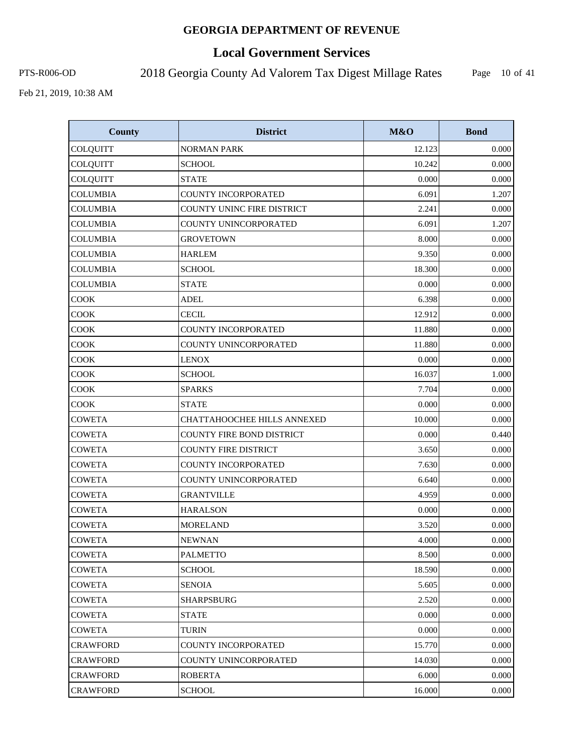# **Local Government Services**

PTS-R006-OD 2018 Georgia County Ad Valorem Tax Digest Millage Rates

Page 10 of 41

| <b>County</b>   | <b>District</b>                    | M&O    | <b>Bond</b> |
|-----------------|------------------------------------|--------|-------------|
| COLQUITT        | <b>NORMAN PARK</b>                 | 12.123 | 0.000       |
| COLQUITT        | <b>SCHOOL</b>                      | 10.242 | 0.000       |
| <b>COLQUITT</b> | <b>STATE</b>                       | 0.000  | 0.000       |
| <b>COLUMBIA</b> | COUNTY INCORPORATED                | 6.091  | 1.207       |
| <b>COLUMBIA</b> | COUNTY UNINC FIRE DISTRICT         | 2.241  | 0.000       |
| <b>COLUMBIA</b> | COUNTY UNINCORPORATED              | 6.091  | 1.207       |
| <b>COLUMBIA</b> | <b>GROVETOWN</b>                   | 8.000  | 0.000       |
| <b>COLUMBIA</b> | <b>HARLEM</b>                      | 9.350  | 0.000       |
| <b>COLUMBIA</b> | <b>SCHOOL</b>                      | 18.300 | 0.000       |
| <b>COLUMBIA</b> | <b>STATE</b>                       | 0.000  | 0.000       |
| <b>COOK</b>     | <b>ADEL</b>                        | 6.398  | 0.000       |
| COOK            | <b>CECIL</b>                       | 12.912 | 0.000       |
| COOK            | COUNTY INCORPORATED                | 11.880 | 0.000       |
| COOK            | COUNTY UNINCORPORATED              | 11.880 | 0.000       |
| <b>COOK</b>     | <b>LENOX</b>                       | 0.000  | 0.000       |
| <b>COOK</b>     | <b>SCHOOL</b>                      | 16.037 | 1.000       |
| <b>COOK</b>     | <b>SPARKS</b>                      | 7.704  | 0.000       |
| <b>COOK</b>     | <b>STATE</b>                       | 0.000  | 0.000       |
| <b>COWETA</b>   | <b>CHATTAHOOCHEE HILLS ANNEXED</b> | 10.000 | 0.000       |
| <b>COWETA</b>   | COUNTY FIRE BOND DISTRICT          | 0.000  | 0.440       |
| <b>COWETA</b>   | <b>COUNTY FIRE DISTRICT</b>        | 3.650  | 0.000       |
| <b>COWETA</b>   | COUNTY INCORPORATED                | 7.630  | 0.000       |
| <b>COWETA</b>   | COUNTY UNINCORPORATED              | 6.640  | 0.000       |
| <b>COWETA</b>   | <b>GRANTVILLE</b>                  | 4.959  | 0.000       |
| <b>COWETA</b>   | <b>HARALSON</b>                    | 0.000  | 0.000       |
| <b>COWETA</b>   | <b>MORELAND</b>                    | 3.520  | 0.000       |
| <b>COWETA</b>   | <b>NEWNAN</b>                      | 4.000  | 0.000       |
| <b>COWETA</b>   | <b>PALMETTO</b>                    | 8.500  | 0.000       |
| COWETA          | <b>SCHOOL</b>                      | 18.590 | 0.000       |
| COWETA          | <b>SENOIA</b>                      | 5.605  | 0.000       |
| <b>COWETA</b>   | <b>SHARPSBURG</b>                  | 2.520  | 0.000       |
| COWETA          | <b>STATE</b>                       | 0.000  | 0.000       |
| <b>COWETA</b>   | <b>TURIN</b>                       | 0.000  | 0.000       |
| <b>CRAWFORD</b> | COUNTY INCORPORATED                | 15.770 | 0.000       |
| <b>CRAWFORD</b> | COUNTY UNINCORPORATED              | 14.030 | 0.000       |
| <b>CRAWFORD</b> | <b>ROBERTA</b>                     | 6.000  | 0.000       |
| <b>CRAWFORD</b> | <b>SCHOOL</b>                      | 16.000 | 0.000       |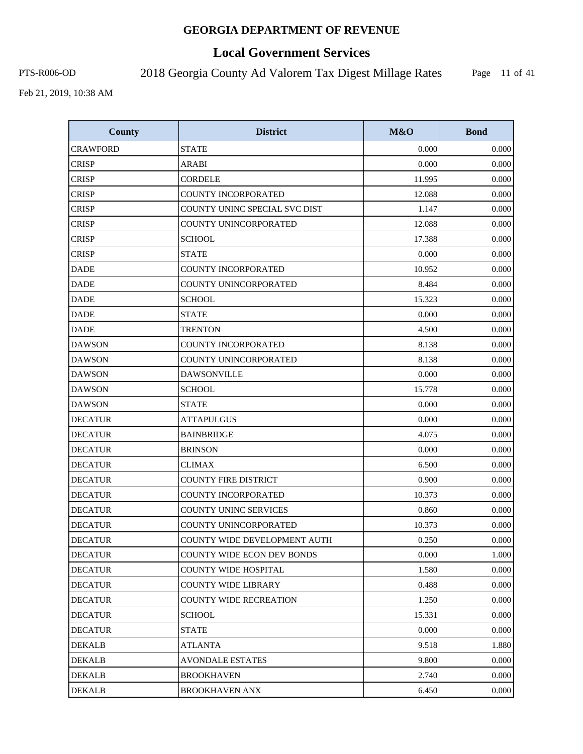# **Local Government Services**

PTS-R006-OD 2018 Georgia County Ad Valorem Tax Digest Millage Rates

Page 11 of 41

| <b>County</b>   | <b>District</b>                   | M&O    | <b>Bond</b> |
|-----------------|-----------------------------------|--------|-------------|
| <b>CRAWFORD</b> | <b>STATE</b>                      | 0.000  | 0.000       |
| <b>CRISP</b>    | ARABI                             | 0.000  | 0.000       |
| <b>CRISP</b>    | <b>CORDELE</b>                    | 11.995 | 0.000       |
| <b>CRISP</b>    | <b>COUNTY INCORPORATED</b>        | 12.088 | 0.000       |
| <b>CRISP</b>    | COUNTY UNINC SPECIAL SVC DIST     | 1.147  | 0.000       |
| <b>CRISP</b>    | COUNTY UNINCORPORATED             | 12.088 | 0.000       |
| <b>CRISP</b>    | <b>SCHOOL</b>                     | 17.388 | 0.000       |
| <b>CRISP</b>    | <b>STATE</b>                      | 0.000  | 0.000       |
| <b>DADE</b>     | COUNTY INCORPORATED               | 10.952 | 0.000       |
| <b>DADE</b>     | COUNTY UNINCORPORATED             | 8.484  | 0.000       |
| <b>DADE</b>     | <b>SCHOOL</b>                     | 15.323 | 0.000       |
| <b>DADE</b>     | <b>STATE</b>                      | 0.000  | 0.000       |
| <b>DADE</b>     | <b>TRENTON</b>                    | 4.500  | 0.000       |
| <b>DAWSON</b>   | COUNTY INCORPORATED               | 8.138  | 0.000       |
| <b>DAWSON</b>   | COUNTY UNINCORPORATED             | 8.138  | 0.000       |
| <b>DAWSON</b>   | <b>DAWSONVILLE</b>                | 0.000  | 0.000       |
| <b>DAWSON</b>   | <b>SCHOOL</b>                     | 15.778 | 0.000       |
| <b>DAWSON</b>   | <b>STATE</b>                      | 0.000  | 0.000       |
| <b>DECATUR</b>  | <b>ATTAPULGUS</b>                 | 0.000  | 0.000       |
| <b>DECATUR</b>  | <b>BAINBRIDGE</b>                 | 4.075  | 0.000       |
| <b>DECATUR</b>  | <b>BRINSON</b>                    | 0.000  | 0.000       |
| <b>DECATUR</b>  | <b>CLIMAX</b>                     | 6.500  | 0.000       |
| <b>DECATUR</b>  | <b>COUNTY FIRE DISTRICT</b>       | 0.900  | 0.000       |
| <b>DECATUR</b>  | COUNTY INCORPORATED               | 10.373 | 0.000       |
| <b>DECATUR</b>  | COUNTY UNINC SERVICES             | 0.860  | 0.000       |
| <b>DECATUR</b>  | COUNTY UNINCORPORATED             | 10.373 | 0.000       |
| <b>DECATUR</b>  | COUNTY WIDE DEVELOPMENT AUTH      | 0.250  | 0.000       |
| <b>DECATUR</b>  | <b>COUNTY WIDE ECON DEV BONDS</b> | 0.000  | 1.000       |
| <b>DECATUR</b>  | COUNTY WIDE HOSPITAL              | 1.580  | 0.000       |
| <b>DECATUR</b>  | <b>COUNTY WIDE LIBRARY</b>        | 0.488  | 0.000       |
| <b>DECATUR</b>  | <b>COUNTY WIDE RECREATION</b>     | 1.250  | 0.000       |
| <b>DECATUR</b>  | SCHOOL                            | 15.331 | 0.000       |
| <b>DECATUR</b>  | <b>STATE</b>                      | 0.000  | 0.000       |
| DEKALB          | <b>ATLANTA</b>                    | 9.518  | 1.880       |
| <b>DEKALB</b>   | <b>AVONDALE ESTATES</b>           | 9.800  | 0.000       |
| <b>DEKALB</b>   | <b>BROOKHAVEN</b>                 | 2.740  | 0.000       |
| <b>DEKALB</b>   | <b>BROOKHAVEN ANX</b>             | 6.450  | 0.000       |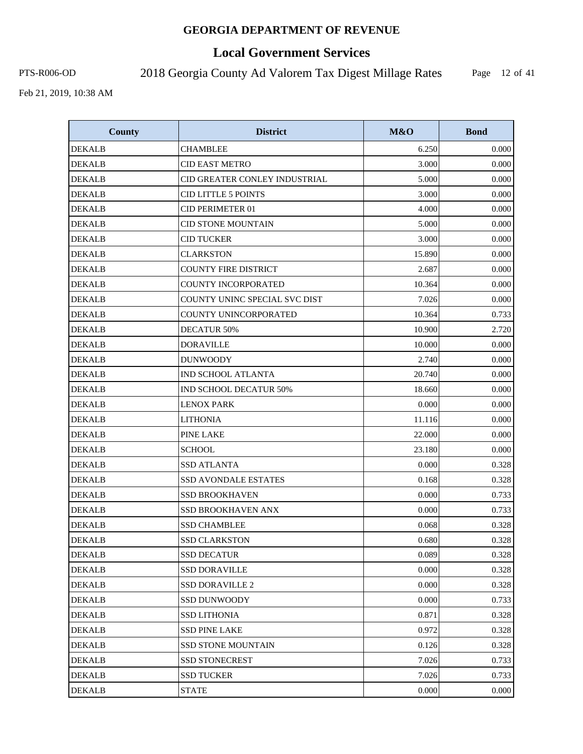# **Local Government Services**

PTS-R006-OD 2018 Georgia County Ad Valorem Tax Digest Millage Rates

Page 12 of 41

| <b>County</b> | <b>District</b>               | M&O    | <b>Bond</b> |
|---------------|-------------------------------|--------|-------------|
| <b>DEKALB</b> | <b>CHAMBLEE</b>               | 6.250  | 0.000       |
| <b>DEKALB</b> | <b>CID EAST METRO</b>         | 3.000  | 0.000       |
| <b>DEKALB</b> | CID GREATER CONLEY INDUSTRIAL | 5.000  | 0.000       |
| <b>DEKALB</b> | <b>CID LITTLE 5 POINTS</b>    | 3.000  | 0.000       |
| <b>DEKALB</b> | CID PERIMETER 01              | 4.000  | 0.000       |
| <b>DEKALB</b> | <b>CID STONE MOUNTAIN</b>     | 5.000  | 0.000       |
| <b>DEKALB</b> | <b>CID TUCKER</b>             | 3.000  | 0.000       |
| <b>DEKALB</b> | <b>CLARKSTON</b>              | 15.890 | 0.000       |
| <b>DEKALB</b> | <b>COUNTY FIRE DISTRICT</b>   | 2.687  | 0.000       |
| <b>DEKALB</b> | <b>COUNTY INCORPORATED</b>    | 10.364 | 0.000       |
| <b>DEKALB</b> | COUNTY UNINC SPECIAL SVC DIST | 7.026  | 0.000       |
| <b>DEKALB</b> | COUNTY UNINCORPORATED         | 10.364 | 0.733       |
| <b>DEKALB</b> | <b>DECATUR 50%</b>            | 10.900 | 2.720       |
| <b>DEKALB</b> | <b>DORAVILLE</b>              | 10.000 | 0.000       |
| <b>DEKALB</b> | <b>DUNWOODY</b>               | 2.740  | 0.000       |
| <b>DEKALB</b> | IND SCHOOL ATLANTA            | 20.740 | 0.000       |
| <b>DEKALB</b> | <b>IND SCHOOL DECATUR 50%</b> | 18.660 | 0.000       |
| <b>DEKALB</b> | <b>LENOX PARK</b>             | 0.000  | 0.000       |
| <b>DEKALB</b> | <b>LITHONIA</b>               | 11.116 | 0.000       |
| <b>DEKALB</b> | PINE LAKE                     | 22.000 | 0.000       |
| <b>DEKALB</b> | <b>SCHOOL</b>                 | 23.180 | 0.000       |
| <b>DEKALB</b> | <b>SSD ATLANTA</b>            | 0.000  | 0.328       |
| <b>DEKALB</b> | SSD AVONDALE ESTATES          | 0.168  | 0.328       |
| <b>DEKALB</b> | <b>SSD BROOKHAVEN</b>         | 0.000  | 0.733       |
| <b>DEKALB</b> | <b>SSD BROOKHAVEN ANX</b>     | 0.000  | 0.733       |
| <b>DEKALB</b> | <b>SSD CHAMBLEE</b>           | 0.068  | 0.328       |
| <b>DEKALB</b> | <b>SSD CLARKSTON</b>          | 0.680  | 0.328       |
| <b>DEKALB</b> | <b>SSD DECATUR</b>            | 0.089  | 0.328       |
| <b>DEKALB</b> | <b>SSD DORAVILLE</b>          | 0.000  | 0.328       |
| <b>DEKALB</b> | <b>SSD DORAVILLE 2</b>        | 0.000  | 0.328       |
| <b>DEKALB</b> | <b>SSD DUNWOODY</b>           | 0.000  | 0.733       |
| <b>DEKALB</b> | <b>SSD LITHONIA</b>           | 0.871  | 0.328       |
| <b>DEKALB</b> | <b>SSD PINE LAKE</b>          | 0.972  | 0.328       |
| <b>DEKALB</b> | SSD STONE MOUNTAIN            | 0.126  | 0.328       |
| <b>DEKALB</b> | <b>SSD STONECREST</b>         | 7.026  | 0.733       |
| <b>DEKALB</b> | <b>SSD TUCKER</b>             | 7.026  | 0.733       |
| <b>DEKALB</b> | <b>STATE</b>                  | 0.000  | 0.000       |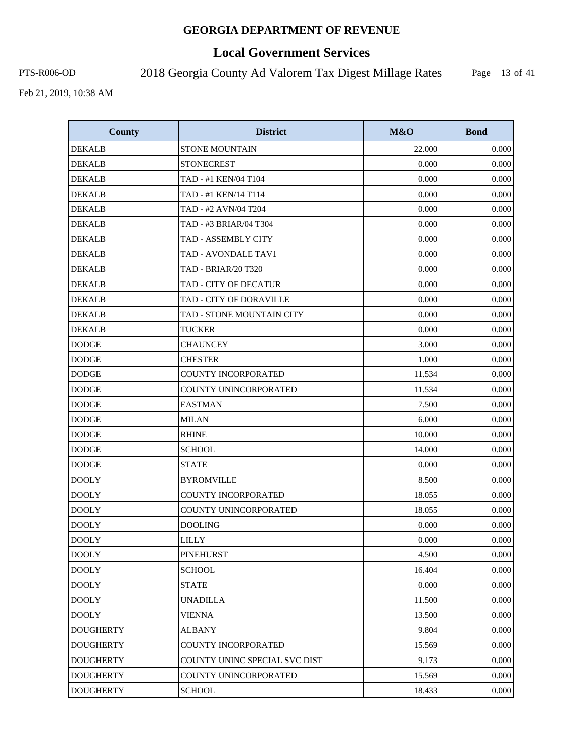# **Local Government Services**

PTS-R006-OD 2018 Georgia County Ad Valorem Tax Digest Millage Rates

Page 13 of 41

| <b>County</b>    | <b>District</b>               | M&O    | <b>Bond</b> |
|------------------|-------------------------------|--------|-------------|
| <b>DEKALB</b>    | <b>STONE MOUNTAIN</b>         | 22.000 | 0.000       |
| <b>DEKALB</b>    | <b>STONECREST</b>             | 0.000  | 0.000       |
| <b>DEKALB</b>    | TAD - #1 KEN/04 T104          | 0.000  | 0.000       |
| <b>DEKALB</b>    | TAD - #1 KEN/14 T114          | 0.000  | 0.000       |
| <b>DEKALB</b>    | TAD - #2 AVN/04 T204          | 0.000  | 0.000       |
| <b>DEKALB</b>    | TAD - #3 BRIAR/04 T304        | 0.000  | 0.000       |
| <b>DEKALB</b>    | <b>TAD - ASSEMBLY CITY</b>    | 0.000  | 0.000       |
| <b>DEKALB</b>    | TAD - AVONDALE TAV1           | 0.000  | 0.000       |
| <b>DEKALB</b>    | <b>TAD - BRIAR/20 T320</b>    | 0.000  | 0.000       |
| <b>DEKALB</b>    | TAD - CITY OF DECATUR         | 0.000  | 0.000       |
| <b>DEKALB</b>    | TAD - CITY OF DORAVILLE       | 0.000  | 0.000       |
| <b>DEKALB</b>    | TAD - STONE MOUNTAIN CITY     | 0.000  | 0.000       |
| <b>DEKALB</b>    | <b>TUCKER</b>                 | 0.000  | 0.000       |
| <b>DODGE</b>     | <b>CHAUNCEY</b>               | 3.000  | 0.000       |
| <b>DODGE</b>     | <b>CHESTER</b>                | 1.000  | 0.000       |
| <b>DODGE</b>     | <b>COUNTY INCORPORATED</b>    | 11.534 | 0.000       |
| <b>DODGE</b>     | <b>COUNTY UNINCORPORATED</b>  | 11.534 | 0.000       |
| <b>DODGE</b>     | <b>EASTMAN</b>                | 7.500  | 0.000       |
| <b>DODGE</b>     | <b>MILAN</b>                  | 6.000  | 0.000       |
| <b>DODGE</b>     | <b>RHINE</b>                  | 10.000 | 0.000       |
| <b>DODGE</b>     | <b>SCHOOL</b>                 | 14.000 | 0.000       |
| <b>DODGE</b>     | <b>STATE</b>                  | 0.000  | 0.000       |
| <b>DOOLY</b>     | <b>BYROMVILLE</b>             | 8.500  | 0.000       |
| <b>DOOLY</b>     | <b>COUNTY INCORPORATED</b>    | 18.055 | 0.000       |
| <b>DOOLY</b>     | COUNTY UNINCORPORATED         | 18.055 | 0.000       |
| <b>DOOLY</b>     | <b>DOOLING</b>                | 0.000  | 0.000       |
| <b>DOOLY</b>     | <b>LILLY</b>                  | 0.000  | 0.000       |
| <b>DOOLY</b>     | <b>PINEHURST</b>              | 4.500  | 0.000       |
| <b>DOOLY</b>     | <b>SCHOOL</b>                 | 16.404 | 0.000       |
| <b>DOOLY</b>     | <b>STATE</b>                  | 0.000  | 0.000       |
| <b>DOOLY</b>     | <b>UNADILLA</b>               | 11.500 | 0.000       |
| <b>DOOLY</b>     | <b>VIENNA</b>                 | 13.500 | 0.000       |
| <b>DOUGHERTY</b> | <b>ALBANY</b>                 | 9.804  | 0.000       |
| <b>DOUGHERTY</b> | <b>COUNTY INCORPORATED</b>    | 15.569 | 0.000       |
| <b>DOUGHERTY</b> | COUNTY UNINC SPECIAL SVC DIST | 9.173  | 0.000       |
| <b>DOUGHERTY</b> | COUNTY UNINCORPORATED         | 15.569 | 0.000       |
| <b>DOUGHERTY</b> | <b>SCHOOL</b>                 | 18.433 | 0.000       |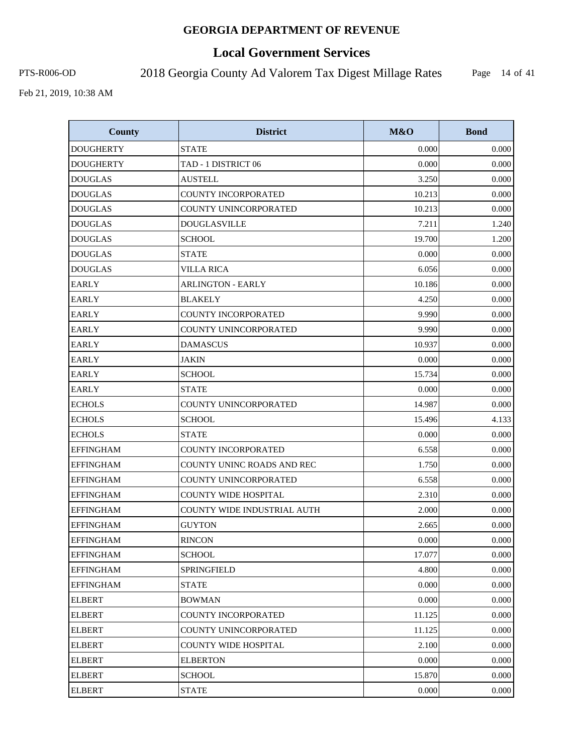# **Local Government Services**

PTS-R006-OD 2018 Georgia County Ad Valorem Tax Digest Millage Rates

Page 14 of 41

| <b>County</b>    | <b>District</b>                    | M&O    | <b>Bond</b> |
|------------------|------------------------------------|--------|-------------|
| <b>DOUGHERTY</b> | <b>STATE</b>                       | 0.000  | 0.000       |
| <b>DOUGHERTY</b> | TAD - 1 DISTRICT 06                | 0.000  | 0.000       |
| <b>DOUGLAS</b>   | <b>AUSTELL</b>                     | 3.250  | 0.000       |
| <b>DOUGLAS</b>   | COUNTY INCORPORATED                | 10.213 | 0.000       |
| <b>DOUGLAS</b>   | COUNTY UNINCORPORATED              | 10.213 | 0.000       |
| <b>DOUGLAS</b>   | <b>DOUGLASVILLE</b>                | 7.211  | 1.240       |
| <b>DOUGLAS</b>   | <b>SCHOOL</b>                      | 19.700 | 1.200       |
| <b>DOUGLAS</b>   | <b>STATE</b>                       | 0.000  | 0.000       |
| <b>DOUGLAS</b>   | <b>VILLA RICA</b>                  | 6.056  | 0.000       |
| <b>EARLY</b>     | <b>ARLINGTON - EARLY</b>           | 10.186 | 0.000       |
| <b>EARLY</b>     | <b>BLAKELY</b>                     | 4.250  | 0.000       |
| <b>EARLY</b>     | <b>COUNTY INCORPORATED</b>         | 9.990  | 0.000       |
| <b>EARLY</b>     | COUNTY UNINCORPORATED              | 9.990  | 0.000       |
| <b>EARLY</b>     | <b>DAMASCUS</b>                    | 10.937 | 0.000       |
| <b>EARLY</b>     | <b>JAKIN</b>                       | 0.000  | 0.000       |
| <b>EARLY</b>     | <b>SCHOOL</b>                      | 15.734 | 0.000       |
| <b>EARLY</b>     | <b>STATE</b>                       | 0.000  | 0.000       |
| <b>ECHOLS</b>    | COUNTY UNINCORPORATED              | 14.987 | 0.000       |
| <b>ECHOLS</b>    | <b>SCHOOL</b>                      | 15.496 | 4.133       |
| <b>ECHOLS</b>    | <b>STATE</b>                       | 0.000  | 0.000       |
| <b>EFFINGHAM</b> | COUNTY INCORPORATED                | 6.558  | 0.000       |
| <b>EFFINGHAM</b> | COUNTY UNINC ROADS AND REC         | 1.750  | 0.000       |
| <b>EFFINGHAM</b> | COUNTY UNINCORPORATED              | 6.558  | 0.000       |
| <b>EFFINGHAM</b> | <b>COUNTY WIDE HOSPITAL</b>        | 2.310  | 0.000       |
| <b>EFFINGHAM</b> | <b>COUNTY WIDE INDUSTRIAL AUTH</b> | 2.000  | 0.000       |
| <b>EFFINGHAM</b> | <b>GUYTON</b>                      | 2.665  | 0.000       |
| <b>EFFINGHAM</b> | <b>RINCON</b>                      | 0.000  | 0.000       |
| <b>EFFINGHAM</b> | <b>SCHOOL</b>                      | 17.077 | 0.000       |
| <b>EFFINGHAM</b> | <b>SPRINGFIELD</b>                 | 4.800  | 0.000       |
| <b>EFFINGHAM</b> | <b>STATE</b>                       | 0.000  | 0.000       |
| <b>ELBERT</b>    | <b>BOWMAN</b>                      | 0.000  | 0.000       |
| <b>ELBERT</b>    | <b>COUNTY INCORPORATED</b>         | 11.125 | 0.000       |
| <b>ELBERT</b>    | COUNTY UNINCORPORATED              | 11.125 | 0.000       |
| <b>ELBERT</b>    | <b>COUNTY WIDE HOSPITAL</b>        | 2.100  | 0.000       |
| <b>ELBERT</b>    | <b>ELBERTON</b>                    | 0.000  | 0.000       |
| <b>ELBERT</b>    | <b>SCHOOL</b>                      | 15.870 | 0.000       |
| <b>ELBERT</b>    | <b>STATE</b>                       | 0.000  | 0.000       |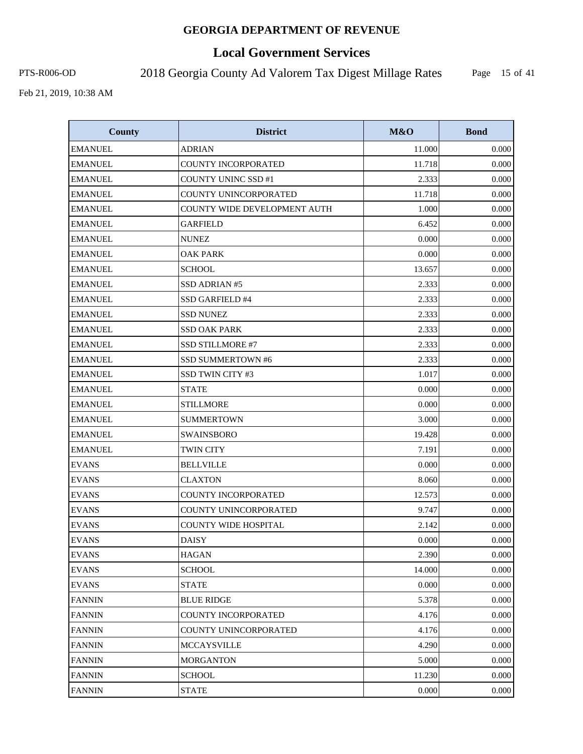# **Local Government Services**

PTS-R006-OD 2018 Georgia County Ad Valorem Tax Digest Millage Rates

Page 15 of 41

| <b>County</b>  | <b>District</b>              | M&O    | <b>Bond</b> |
|----------------|------------------------------|--------|-------------|
| <b>EMANUEL</b> | <b>ADRIAN</b>                | 11.000 | 0.000       |
| <b>EMANUEL</b> | COUNTY INCORPORATED          | 11.718 | 0.000       |
| <b>EMANUEL</b> | <b>COUNTY UNINC SSD #1</b>   | 2.333  | 0.000       |
| <b>EMANUEL</b> | COUNTY UNINCORPORATED        | 11.718 | 0.000       |
| <b>EMANUEL</b> | COUNTY WIDE DEVELOPMENT AUTH | 1.000  | 0.000       |
| <b>EMANUEL</b> | <b>GARFIELD</b>              | 6.452  | 0.000       |
| <b>EMANUEL</b> | <b>NUNEZ</b>                 | 0.000  | 0.000       |
| <b>EMANUEL</b> | <b>OAK PARK</b>              | 0.000  | 0.000       |
| <b>EMANUEL</b> | <b>SCHOOL</b>                | 13.657 | 0.000       |
| <b>EMANUEL</b> | SSD ADRIAN #5                | 2.333  | 0.000       |
| <b>EMANUEL</b> | SSD GARFIELD #4              | 2.333  | 0.000       |
| <b>EMANUEL</b> | <b>SSD NUNEZ</b>             | 2.333  | 0.000       |
| <b>EMANUEL</b> | <b>SSD OAK PARK</b>          | 2.333  | 0.000       |
| <b>EMANUEL</b> | SSD STILLMORE #7             | 2.333  | 0.000       |
| <b>EMANUEL</b> | <b>SSD SUMMERTOWN #6</b>     | 2.333  | 0.000       |
| <b>EMANUEL</b> | SSD TWIN CITY #3             | 1.017  | 0.000       |
| <b>EMANUEL</b> | <b>STATE</b>                 | 0.000  | 0.000       |
| <b>EMANUEL</b> | <b>STILLMORE</b>             | 0.000  | 0.000       |
| <b>EMANUEL</b> | <b>SUMMERTOWN</b>            | 3.000  | 0.000       |
| <b>EMANUEL</b> | SWAINSBORO                   | 19.428 | 0.000       |
| <b>EMANUEL</b> | <b>TWIN CITY</b>             | 7.191  | 0.000       |
| <b>EVANS</b>   | <b>BELLVILLE</b>             | 0.000  | 0.000       |
| <b>EVANS</b>   | <b>CLAXTON</b>               | 8.060  | 0.000       |
| <b>EVANS</b>   | COUNTY INCORPORATED          | 12.573 | 0.000       |
| <b>EVANS</b>   | COUNTY UNINCORPORATED        | 9.747  | 0.000       |
| <b>EVANS</b>   | <b>COUNTY WIDE HOSPITAL</b>  | 2.142  | 0.000       |
| <b>EVANS</b>   | <b>DAISY</b>                 | 0.000  | 0.000       |
| <b>EVANS</b>   | <b>HAGAN</b>                 | 2.390  | 0.000       |
| <b>EVANS</b>   | <b>SCHOOL</b>                | 14.000 | 0.000       |
| <b>EVANS</b>   | <b>STATE</b>                 | 0.000  | 0.000       |
| <b>FANNIN</b>  | <b>BLUE RIDGE</b>            | 5.378  | 0.000       |
| <b>FANNIN</b>  | COUNTY INCORPORATED          | 4.176  | 0.000       |
| <b>FANNIN</b>  | COUNTY UNINCORPORATED        | 4.176  | 0.000       |
| <b>FANNIN</b>  | MCCAYSVILLE                  | 4.290  | 0.000       |
| <b>FANNIN</b>  | <b>MORGANTON</b>             | 5.000  | 0.000       |
| <b>FANNIN</b>  | <b>SCHOOL</b>                | 11.230 | 0.000       |
| <b>FANNIN</b>  | <b>STATE</b>                 | 0.000  | 0.000       |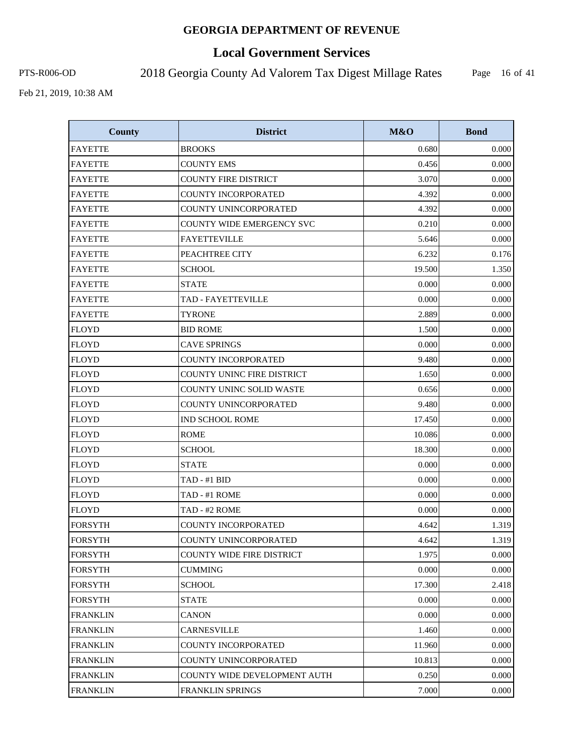# **Local Government Services**

PTS-R006-OD 2018 Georgia County Ad Valorem Tax Digest Millage Rates

Page 16 of 41

| <b>County</b>   | <b>District</b>                   | M&O    | <b>Bond</b> |
|-----------------|-----------------------------------|--------|-------------|
| <b>FAYETTE</b>  | <b>BROOKS</b>                     | 0.680  | 0.000       |
| <b>FAYETTE</b>  | <b>COUNTY EMS</b>                 | 0.456  | 0.000       |
| <b>FAYETTE</b>  | <b>COUNTY FIRE DISTRICT</b>       | 3.070  | 0.000       |
| <b>FAYETTE</b>  | <b>COUNTY INCORPORATED</b>        | 4.392  | 0.000       |
| <b>FAYETTE</b>  | COUNTY UNINCORPORATED             | 4.392  | 0.000       |
| <b>FAYETTE</b>  | <b>COUNTY WIDE EMERGENCY SVC</b>  | 0.210  | 0.000       |
| <b>FAYETTE</b>  | <b>FAYETTEVILLE</b>               | 5.646  | 0.000       |
| <b>FAYETTE</b>  | PEACHTREE CITY                    | 6.232  | 0.176       |
| <b>FAYETTE</b>  | <b>SCHOOL</b>                     | 19.500 | 1.350       |
| <b>FAYETTE</b>  | <b>STATE</b>                      | 0.000  | 0.000       |
| <b>FAYETTE</b>  | TAD - FAYETTEVILLE                | 0.000  | 0.000       |
| <b>FAYETTE</b>  | <b>TYRONE</b>                     | 2.889  | 0.000       |
| <b>FLOYD</b>    | <b>BID ROME</b>                   | 1.500  | 0.000       |
| <b>FLOYD</b>    | <b>CAVE SPRINGS</b>               | 0.000  | 0.000       |
| <b>FLOYD</b>    | COUNTY INCORPORATED               | 9.480  | 0.000       |
| <b>FLOYD</b>    | <b>COUNTY UNINC FIRE DISTRICT</b> | 1.650  | 0.000       |
| <b>FLOYD</b>    | <b>COUNTY UNINC SOLID WASTE</b>   | 0.656  | 0.000       |
| <b>FLOYD</b>    | COUNTY UNINCORPORATED             | 9.480  | 0.000       |
| <b>FLOYD</b>    | IND SCHOOL ROME                   | 17.450 | 0.000       |
| <b>FLOYD</b>    | <b>ROME</b>                       | 10.086 | 0.000       |
| <b>FLOYD</b>    | <b>SCHOOL</b>                     | 18.300 | 0.000       |
| <b>FLOYD</b>    | <b>STATE</b>                      | 0.000  | 0.000       |
| <b>FLOYD</b>    | TAD - #1 BID                      | 0.000  | 0.000       |
| <b>FLOYD</b>    | TAD - #1 ROME                     | 0.000  | 0.000       |
| <b>FLOYD</b>    | TAD - #2 ROME                     | 0.000  | 0.000       |
| <b>FORSYTH</b>  | <b>COUNTY INCORPORATED</b>        | 4.642  | 1.319       |
| <b>FORSYTH</b>  | COUNTY UNINCORPORATED             | 4.642  | 1.319       |
| <b>FORSYTH</b>  | COUNTY WIDE FIRE DISTRICT         | 1.975  | 0.000       |
| <b>FORSYTH</b>  | CUMMING                           | 0.000  | 0.000       |
| <b>FORSYTH</b>  | SCHOOL                            | 17.300 | 2.418       |
| <b>FORSYTH</b>  | <b>STATE</b>                      | 0.000  | 0.000       |
| <b>FRANKLIN</b> | CANON                             | 0.000  | 0.000       |
| <b>FRANKLIN</b> | CARNESVILLE                       | 1.460  | 0.000       |
| <b>FRANKLIN</b> | COUNTY INCORPORATED               | 11.960 | 0.000       |
| <b>FRANKLIN</b> | COUNTY UNINCORPORATED             | 10.813 | 0.000       |
| <b>FRANKLIN</b> | COUNTY WIDE DEVELOPMENT AUTH      | 0.250  | 0.000       |
| <b>FRANKLIN</b> | FRANKLIN SPRINGS                  | 7.000  | 0.000       |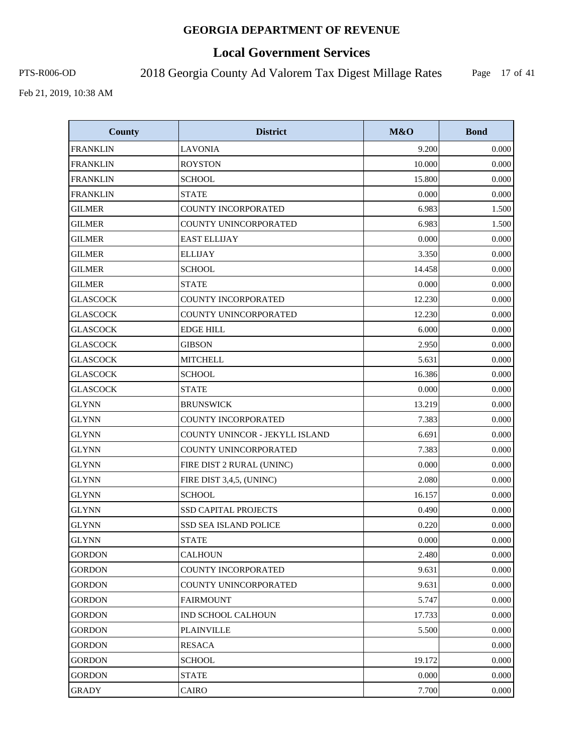# **Local Government Services**

PTS-R006-OD 2018 Georgia County Ad Valorem Tax Digest Millage Rates

Page 17 of 41

| <b>County</b>   | <b>District</b>                | <b>M&amp;O</b> | <b>Bond</b> |
|-----------------|--------------------------------|----------------|-------------|
| <b>FRANKLIN</b> | <b>LAVONIA</b>                 | 9.200          | 0.000       |
| <b>FRANKLIN</b> | <b>ROYSTON</b>                 | 10.000         | 0.000       |
| <b>FRANKLIN</b> | <b>SCHOOL</b>                  | 15.800         | 0.000       |
| <b>FRANKLIN</b> | <b>STATE</b>                   | 0.000          | 0.000       |
| <b>GILMER</b>   | <b>COUNTY INCORPORATED</b>     | 6.983          | 1.500       |
| <b>GILMER</b>   | COUNTY UNINCORPORATED          | 6.983          | 1.500       |
| <b>GILMER</b>   | <b>EAST ELLIJAY</b>            | 0.000          | 0.000       |
| <b>GILMER</b>   | <b>ELLIJAY</b>                 | 3.350          | 0.000       |
| <b>GILMER</b>   | <b>SCHOOL</b>                  | 14.458         | 0.000       |
| <b>GILMER</b>   | <b>STATE</b>                   | 0.000          | 0.000       |
| <b>GLASCOCK</b> | <b>COUNTY INCORPORATED</b>     | 12.230         | 0.000       |
| <b>GLASCOCK</b> | COUNTY UNINCORPORATED          | 12.230         | 0.000       |
| <b>GLASCOCK</b> | <b>EDGE HILL</b>               | 6.000          | 0.000       |
| <b>GLASCOCK</b> | <b>GIBSON</b>                  | 2.950          | 0.000       |
| <b>GLASCOCK</b> | <b>MITCHELL</b>                | 5.631          | 0.000       |
| <b>GLASCOCK</b> | <b>SCHOOL</b>                  | 16.386         | 0.000       |
| <b>GLASCOCK</b> | <b>STATE</b>                   | 0.000          | 0.000       |
| <b>GLYNN</b>    | <b>BRUNSWICK</b>               | 13.219         | 0.000       |
| <b>GLYNN</b>    | COUNTY INCORPORATED            | 7.383          | 0.000       |
| <b>GLYNN</b>    | COUNTY UNINCOR - JEKYLL ISLAND | 6.691          | 0.000       |
| <b>GLYNN</b>    | COUNTY UNINCORPORATED          | 7.383          | 0.000       |
| <b>GLYNN</b>    | FIRE DIST 2 RURAL (UNINC)      | 0.000          | 0.000       |
| <b>GLYNN</b>    | FIRE DIST 3,4,5, (UNINC)       | 2.080          | 0.000       |
| <b>GLYNN</b>    | <b>SCHOOL</b>                  | 16.157         | 0.000       |
| <b>GLYNN</b>    | <b>SSD CAPITAL PROJECTS</b>    | 0.490          | 0.000       |
| <b>GLYNN</b>    | <b>SSD SEA ISLAND POLICE</b>   | 0.220          | 0.000       |
| <b>GLYNN</b>    | <b>STATE</b>                   | 0.000          | 0.000       |
| <b>GORDON</b>   | <b>CALHOUN</b>                 | 2.480          | 0.000       |
| <b>GORDON</b>   | COUNTY INCORPORATED            | 9.631          | 0.000       |
| <b>GORDON</b>   | COUNTY UNINCORPORATED          | 9.631          | 0.000       |
| <b>GORDON</b>   | <b>FAIRMOUNT</b>               | 5.747          | 0.000       |
| <b>GORDON</b>   | <b>IND SCHOOL CALHOUN</b>      | 17.733         | 0.000       |
| <b>GORDON</b>   | <b>PLAINVILLE</b>              | 5.500          | 0.000       |
| <b>GORDON</b>   | <b>RESACA</b>                  |                | 0.000       |
| <b>GORDON</b>   | <b>SCHOOL</b>                  | 19.172         | 0.000       |
| <b>GORDON</b>   | <b>STATE</b>                   | 0.000          | 0.000       |
| GRADY           | CAIRO                          | 7.700          | 0.000       |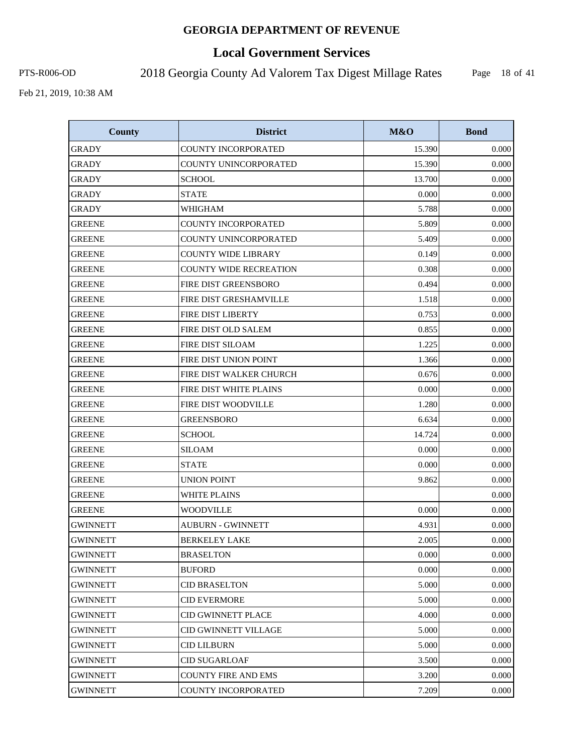# **Local Government Services**

PTS-R006-OD 2018 Georgia County Ad Valorem Tax Digest Millage Rates

Page 18 of 41

| <b>County</b>   | <b>District</b>               | M&O    | <b>Bond</b> |
|-----------------|-------------------------------|--------|-------------|
| <b>GRADY</b>    | COUNTY INCORPORATED           | 15.390 | 0.000       |
| <b>GRADY</b>    | COUNTY UNINCORPORATED         | 15.390 | 0.000       |
| <b>GRADY</b>    | <b>SCHOOL</b>                 | 13.700 | 0.000       |
| <b>GRADY</b>    | <b>STATE</b>                  | 0.000  | 0.000       |
| <b>GRADY</b>    | WHIGHAM                       | 5.788  | 0.000       |
| <b>GREENE</b>   | <b>COUNTY INCORPORATED</b>    | 5.809  | 0.000       |
| <b>GREENE</b>   | COUNTY UNINCORPORATED         | 5.409  | 0.000       |
| <b>GREENE</b>   | <b>COUNTY WIDE LIBRARY</b>    | 0.149  | 0.000       |
| <b>GREENE</b>   | <b>COUNTY WIDE RECREATION</b> | 0.308  | 0.000       |
| <b>GREENE</b>   | FIRE DIST GREENSBORO          | 0.494  | 0.000       |
| <b>GREENE</b>   | FIRE DIST GRESHAMVILLE        | 1.518  | 0.000       |
| <b>GREENE</b>   | FIRE DIST LIBERTY             | 0.753  | 0.000       |
| <b>GREENE</b>   | FIRE DIST OLD SALEM           | 0.855  | 0.000       |
| GREENE          | <b>FIRE DIST SILOAM</b>       | 1.225  | 0.000       |
| <b>GREENE</b>   | FIRE DIST UNION POINT         | 1.366  | 0.000       |
| <b>GREENE</b>   | FIRE DIST WALKER CHURCH       | 0.676  | 0.000       |
| <b>GREENE</b>   | FIRE DIST WHITE PLAINS        | 0.000  | 0.000       |
| <b>GREENE</b>   | FIRE DIST WOODVILLE           | 1.280  | 0.000       |
| <b>GREENE</b>   | <b>GREENSBORO</b>             | 6.634  | 0.000       |
| <b>GREENE</b>   | <b>SCHOOL</b>                 | 14.724 | 0.000       |
| <b>GREENE</b>   | <b>SILOAM</b>                 | 0.000  | 0.000       |
| <b>GREENE</b>   | <b>STATE</b>                  | 0.000  | 0.000       |
| <b>GREENE</b>   | <b>UNION POINT</b>            | 9.862  | 0.000       |
| <b>GREENE</b>   | <b>WHITE PLAINS</b>           |        | 0.000       |
| <b>GREENE</b>   | <b>WOODVILLE</b>              | 0.000  | 0.000       |
| <b>GWINNETT</b> | <b>AUBURN - GWINNETT</b>      | 4.931  | 0.000       |
| <b>GWINNETT</b> | <b>BERKELEY LAKE</b>          | 2.005  | 0.000       |
| <b>GWINNETT</b> | <b>BRASELTON</b>              | 0.000  | 0.000       |
| <b>GWINNETT</b> | <b>BUFORD</b>                 | 0.000  | 0.000       |
| <b>GWINNETT</b> | <b>CID BRASELTON</b>          | 5.000  | 0.000       |
| <b>GWINNETT</b> | <b>CID EVERMORE</b>           | 5.000  | 0.000       |
| <b>GWINNETT</b> | CID GWINNETT PLACE            | 4.000  | 0.000       |
| <b>GWINNETT</b> | <b>CID GWINNETT VILLAGE</b>   | 5.000  | 0.000       |
| <b>GWINNETT</b> | <b>CID LILBURN</b>            | 5.000  | 0.000       |
| <b>GWINNETT</b> | <b>CID SUGARLOAF</b>          | 3.500  | 0.000       |
| <b>GWINNETT</b> | <b>COUNTY FIRE AND EMS</b>    | 3.200  | 0.000       |
| <b>GWINNETT</b> | COUNTY INCORPORATED           | 7.209  | 0.000       |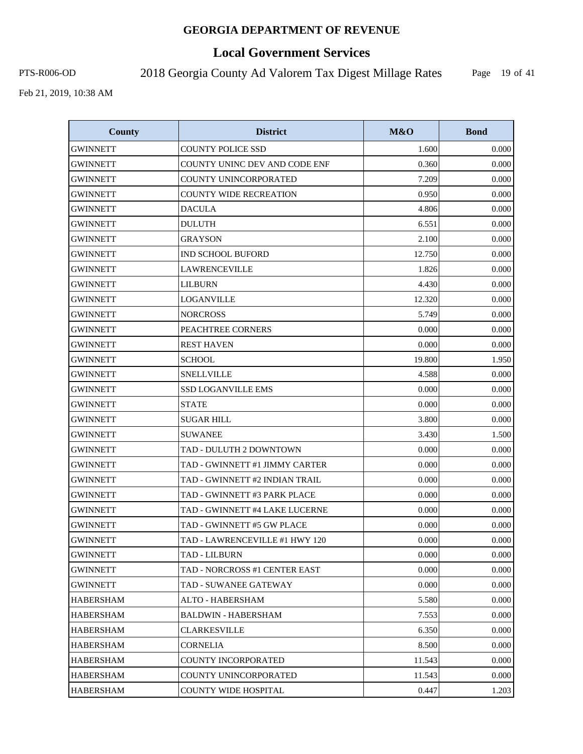# **Local Government Services**

PTS-R006-OD 2018 Georgia County Ad Valorem Tax Digest Millage Rates

Page 19 of 41

| <b>County</b>    | <b>District</b>                | <b>M&amp;O</b> | <b>Bond</b> |
|------------------|--------------------------------|----------------|-------------|
| <b>GWINNETT</b>  | <b>COUNTY POLICE SSD</b>       | 1.600          | 0.000       |
| <b>GWINNETT</b>  | COUNTY UNINC DEV AND CODE ENF  | 0.360          | 0.000       |
| <b>GWINNETT</b>  | COUNTY UNINCORPORATED          | 7.209          | 0.000       |
| <b>GWINNETT</b>  | <b>COUNTY WIDE RECREATION</b>  | 0.950          | 0.000       |
| <b>GWINNETT</b>  | <b>DACULA</b>                  | 4.806          | 0.000       |
| <b>GWINNETT</b>  | <b>DULUTH</b>                  | 6.551          | 0.000       |
| <b>GWINNETT</b>  | <b>GRAYSON</b>                 | 2.100          | 0.000       |
| GWINNETT         | IND SCHOOL BUFORD              | 12.750         | 0.000       |
| <b>GWINNETT</b>  | <b>LAWRENCEVILLE</b>           | 1.826          | 0.000       |
| <b>GWINNETT</b>  | <b>LILBURN</b>                 | 4.430          | 0.000       |
| <b>GWINNETT</b>  | <b>LOGANVILLE</b>              | 12.320         | 0.000       |
| <b>GWINNETT</b>  | <b>NORCROSS</b>                | 5.749          | 0.000       |
| <b>GWINNETT</b>  | PEACHTREE CORNERS              | 0.000          | 0.000       |
| <b>GWINNETT</b>  | <b>REST HAVEN</b>              | 0.000          | 0.000       |
| <b>GWINNETT</b>  | <b>SCHOOL</b>                  | 19.800         | 1.950       |
| <b>GWINNETT</b>  | <b>SNELLVILLE</b>              | 4.588          | 0.000       |
| <b>GWINNETT</b>  | <b>SSD LOGANVILLE EMS</b>      | 0.000          | 0.000       |
| <b>GWINNETT</b>  | <b>STATE</b>                   | 0.000          | 0.000       |
| GWINNETT         | <b>SUGAR HILL</b>              | 3.800          | 0.000       |
| <b>GWINNETT</b>  | <b>SUWANEE</b>                 | 3.430          | 1.500       |
| <b>GWINNETT</b>  | TAD - DULUTH 2 DOWNTOWN        | 0.000          | 0.000       |
| <b>GWINNETT</b>  | TAD - GWINNETT #1 JIMMY CARTER | 0.000          | 0.000       |
| <b>GWINNETT</b>  | TAD - GWINNETT #2 INDIAN TRAIL | 0.000          | 0.000       |
| <b>GWINNETT</b>  | TAD - GWINNETT #3 PARK PLACE   | 0.000          | 0.000       |
| <b>GWINNETT</b>  | TAD - GWINNETT #4 LAKE LUCERNE | 0.000          | 0.000       |
| <b>GWINNETT</b>  | TAD - GWINNETT #5 GW PLACE     | 0.000          | 0.000       |
| <b>GWINNETT</b>  | TAD - LAWRENCEVILLE #1 HWY 120 | 0.000          | 0.000       |
| <b>GWINNETT</b>  | TAD - LILBURN                  | 0.000          | 0.000       |
| GWINNETT         | TAD - NORCROSS #1 CENTER EAST  | 0.000          | 0.000       |
| GWINNETT         | TAD - SUWANEE GATEWAY          | 0.000          | 0.000       |
| <b>HABERSHAM</b> | ALTO - HABERSHAM               | 5.580          | 0.000       |
| HABERSHAM        | <b>BALDWIN - HABERSHAM</b>     | 7.553          | 0.000       |
| <b>HABERSHAM</b> | <b>CLARKESVILLE</b>            | 6.350          | 0.000       |
| HABERSHAM        | CORNELIA                       | 8.500          | 0.000       |
| <b>HABERSHAM</b> | COUNTY INCORPORATED            | 11.543         | 0.000       |
| <b>HABERSHAM</b> | COUNTY UNINCORPORATED          | 11.543         | 0.000       |
| <b>HABERSHAM</b> | COUNTY WIDE HOSPITAL           | 0.447          | 1.203       |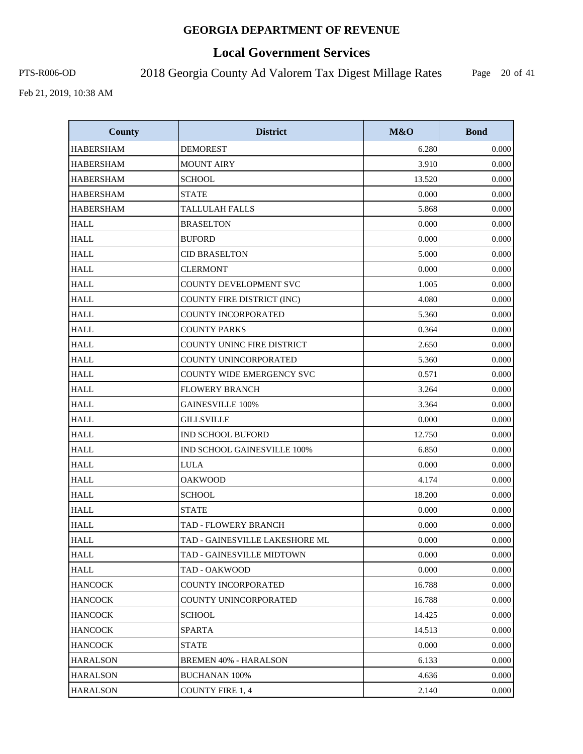# **Local Government Services**

PTS-R006-OD 2018 Georgia County Ad Valorem Tax Digest Millage Rates

Page 20 of 41

| <b>County</b>    | <b>District</b>                   | M&O    | <b>Bond</b> |
|------------------|-----------------------------------|--------|-------------|
| <b>HABERSHAM</b> | <b>DEMOREST</b>                   | 6.280  | 0.000       |
| <b>HABERSHAM</b> | <b>MOUNT AIRY</b>                 | 3.910  | 0.000       |
| <b>HABERSHAM</b> | <b>SCHOOL</b>                     | 13.520 | 0.000       |
| <b>HABERSHAM</b> | <b>STATE</b>                      | 0.000  | 0.000       |
| <b>HABERSHAM</b> | <b>TALLULAH FALLS</b>             | 5.868  | 0.000       |
| <b>HALL</b>      | <b>BRASELTON</b>                  | 0.000  | 0.000       |
| <b>HALL</b>      | <b>BUFORD</b>                     | 0.000  | 0.000       |
| <b>HALL</b>      | <b>CID BRASELTON</b>              | 5.000  | 0.000       |
| <b>HALL</b>      | <b>CLERMONT</b>                   | 0.000  | 0.000       |
| <b>HALL</b>      | COUNTY DEVELOPMENT SVC            | 1.005  | 0.000       |
| <b>HALL</b>      | COUNTY FIRE DISTRICT (INC)        | 4.080  | 0.000       |
| <b>HALL</b>      | COUNTY INCORPORATED               | 5.360  | 0.000       |
| <b>HALL</b>      | <b>COUNTY PARKS</b>               | 0.364  | 0.000       |
| <b>HALL</b>      | <b>COUNTY UNINC FIRE DISTRICT</b> | 2.650  | 0.000       |
| <b>HALL</b>      | COUNTY UNINCORPORATED             | 5.360  | 0.000       |
| <b>HALL</b>      | <b>COUNTY WIDE EMERGENCY SVC</b>  | 0.571  | 0.000       |
| <b>HALL</b>      | <b>FLOWERY BRANCH</b>             | 3.264  | 0.000       |
| <b>HALL</b>      | <b>GAINESVILLE 100%</b>           | 3.364  | 0.000       |
| <b>HALL</b>      | <b>GILLSVILLE</b>                 | 0.000  | 0.000       |
| <b>HALL</b>      | <b>IND SCHOOL BUFORD</b>          | 12.750 | 0.000       |
| <b>HALL</b>      | IND SCHOOL GAINESVILLE 100%       | 6.850  | 0.000       |
| <b>HALL</b>      | <b>LULA</b>                       | 0.000  | 0.000       |
| <b>HALL</b>      | <b>OAKWOOD</b>                    | 4.174  | 0.000       |
| <b>HALL</b>      | <b>SCHOOL</b>                     | 18.200 | 0.000       |
| <b>HALL</b>      | <b>STATE</b>                      | 0.000  | 0.000       |
| <b>HALL</b>      | TAD - FLOWERY BRANCH              | 0.000  | 0.000       |
| <b>HALL</b>      | TAD - GAINESVILLE LAKESHORE ML    | 0.000  | 0.000       |
| <b>HALL</b>      | TAD - GAINESVILLE MIDTOWN         | 0.000  | 0.000       |
| <b>HALL</b>      | TAD - OAKWOOD                     | 0.000  | 0.000       |
| <b>HANCOCK</b>   | COUNTY INCORPORATED               | 16.788 | 0.000       |
| <b>HANCOCK</b>   | COUNTY UNINCORPORATED             | 16.788 | 0.000       |
| <b>HANCOCK</b>   | <b>SCHOOL</b>                     | 14.425 | 0.000       |
| <b>HANCOCK</b>   | <b>SPARTA</b>                     | 14.513 | 0.000       |
| <b>HANCOCK</b>   | <b>STATE</b>                      | 0.000  | 0.000       |
| <b>HARALSON</b>  | <b>BREMEN 40% - HARALSON</b>      | 6.133  | 0.000       |
| <b>HARALSON</b>  | <b>BUCHANAN 100%</b>              | 4.636  | 0.000       |
| <b>HARALSON</b>  | <b>COUNTY FIRE 1, 4</b>           | 2.140  | 0.000       |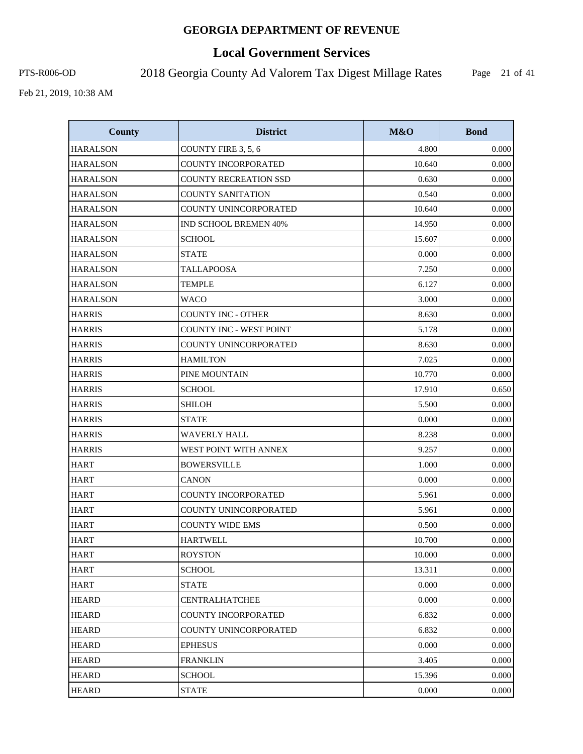# **Local Government Services**

PTS-R006-OD 2018 Georgia County Ad Valorem Tax Digest Millage Rates

Page 21 of 41

| <b>County</b>   | <b>District</b>                | M&O    | <b>Bond</b> |
|-----------------|--------------------------------|--------|-------------|
| <b>HARALSON</b> | COUNTY FIRE 3, 5, 6            | 4.800  | 0.000       |
| <b>HARALSON</b> | COUNTY INCORPORATED            | 10.640 | 0.000       |
| <b>HARALSON</b> | <b>COUNTY RECREATION SSD</b>   | 0.630  | 0.000       |
| <b>HARALSON</b> | <b>COUNTY SANITATION</b>       | 0.540  | 0.000       |
| <b>HARALSON</b> | COUNTY UNINCORPORATED          | 10.640 | 0.000       |
| <b>HARALSON</b> | <b>IND SCHOOL BREMEN 40%</b>   | 14.950 | 0.000       |
| <b>HARALSON</b> | <b>SCHOOL</b>                  | 15.607 | 0.000       |
| <b>HARALSON</b> | <b>STATE</b>                   | 0.000  | 0.000       |
| <b>HARALSON</b> | <b>TALLAPOOSA</b>              | 7.250  | 0.000       |
| <b>HARALSON</b> | <b>TEMPLE</b>                  | 6.127  | 0.000       |
| <b>HARALSON</b> | <b>WACO</b>                    | 3.000  | 0.000       |
| <b>HARRIS</b>   | <b>COUNTY INC - OTHER</b>      | 8.630  | 0.000       |
| <b>HARRIS</b>   | <b>COUNTY INC - WEST POINT</b> | 5.178  | 0.000       |
| <b>HARRIS</b>   | COUNTY UNINCORPORATED          | 8.630  | 0.000       |
| <b>HARRIS</b>   | <b>HAMILTON</b>                | 7.025  | 0.000       |
| <b>HARRIS</b>   | PINE MOUNTAIN                  | 10.770 | 0.000       |
| <b>HARRIS</b>   | <b>SCHOOL</b>                  | 17.910 | 0.650       |
| <b>HARRIS</b>   | <b>SHILOH</b>                  | 5.500  | 0.000       |
| <b>HARRIS</b>   | <b>STATE</b>                   | 0.000  | 0.000       |
| <b>HARRIS</b>   | <b>WAVERLY HALL</b>            | 8.238  | 0.000       |
| <b>HARRIS</b>   | WEST POINT WITH ANNEX          | 9.257  | 0.000       |
| <b>HART</b>     | <b>BOWERSVILLE</b>             | 1.000  | 0.000       |
| <b>HART</b>     | <b>CANON</b>                   | 0.000  | 0.000       |
| <b>HART</b>     | COUNTY INCORPORATED            | 5.961  | 0.000       |
| <b>HART</b>     | COUNTY UNINCORPORATED          | 5.961  | 0.000       |
| <b>HART</b>     | <b>COUNTY WIDE EMS</b>         | 0.500  | 0.000       |
| <b>HART</b>     | <b>HARTWELL</b>                | 10.700 | 0.000       |
| <b>HART</b>     | <b>ROYSTON</b>                 | 10.000 | 0.000       |
| <b>HART</b>     | <b>SCHOOL</b>                  | 13.311 | 0.000       |
| <b>HART</b>     | <b>STATE</b>                   | 0.000  | 0.000       |
| <b>HEARD</b>    | <b>CENTRALHATCHEE</b>          | 0.000  | 0.000       |
| <b>HEARD</b>    | <b>COUNTY INCORPORATED</b>     | 6.832  | 0.000       |
| <b>HEARD</b>    | COUNTY UNINCORPORATED          | 6.832  | 0.000       |
| <b>HEARD</b>    | <b>EPHESUS</b>                 | 0.000  | 0.000       |
| <b>HEARD</b>    | <b>FRANKLIN</b>                | 3.405  | 0.000       |
| <b>HEARD</b>    | <b>SCHOOL</b>                  | 15.396 | 0.000       |
| <b>HEARD</b>    | <b>STATE</b>                   | 0.000  | 0.000       |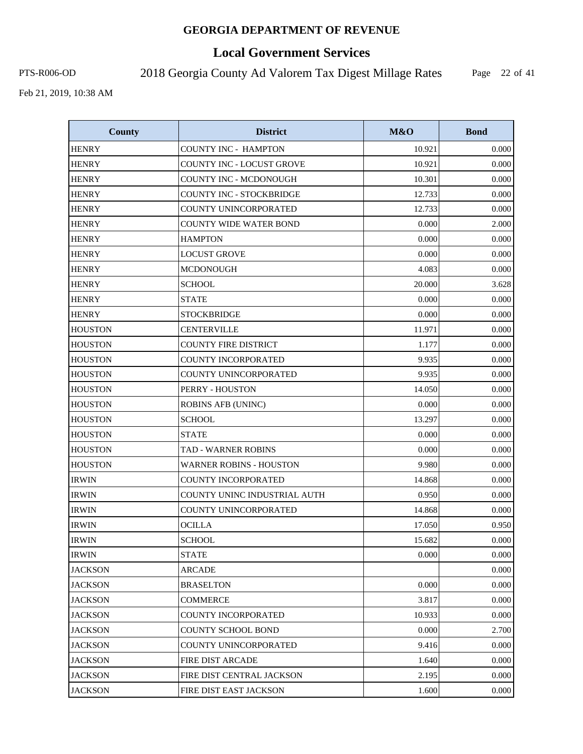# **Local Government Services**

PTS-R006-OD 2018 Georgia County Ad Valorem Tax Digest Millage Rates

Page 22 of 41

| <b>County</b>  | <b>District</b>                 | M&O    | <b>Bond</b> |
|----------------|---------------------------------|--------|-------------|
| <b>HENRY</b>   | <b>COUNTY INC - HAMPTON</b>     | 10.921 | 0.000       |
| <b>HENRY</b>   | COUNTY INC - LOCUST GROVE       | 10.921 | 0.000       |
| <b>HENRY</b>   | COUNTY INC - MCDONOUGH          | 10.301 | 0.000       |
| <b>HENRY</b>   | <b>COUNTY INC - STOCKBRIDGE</b> | 12.733 | 0.000       |
| <b>HENRY</b>   | COUNTY UNINCORPORATED           | 12.733 | 0.000       |
| <b>HENRY</b>   | <b>COUNTY WIDE WATER BOND</b>   | 0.000  | 2.000       |
| <b>HENRY</b>   | <b>HAMPTON</b>                  | 0.000  | 0.000       |
| <b>HENRY</b>   | <b>LOCUST GROVE</b>             | 0.000  | 0.000       |
| <b>HENRY</b>   | <b>MCDONOUGH</b>                | 4.083  | 0.000       |
| <b>HENRY</b>   | <b>SCHOOL</b>                   | 20.000 | 3.628       |
| <b>HENRY</b>   | <b>STATE</b>                    | 0.000  | 0.000       |
| <b>HENRY</b>   | <b>STOCKBRIDGE</b>              | 0.000  | 0.000       |
| <b>HOUSTON</b> | <b>CENTERVILLE</b>              | 11.971 | 0.000       |
| <b>HOUSTON</b> | <b>COUNTY FIRE DISTRICT</b>     | 1.177  | 0.000       |
| <b>HOUSTON</b> | <b>COUNTY INCORPORATED</b>      | 9.935  | 0.000       |
| <b>HOUSTON</b> | <b>COUNTY UNINCORPORATED</b>    | 9.935  | 0.000       |
| <b>HOUSTON</b> | PERRY - HOUSTON                 | 14.050 | 0.000       |
| <b>HOUSTON</b> | <b>ROBINS AFB (UNINC)</b>       | 0.000  | 0.000       |
| <b>HOUSTON</b> | <b>SCHOOL</b>                   | 13.297 | 0.000       |
| <b>HOUSTON</b> | <b>STATE</b>                    | 0.000  | 0.000       |
| <b>HOUSTON</b> | TAD - WARNER ROBINS             | 0.000  | 0.000       |
| <b>HOUSTON</b> | <b>WARNER ROBINS - HOUSTON</b>  | 9.980  | 0.000       |
| <b>IRWIN</b>   | <b>COUNTY INCORPORATED</b>      | 14.868 | 0.000       |
| <b>IRWIN</b>   | COUNTY UNINC INDUSTRIAL AUTH    | 0.950  | 0.000       |
| <b>IRWIN</b>   | COUNTY UNINCORPORATED           | 14.868 | 0.000       |
| <b>IRWIN</b>   | <b>OCILLA</b>                   | 17.050 | 0.950       |
| <b>IRWIN</b>   | <b>SCHOOL</b>                   | 15.682 | 0.000       |
| <b>IRWIN</b>   | <b>STATE</b>                    | 0.000  | 0.000       |
| JACKSON        | ARCADE                          |        | 0.000       |
| <b>JACKSON</b> | <b>BRASELTON</b>                | 0.000  | 0.000       |
| <b>JACKSON</b> | <b>COMMERCE</b>                 | 3.817  | 0.000       |
| <b>JACKSON</b> | COUNTY INCORPORATED             | 10.933 | 0.000       |
| <b>JACKSON</b> | <b>COUNTY SCHOOL BOND</b>       | 0.000  | 2.700       |
| JACKSON        | COUNTY UNINCORPORATED           | 9.416  | 0.000       |
| <b>JACKSON</b> | FIRE DIST ARCADE                | 1.640  | 0.000       |
| <b>JACKSON</b> | FIRE DIST CENTRAL JACKSON       | 2.195  | 0.000       |
| <b>JACKSON</b> | FIRE DIST EAST JACKSON          | 1.600  | 0.000       |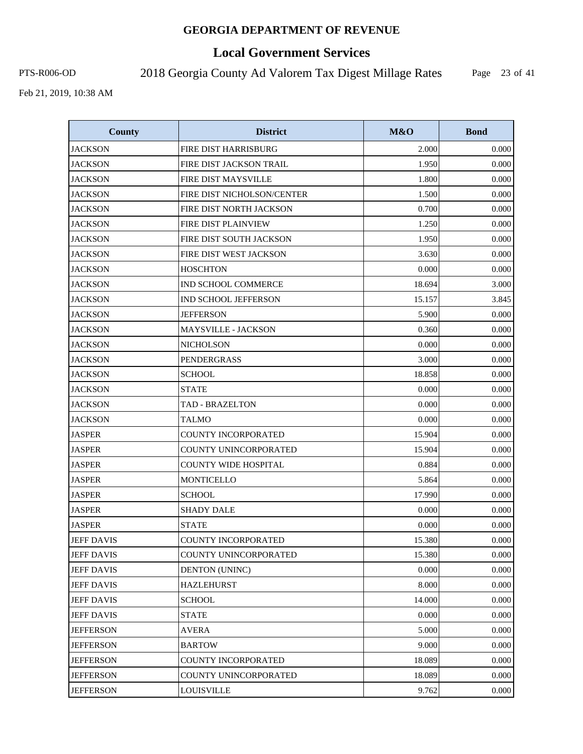# **Local Government Services**

PTS-R006-OD 2018 Georgia County Ad Valorem Tax Digest Millage Rates

Page 23 of 41

| <b>County</b>     | <b>District</b>                | M&O    | <b>Bond</b> |
|-------------------|--------------------------------|--------|-------------|
| <b>JACKSON</b>    | FIRE DIST HARRISBURG           | 2.000  | 0.000       |
| <b>JACKSON</b>    | <b>FIRE DIST JACKSON TRAIL</b> | 1.950  | 0.000       |
| <b>JACKSON</b>    | FIRE DIST MAYSVILLE            | 1.800  | 0.000       |
| <b>JACKSON</b>    | FIRE DIST NICHOLSON/CENTER     | 1.500  | 0.000       |
| <b>JACKSON</b>    | FIRE DIST NORTH JACKSON        | 0.700  | 0.000       |
| <b>JACKSON</b>    | FIRE DIST PLAINVIEW            | 1.250  | 0.000       |
| <b>JACKSON</b>    | FIRE DIST SOUTH JACKSON        | 1.950  | 0.000       |
| <b>JACKSON</b>    | FIRE DIST WEST JACKSON         | 3.630  | 0.000       |
| <b>JACKSON</b>    | <b>HOSCHTON</b>                | 0.000  | 0.000       |
| <b>JACKSON</b>    | IND SCHOOL COMMERCE            | 18.694 | 3.000       |
| <b>JACKSON</b>    | IND SCHOOL JEFFERSON           | 15.157 | 3.845       |
| <b>JACKSON</b>    | <b>JEFFERSON</b>               | 5.900  | 0.000       |
| <b>JACKSON</b>    | <b>MAYSVILLE - JACKSON</b>     | 0.360  | 0.000       |
| <b>JACKSON</b>    | <b>NICHOLSON</b>               | 0.000  | 0.000       |
| <b>JACKSON</b>    | PENDERGRASS                    | 3.000  | 0.000       |
| <b>JACKSON</b>    | <b>SCHOOL</b>                  | 18.858 | 0.000       |
| <b>JACKSON</b>    | <b>STATE</b>                   | 0.000  | 0.000       |
| <b>JACKSON</b>    | <b>TAD - BRAZELTON</b>         | 0.000  | 0.000       |
| <b>JACKSON</b>    | <b>TALMO</b>                   | 0.000  | 0.000       |
| <b>JASPER</b>     | COUNTY INCORPORATED            | 15.904 | 0.000       |
| <b>JASPER</b>     | COUNTY UNINCORPORATED          | 15.904 | 0.000       |
| <b>JASPER</b>     | <b>COUNTY WIDE HOSPITAL</b>    | 0.884  | 0.000       |
| <b>JASPER</b>     | <b>MONTICELLO</b>              | 5.864  | 0.000       |
| <b>JASPER</b>     | <b>SCHOOL</b>                  | 17.990 | 0.000       |
| <b>JASPER</b>     | <b>SHADY DALE</b>              | 0.000  | 0.000       |
| <b>JASPER</b>     | <b>STATE</b>                   | 0.000  | 0.000       |
| <b>JEFF DAVIS</b> | COUNTY INCORPORATED            | 15.380 | 0.000       |
| <b>JEFF DAVIS</b> | COUNTY UNINCORPORATED          | 15.380 | 0.000       |
| <b>JEFF DAVIS</b> | <b>DENTON (UNINC)</b>          | 0.000  | 0.000       |
| <b>JEFF DAVIS</b> | <b>HAZLEHURST</b>              | 8.000  | 0.000       |
| <b>JEFF DAVIS</b> | <b>SCHOOL</b>                  | 14.000 | 0.000       |
| <b>JEFF DAVIS</b> | STATE                          | 0.000  | 0.000       |
| <b>JEFFERSON</b>  | <b>AVERA</b>                   | 5.000  | 0.000       |
| <b>JEFFERSON</b>  | <b>BARTOW</b>                  | 9.000  | 0.000       |
| <b>JEFFERSON</b>  | <b>COUNTY INCORPORATED</b>     | 18.089 | 0.000       |
| <b>JEFFERSON</b>  | COUNTY UNINCORPORATED          | 18.089 | 0.000       |
| <b>JEFFERSON</b>  | <b>LOUISVILLE</b>              | 9.762  | 0.000       |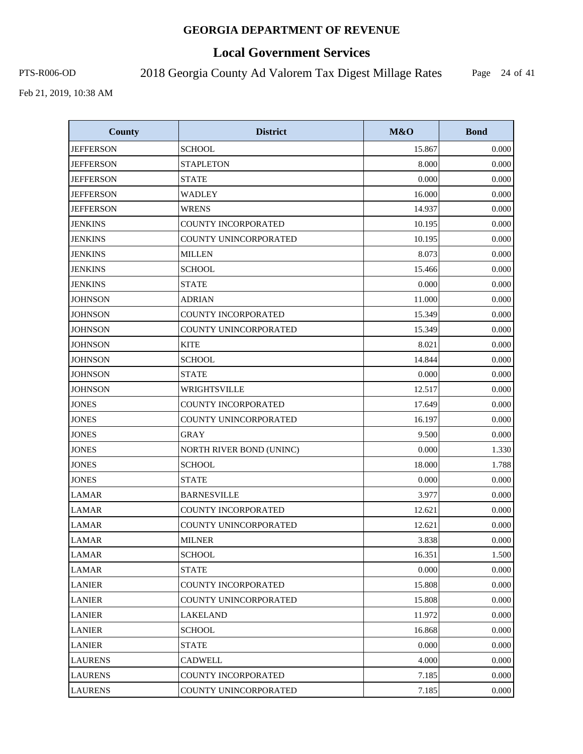# **Local Government Services**

PTS-R006-OD 2018 Georgia County Ad Valorem Tax Digest Millage Rates

Page 24 of 41

| <b>County</b>    | <b>District</b>            | M&O    | <b>Bond</b> |
|------------------|----------------------------|--------|-------------|
| <b>JEFFERSON</b> | <b>SCHOOL</b>              | 15.867 | 0.000       |
| <b>JEFFERSON</b> | <b>STAPLETON</b>           | 8.000  | 0.000       |
| <b>JEFFERSON</b> | <b>STATE</b>               | 0.000  | 0.000       |
| <b>JEFFERSON</b> | <b>WADLEY</b>              | 16.000 | 0.000       |
| <b>JEFFERSON</b> | <b>WRENS</b>               | 14.937 | 0.000       |
| <b>JENKINS</b>   | <b>COUNTY INCORPORATED</b> | 10.195 | 0.000       |
| <b>JENKINS</b>   | COUNTY UNINCORPORATED      | 10.195 | 0.000       |
| <b>JENKINS</b>   | <b>MILLEN</b>              | 8.073  | 0.000       |
| <b>JENKINS</b>   | <b>SCHOOL</b>              | 15.466 | 0.000       |
| <b>JENKINS</b>   | <b>STATE</b>               | 0.000  | 0.000       |
| <b>JOHNSON</b>   | <b>ADRIAN</b>              | 11.000 | 0.000       |
| <b>JOHNSON</b>   | COUNTY INCORPORATED        | 15.349 | 0.000       |
| <b>JOHNSON</b>   | COUNTY UNINCORPORATED      | 15.349 | 0.000       |
| <b>JOHNSON</b>   | <b>KITE</b>                | 8.021  | 0.000       |
| <b>JOHNSON</b>   | <b>SCHOOL</b>              | 14.844 | 0.000       |
| <b>JOHNSON</b>   | <b>STATE</b>               | 0.000  | 0.000       |
| <b>JOHNSON</b>   | WRIGHTSVILLE               | 12.517 | 0.000       |
| <b>JONES</b>     | COUNTY INCORPORATED        | 17.649 | 0.000       |
| <b>JONES</b>     | COUNTY UNINCORPORATED      | 16.197 | 0.000       |
| <b>JONES</b>     | <b>GRAY</b>                | 9.500  | 0.000       |
| <b>JONES</b>     | NORTH RIVER BOND (UNINC)   | 0.000  | 1.330       |
| <b>JONES</b>     | <b>SCHOOL</b>              | 18.000 | 1.788       |
| <b>JONES</b>     | <b>STATE</b>               | 0.000  | 0.000       |
| <b>LAMAR</b>     | <b>BARNESVILLE</b>         | 3.977  | 0.000       |
| <b>LAMAR</b>     | COUNTY INCORPORATED        | 12.621 | 0.000       |
| <b>LAMAR</b>     | COUNTY UNINCORPORATED      | 12.621 | 0.000       |
| <b>LAMAR</b>     | <b>MILNER</b>              | 3.838  | 0.000       |
| <b>LAMAR</b>     | <b>SCHOOL</b>              | 16.351 | 1.500       |
| <b>LAMAR</b>     | <b>STATE</b>               | 0.000  | 0.000       |
| <b>LANIER</b>    | COUNTY INCORPORATED        | 15.808 | 0.000       |
| <b>LANIER</b>    | COUNTY UNINCORPORATED      | 15.808 | 0.000       |
| <b>LANIER</b>    | LAKELAND                   | 11.972 | 0.000       |
| <b>LANIER</b>    | <b>SCHOOL</b>              | 16.868 | 0.000       |
| <b>LANIER</b>    | <b>STATE</b>               | 0.000  | 0.000       |
| <b>LAURENS</b>   | <b>CADWELL</b>             | 4.000  | 0.000       |
| <b>LAURENS</b>   | COUNTY INCORPORATED        | 7.185  | 0.000       |
| <b>LAURENS</b>   | COUNTY UNINCORPORATED      | 7.185  | 0.000       |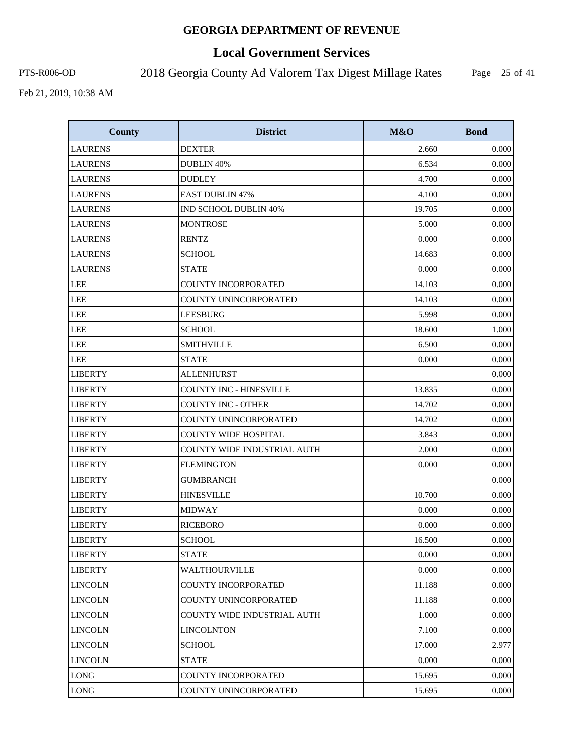# **Local Government Services**

PTS-R006-OD 2018 Georgia County Ad Valorem Tax Digest Millage Rates

Page 25 of 41

| <b>County</b>  | <b>District</b>                    | M&O    | <b>Bond</b> |
|----------------|------------------------------------|--------|-------------|
| <b>LAURENS</b> | <b>DEXTER</b>                      | 2.660  | 0.000       |
| <b>LAURENS</b> | DUBLIN 40%                         | 6.534  | 0.000       |
| <b>LAURENS</b> | <b>DUDLEY</b>                      | 4.700  | 0.000       |
| <b>LAURENS</b> | <b>EAST DUBLIN 47%</b>             | 4.100  | 0.000       |
| <b>LAURENS</b> | IND SCHOOL DUBLIN 40%              | 19.705 | 0.000       |
| <b>LAURENS</b> | <b>MONTROSE</b>                    | 5.000  | 0.000       |
| <b>LAURENS</b> | <b>RENTZ</b>                       | 0.000  | 0.000       |
| <b>LAURENS</b> | <b>SCHOOL</b>                      | 14.683 | 0.000       |
| <b>LAURENS</b> | <b>STATE</b>                       | 0.000  | 0.000       |
| <b>LEE</b>     | <b>COUNTY INCORPORATED</b>         | 14.103 | 0.000       |
| <b>LEE</b>     | COUNTY UNINCORPORATED              | 14.103 | 0.000       |
| <b>LEE</b>     | <b>LEESBURG</b>                    | 5.998  | 0.000       |
| <b>LEE</b>     | <b>SCHOOL</b>                      | 18.600 | 1.000       |
| <b>LEE</b>     | <b>SMITHVILLE</b>                  | 6.500  | 0.000       |
| <b>LEE</b>     | <b>STATE</b>                       | 0.000  | 0.000       |
| <b>LIBERTY</b> | <b>ALLENHURST</b>                  |        | 0.000       |
| <b>LIBERTY</b> | <b>COUNTY INC - HINESVILLE</b>     | 13.835 | 0.000       |
| <b>LIBERTY</b> | <b>COUNTY INC - OTHER</b>          | 14.702 | 0.000       |
| <b>LIBERTY</b> | COUNTY UNINCORPORATED              | 14.702 | 0.000       |
| <b>LIBERTY</b> | <b>COUNTY WIDE HOSPITAL</b>        | 3.843  | 0.000       |
| <b>LIBERTY</b> | <b>COUNTY WIDE INDUSTRIAL AUTH</b> | 2.000  | 0.000       |
| <b>LIBERTY</b> | <b>FLEMINGTON</b>                  | 0.000  | 0.000       |
| <b>LIBERTY</b> | <b>GUMBRANCH</b>                   |        | 0.000       |
| <b>LIBERTY</b> | <b>HINESVILLE</b>                  | 10.700 | 0.000       |
| <b>LIBERTY</b> | <b>MIDWAY</b>                      | 0.000  | 0.000       |
| <b>LIBERTY</b> | <b>RICEBORO</b>                    | 0.000  | 0.000       |
| <b>LIBERTY</b> | <b>SCHOOL</b>                      | 16.500 | 0.000       |
| <b>LIBERTY</b> | <b>STATE</b>                       | 0.000  | 0.000       |
| <b>LIBERTY</b> | WALTHOURVILLE                      | 0.000  | 0.000       |
| <b>LINCOLN</b> | COUNTY INCORPORATED                | 11.188 | 0.000       |
| <b>LINCOLN</b> | COUNTY UNINCORPORATED              | 11.188 | 0.000       |
| LINCOLN        | COUNTY WIDE INDUSTRIAL AUTH        | 1.000  | 0.000       |
| <b>LINCOLN</b> | <b>LINCOLNTON</b>                  | 7.100  | 0.000       |
| <b>LINCOLN</b> | <b>SCHOOL</b>                      | 17.000 | 2.977       |
| <b>LINCOLN</b> | <b>STATE</b>                       | 0.000  | 0.000       |
| <b>LONG</b>    | <b>COUNTY INCORPORATED</b>         | 15.695 | 0.000       |
| <b>LONG</b>    | COUNTY UNINCORPORATED              | 15.695 | 0.000       |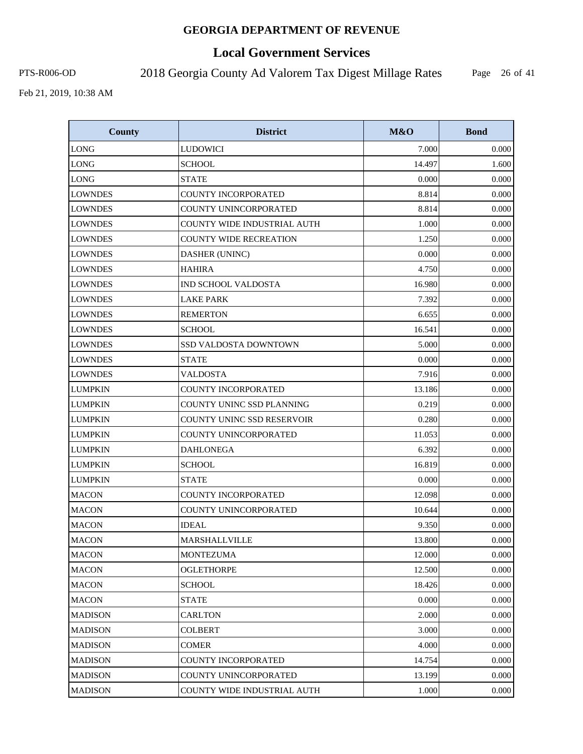# **Local Government Services**

PTS-R006-OD 2018 Georgia County Ad Valorem Tax Digest Millage Rates

Page 26 of 41

| <b>County</b>  | <b>District</b>               | M&O    | <b>Bond</b> |
|----------------|-------------------------------|--------|-------------|
| <b>LONG</b>    | <b>LUDOWICI</b>               | 7.000  | 0.000       |
| <b>LONG</b>    | <b>SCHOOL</b>                 | 14.497 | 1.600       |
| <b>LONG</b>    | <b>STATE</b>                  | 0.000  | 0.000       |
| <b>LOWNDES</b> | <b>COUNTY INCORPORATED</b>    | 8.814  | 0.000       |
| <b>LOWNDES</b> | COUNTY UNINCORPORATED         | 8.814  | 0.000       |
| <b>LOWNDES</b> | COUNTY WIDE INDUSTRIAL AUTH   | 1.000  | 0.000       |
| <b>LOWNDES</b> | <b>COUNTY WIDE RECREATION</b> | 1.250  | 0.000       |
| <b>LOWNDES</b> | DASHER (UNINC)                | 0.000  | 0.000       |
| <b>LOWNDES</b> | <b>HAHIRA</b>                 | 4.750  | 0.000       |
| <b>LOWNDES</b> | <b>IND SCHOOL VALDOSTA</b>    | 16.980 | 0.000       |
| <b>LOWNDES</b> | <b>LAKE PARK</b>              | 7.392  | 0.000       |
| <b>LOWNDES</b> | <b>REMERTON</b>               | 6.655  | 0.000       |
| <b>LOWNDES</b> | <b>SCHOOL</b>                 | 16.541 | 0.000       |
| <b>LOWNDES</b> | SSD VALDOSTA DOWNTOWN         | 5.000  | 0.000       |
| <b>LOWNDES</b> | <b>STATE</b>                  | 0.000  | 0.000       |
| <b>LOWNDES</b> | <b>VALDOSTA</b>               | 7.916  | 0.000       |
| <b>LUMPKIN</b> | <b>COUNTY INCORPORATED</b>    | 13.186 | 0.000       |
| <b>LUMPKIN</b> | COUNTY UNINC SSD PLANNING     | 0.219  | 0.000       |
| <b>LUMPKIN</b> | COUNTY UNINC SSD RESERVOIR    | 0.280  | 0.000       |
| <b>LUMPKIN</b> | COUNTY UNINCORPORATED         | 11.053 | 0.000       |
| <b>LUMPKIN</b> | <b>DAHLONEGA</b>              | 6.392  | 0.000       |
| <b>LUMPKIN</b> | <b>SCHOOL</b>                 | 16.819 | 0.000       |
| <b>LUMPKIN</b> | <b>STATE</b>                  | 0.000  | 0.000       |
| <b>MACON</b>   | COUNTY INCORPORATED           | 12.098 | 0.000       |
| <b>MACON</b>   | COUNTY UNINCORPORATED         | 10.644 | 0.000       |
| <b>MACON</b>   | <b>IDEAL</b>                  | 9.350  | 0.000       |
| <b>MACON</b>   | <b>MARSHALLVILLE</b>          | 13.800 | 0.000       |
| <b>MACON</b>   | <b>MONTEZUMA</b>              | 12.000 | 0.000       |
| <b>MACON</b>   | <b>OGLETHORPE</b>             | 12.500 | 0.000       |
| <b>MACON</b>   | <b>SCHOOL</b>                 | 18.426 | 0.000       |
| <b>MACON</b>   | <b>STATE</b>                  | 0.000  | 0.000       |
| MADISON        | <b>CARLTON</b>                | 2.000  | 0.000       |
| <b>MADISON</b> | <b>COLBERT</b>                | 3.000  | 0.000       |
| <b>MADISON</b> | <b>COMER</b>                  | 4.000  | 0.000       |
| <b>MADISON</b> | COUNTY INCORPORATED           | 14.754 | 0.000       |
| <b>MADISON</b> | COUNTY UNINCORPORATED         | 13.199 | 0.000       |
| <b>MADISON</b> | COUNTY WIDE INDUSTRIAL AUTH   | 1.000  | 0.000       |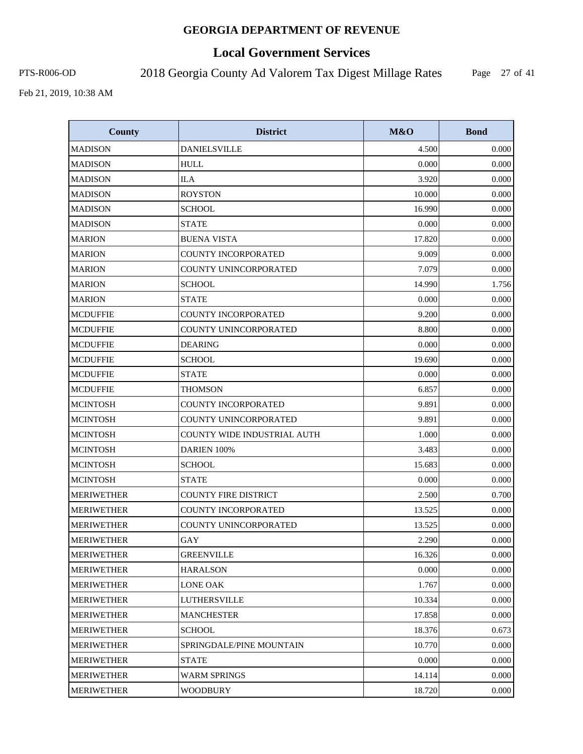# **Local Government Services**

PTS-R006-OD 2018 Georgia County Ad Valorem Tax Digest Millage Rates

Page 27 of 41

| <b>County</b>     | <b>District</b>             | M&O    | <b>Bond</b> |
|-------------------|-----------------------------|--------|-------------|
| <b>MADISON</b>    | <b>DANIELSVILLE</b>         | 4.500  | 0.000       |
| <b>MADISON</b>    | <b>HULL</b>                 | 0.000  | 0.000       |
| <b>MADISON</b>    | <b>ILA</b>                  | 3.920  | 0.000       |
| <b>MADISON</b>    | <b>ROYSTON</b>              | 10.000 | 0.000       |
| <b>MADISON</b>    | <b>SCHOOL</b>               | 16.990 | 0.000       |
| <b>MADISON</b>    | <b>STATE</b>                | 0.000  | 0.000       |
| <b>MARION</b>     | <b>BUENA VISTA</b>          | 17.820 | 0.000       |
| <b>MARION</b>     | <b>COUNTY INCORPORATED</b>  | 9.009  | 0.000       |
| <b>MARION</b>     | COUNTY UNINCORPORATED       | 7.079  | 0.000       |
| <b>MARION</b>     | <b>SCHOOL</b>               | 14.990 | 1.756       |
| <b>MARION</b>     | <b>STATE</b>                | 0.000  | 0.000       |
| <b>MCDUFFIE</b>   | COUNTY INCORPORATED         | 9.200  | 0.000       |
| <b>MCDUFFIE</b>   | COUNTY UNINCORPORATED       | 8.800  | 0.000       |
| <b>MCDUFFIE</b>   | <b>DEARING</b>              | 0.000  | 0.000       |
| <b>MCDUFFIE</b>   | <b>SCHOOL</b>               | 19.690 | 0.000       |
| <b>MCDUFFIE</b>   | <b>STATE</b>                | 0.000  | 0.000       |
| <b>MCDUFFIE</b>   | <b>THOMSON</b>              | 6.857  | 0.000       |
| <b>MCINTOSH</b>   | COUNTY INCORPORATED         | 9.891  | 0.000       |
| <b>MCINTOSH</b>   | COUNTY UNINCORPORATED       | 9.891  | 0.000       |
| <b>MCINTOSH</b>   | COUNTY WIDE INDUSTRIAL AUTH | 1.000  | 0.000       |
| <b>MCINTOSH</b>   | DARIEN 100%                 | 3.483  | 0.000       |
| <b>MCINTOSH</b>   | <b>SCHOOL</b>               | 15.683 | 0.000       |
| <b>MCINTOSH</b>   | <b>STATE</b>                | 0.000  | 0.000       |
| <b>MERIWETHER</b> | <b>COUNTY FIRE DISTRICT</b> | 2.500  | 0.700       |
| <b>MERIWETHER</b> | <b>COUNTY INCORPORATED</b>  | 13.525 | 0.000       |
| <b>MERIWETHER</b> | COUNTY UNINCORPORATED       | 13.525 | 0.000       |
| <b>MERIWETHER</b> | GAY                         | 2.290  | 0.000       |
| <b>MERIWETHER</b> | <b>GREENVILLE</b>           | 16.326 | 0.000       |
| <b>MERIWETHER</b> | <b>HARALSON</b>             | 0.000  | 0.000       |
| <b>MERIWETHER</b> | <b>LONE OAK</b>             | 1.767  | 0.000       |
| <b>MERIWETHER</b> | LUTHERSVILLE                | 10.334 | 0.000       |
| <b>MERIWETHER</b> | <b>MANCHESTER</b>           | 17.858 | 0.000       |
| <b>MERIWETHER</b> | <b>SCHOOL</b>               | 18.376 | 0.673       |
| <b>MERIWETHER</b> | SPRINGDALE/PINE MOUNTAIN    | 10.770 | 0.000       |
| <b>MERIWETHER</b> | <b>STATE</b>                | 0.000  | 0.000       |
| <b>MERIWETHER</b> | <b>WARM SPRINGS</b>         | 14.114 | 0.000       |
| <b>MERIWETHER</b> | <b>WOODBURY</b>             | 18.720 | 0.000       |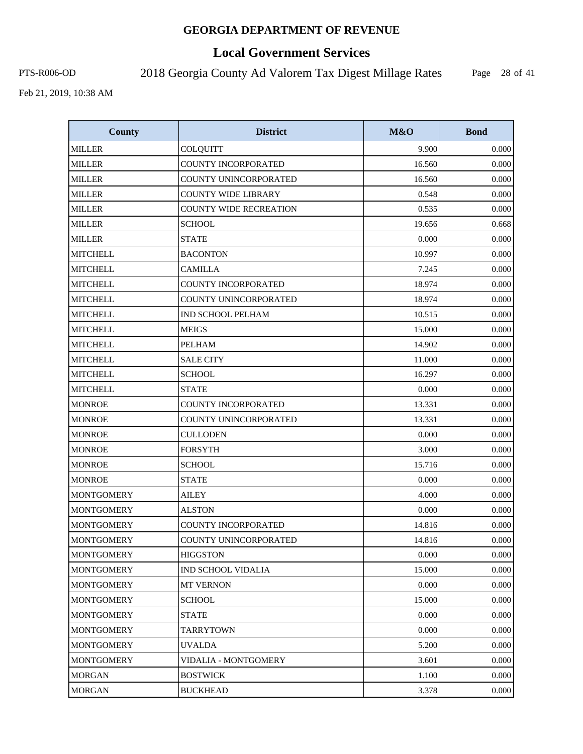# **Local Government Services**

PTS-R006-OD 2018 Georgia County Ad Valorem Tax Digest Millage Rates

Page 28 of 41

| <b>County</b>     | <b>District</b>               | M&O    | <b>Bond</b> |
|-------------------|-------------------------------|--------|-------------|
| <b>MILLER</b>     | COLQUITT                      | 9.900  | 0.000       |
| <b>MILLER</b>     | COUNTY INCORPORATED           | 16.560 | 0.000       |
| <b>MILLER</b>     | COUNTY UNINCORPORATED         | 16.560 | 0.000       |
| <b>MILLER</b>     | <b>COUNTY WIDE LIBRARY</b>    | 0.548  | 0.000       |
| <b>MILLER</b>     | <b>COUNTY WIDE RECREATION</b> | 0.535  | 0.000       |
| <b>MILLER</b>     | <b>SCHOOL</b>                 | 19.656 | 0.668       |
| <b>MILLER</b>     | <b>STATE</b>                  | 0.000  | 0.000       |
| <b>MITCHELL</b>   | <b>BACONTON</b>               | 10.997 | 0.000       |
| <b>MITCHELL</b>   | <b>CAMILLA</b>                | 7.245  | 0.000       |
| <b>MITCHELL</b>   | COUNTY INCORPORATED           | 18.974 | 0.000       |
| <b>MITCHELL</b>   | COUNTY UNINCORPORATED         | 18.974 | 0.000       |
| <b>MITCHELL</b>   | IND SCHOOL PELHAM             | 10.515 | 0.000       |
| <b>MITCHELL</b>   | <b>MEIGS</b>                  | 15.000 | 0.000       |
| <b>MITCHELL</b>   | <b>PELHAM</b>                 | 14.902 | 0.000       |
| <b>MITCHELL</b>   | <b>SALE CITY</b>              | 11.000 | 0.000       |
| <b>MITCHELL</b>   | <b>SCHOOL</b>                 | 16.297 | 0.000       |
| <b>MITCHELL</b>   | <b>STATE</b>                  | 0.000  | 0.000       |
| <b>MONROE</b>     | COUNTY INCORPORATED           | 13.331 | 0.000       |
| <b>MONROE</b>     | COUNTY UNINCORPORATED         | 13.331 | 0.000       |
| <b>MONROE</b>     | <b>CULLODEN</b>               | 0.000  | 0.000       |
| <b>MONROE</b>     | <b>FORSYTH</b>                | 3.000  | 0.000       |
| <b>MONROE</b>     | <b>SCHOOL</b>                 | 15.716 | 0.000       |
| <b>MONROE</b>     | <b>STATE</b>                  | 0.000  | 0.000       |
| <b>MONTGOMERY</b> | <b>AILEY</b>                  | 4.000  | 0.000       |
| <b>MONTGOMERY</b> | <b>ALSTON</b>                 | 0.000  | 0.000       |
| <b>MONTGOMERY</b> | <b>COUNTY INCORPORATED</b>    | 14.816 | 0.000       |
| <b>MONTGOMERY</b> | COUNTY UNINCORPORATED         | 14.816 | 0.000       |
| <b>MONTGOMERY</b> | <b>HIGGSTON</b>               | 0.000  | 0.000       |
| <b>MONTGOMERY</b> | <b>IND SCHOOL VIDALIA</b>     | 15.000 | 0.000       |
| <b>MONTGOMERY</b> | <b>MT VERNON</b>              | 0.000  | 0.000       |
| <b>MONTGOMERY</b> | <b>SCHOOL</b>                 | 15.000 | 0.000       |
| <b>MONTGOMERY</b> | <b>STATE</b>                  | 0.000  | 0.000       |
| <b>MONTGOMERY</b> | <b>TARRYTOWN</b>              | 0.000  | 0.000       |
| <b>MONTGOMERY</b> | <b>UVALDA</b>                 | 5.200  | 0.000       |
| <b>MONTGOMERY</b> | <b>VIDALIA - MONTGOMERY</b>   | 3.601  | 0.000       |
| <b>MORGAN</b>     | <b>BOSTWICK</b>               | 1.100  | 0.000       |
| <b>MORGAN</b>     | <b>BUCKHEAD</b>               | 3.378  | 0.000       |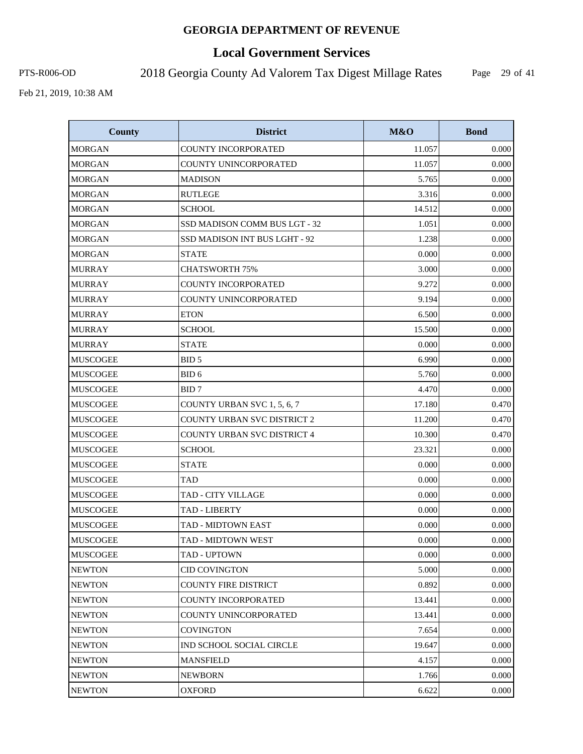# **Local Government Services**

PTS-R006-OD 2018 Georgia County Ad Valorem Tax Digest Millage Rates

Page 29 of 41

| <b>County</b>   | <b>District</b>                    | M&O    | <b>Bond</b> |
|-----------------|------------------------------------|--------|-------------|
| <b>MORGAN</b>   | COUNTY INCORPORATED                | 11.057 | 0.000       |
| <b>MORGAN</b>   | COUNTY UNINCORPORATED              | 11.057 | 0.000       |
| MORGAN          | <b>MADISON</b>                     | 5.765  | 0.000       |
| <b>MORGAN</b>   | <b>RUTLEGE</b>                     | 3.316  | 0.000       |
| <b>MORGAN</b>   | <b>SCHOOL</b>                      | 14.512 | 0.000       |
| <b>MORGAN</b>   | SSD MADISON COMM BUS LGT - 32      | 1.051  | 0.000       |
| <b>MORGAN</b>   | SSD MADISON INT BUS LGHT - 92      | 1.238  | 0.000       |
| <b>MORGAN</b>   | <b>STATE</b>                       | 0.000  | 0.000       |
| <b>MURRAY</b>   | <b>CHATSWORTH 75%</b>              | 3.000  | 0.000       |
| <b>MURRAY</b>   | <b>COUNTY INCORPORATED</b>         | 9.272  | 0.000       |
| <b>MURRAY</b>   | COUNTY UNINCORPORATED              | 9.194  | 0.000       |
| <b>MURRAY</b>   | <b>ETON</b>                        | 6.500  | 0.000       |
| <b>MURRAY</b>   | <b>SCHOOL</b>                      | 15.500 | 0.000       |
| <b>MURRAY</b>   | <b>STATE</b>                       | 0.000  | 0.000       |
| <b>MUSCOGEE</b> | BID <sub>5</sub>                   | 6.990  | 0.000       |
| <b>MUSCOGEE</b> | BID <sub>6</sub>                   | 5.760  | 0.000       |
| <b>MUSCOGEE</b> | BID7                               | 4.470  | 0.000       |
| <b>MUSCOGEE</b> | COUNTY URBAN SVC 1, 5, 6, 7        | 17.180 | 0.470       |
| <b>MUSCOGEE</b> | <b>COUNTY URBAN SVC DISTRICT 2</b> | 11.200 | 0.470       |
| <b>MUSCOGEE</b> | COUNTY URBAN SVC DISTRICT 4        | 10.300 | 0.470       |
| <b>MUSCOGEE</b> | <b>SCHOOL</b>                      | 23.321 | 0.000       |
| MUSCOGEE        | <b>STATE</b>                       | 0.000  | 0.000       |
| <b>MUSCOGEE</b> | <b>TAD</b>                         | 0.000  | 0.000       |
| <b>MUSCOGEE</b> | <b>TAD - CITY VILLAGE</b>          | 0.000  | 0.000       |
| <b>MUSCOGEE</b> | TAD - LIBERTY                      | 0.000  | 0.000       |
| <b>MUSCOGEE</b> | TAD - MIDTOWN EAST                 | 0.000  | 0.000       |
| <b>MUSCOGEE</b> | TAD - MIDTOWN WEST                 | 0.000  | 0.000       |
| <b>MUSCOGEE</b> | TAD - UPTOWN                       | 0.000  | 0.000       |
| <b>NEWTON</b>   | <b>CID COVINGTON</b>               | 5.000  | 0.000       |
| <b>NEWTON</b>   | <b>COUNTY FIRE DISTRICT</b>        | 0.892  | 0.000       |
| <b>NEWTON</b>   | <b>COUNTY INCORPORATED</b>         | 13.441 | 0.000       |
| <b>NEWTON</b>   | COUNTY UNINCORPORATED              | 13.441 | 0.000       |
| <b>NEWTON</b>   | COVINGTON                          | 7.654  | 0.000       |
| <b>NEWTON</b>   | IND SCHOOL SOCIAL CIRCLE           | 19.647 | 0.000       |
| <b>NEWTON</b>   | <b>MANSFIELD</b>                   | 4.157  | 0.000       |
| <b>NEWTON</b>   | <b>NEWBORN</b>                     | 1.766  | 0.000       |
| <b>NEWTON</b>   | <b>OXFORD</b>                      | 6.622  | 0.000       |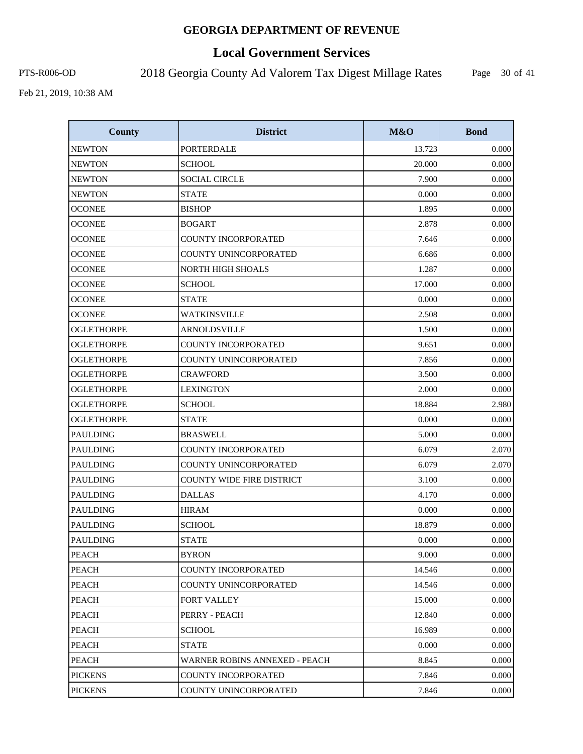# **Local Government Services**

PTS-R006-OD 2018 Georgia County Ad Valorem Tax Digest Millage Rates

Page 30 of 41

| <b>County</b>     | <b>District</b>                  | M&O    | <b>Bond</b> |
|-------------------|----------------------------------|--------|-------------|
| <b>NEWTON</b>     | <b>PORTERDALE</b>                | 13.723 | 0.000       |
| <b>NEWTON</b>     | <b>SCHOOL</b>                    | 20.000 | 0.000       |
| <b>NEWTON</b>     | <b>SOCIAL CIRCLE</b>             | 7.900  | 0.000       |
| <b>NEWTON</b>     | <b>STATE</b>                     | 0.000  | 0.000       |
| <b>OCONEE</b>     | <b>BISHOP</b>                    | 1.895  | 0.000       |
| <b>OCONEE</b>     | <b>BOGART</b>                    | 2.878  | 0.000       |
| <b>OCONEE</b>     | <b>COUNTY INCORPORATED</b>       | 7.646  | 0.000       |
| <b>OCONEE</b>     | COUNTY UNINCORPORATED            | 6.686  | 0.000       |
| <b>OCONEE</b>     | <b>NORTH HIGH SHOALS</b>         | 1.287  | 0.000       |
| <b>OCONEE</b>     | <b>SCHOOL</b>                    | 17.000 | 0.000       |
| <b>OCONEE</b>     | <b>STATE</b>                     | 0.000  | 0.000       |
| <b>OCONEE</b>     | <b>WATKINSVILLE</b>              | 2.508  | 0.000       |
| <b>OGLETHORPE</b> | <b>ARNOLDSVILLE</b>              | 1.500  | 0.000       |
| <b>OGLETHORPE</b> | COUNTY INCORPORATED              | 9.651  | 0.000       |
| <b>OGLETHORPE</b> | COUNTY UNINCORPORATED            | 7.856  | 0.000       |
| <b>OGLETHORPE</b> | <b>CRAWFORD</b>                  | 3.500  | 0.000       |
| <b>OGLETHORPE</b> | <b>LEXINGTON</b>                 | 2.000  | 0.000       |
| <b>OGLETHORPE</b> | <b>SCHOOL</b>                    | 18.884 | 2.980       |
| <b>OGLETHORPE</b> | <b>STATE</b>                     | 0.000  | 0.000       |
| <b>PAULDING</b>   | <b>BRASWELL</b>                  | 5.000  | 0.000       |
| <b>PAULDING</b>   | <b>COUNTY INCORPORATED</b>       | 6.079  | 2.070       |
| <b>PAULDING</b>   | COUNTY UNINCORPORATED            | 6.079  | 2.070       |
| <b>PAULDING</b>   | <b>COUNTY WIDE FIRE DISTRICT</b> | 3.100  | 0.000       |
| <b>PAULDING</b>   | <b>DALLAS</b>                    | 4.170  | 0.000       |
| <b>PAULDING</b>   | <b>HIRAM</b>                     | 0.000  | 0.000       |
| <b>PAULDING</b>   | <b>SCHOOL</b>                    | 18.879 | 0.000       |
| <b>PAULDING</b>   | <b>STATE</b>                     | 0.000  | 0.000       |
| <b>PEACH</b>      | <b>BYRON</b>                     | 9.000  | 0.000       |
| <b>PEACH</b>      | COUNTY INCORPORATED              | 14.546 | 0.000       |
| <b>PEACH</b>      | COUNTY UNINCORPORATED            | 14.546 | 0.000       |
| <b>PEACH</b>      | <b>FORT VALLEY</b>               | 15.000 | 0.000       |
| <b>PEACH</b>      | PERRY - PEACH                    | 12.840 | 0.000       |
| <b>PEACH</b>      | <b>SCHOOL</b>                    | 16.989 | 0.000       |
| <b>PEACH</b>      | STATE                            | 0.000  | 0.000       |
| <b>PEACH</b>      | WARNER ROBINS ANNEXED - PEACH    | 8.845  | 0.000       |
| <b>PICKENS</b>    | <b>COUNTY INCORPORATED</b>       | 7.846  | 0.000       |
| <b>PICKENS</b>    | COUNTY UNINCORPORATED            | 7.846  | 0.000       |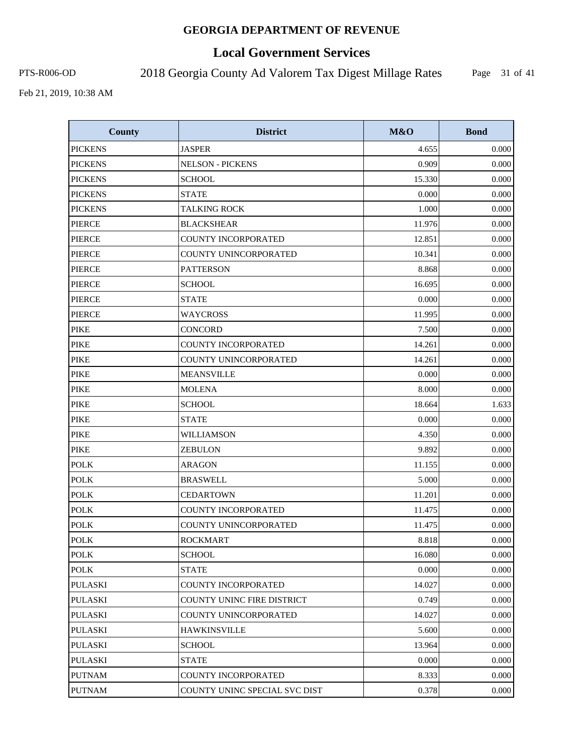# **Local Government Services**

PTS-R006-OD 2018 Georgia County Ad Valorem Tax Digest Millage Rates

Page 31 of 41

| <b>County</b>  | <b>District</b>               | M&O    | <b>Bond</b> |
|----------------|-------------------------------|--------|-------------|
| <b>PICKENS</b> | <b>JASPER</b>                 | 4.655  | 0.000       |
| <b>PICKENS</b> | <b>NELSON - PICKENS</b>       | 0.909  | 0.000       |
| <b>PICKENS</b> | <b>SCHOOL</b>                 | 15.330 | 0.000       |
| <b>PICKENS</b> | <b>STATE</b>                  | 0.000  | 0.000       |
| <b>PICKENS</b> | <b>TALKING ROCK</b>           | 1.000  | 0.000       |
| <b>PIERCE</b>  | <b>BLACKSHEAR</b>             | 11.976 | 0.000       |
| <b>PIERCE</b>  | <b>COUNTY INCORPORATED</b>    | 12.851 | 0.000       |
| <b>PIERCE</b>  | COUNTY UNINCORPORATED         | 10.341 | 0.000       |
| <b>PIERCE</b>  | <b>PATTERSON</b>              | 8.868  | 0.000       |
| <b>PIERCE</b>  | <b>SCHOOL</b>                 | 16.695 | 0.000       |
| <b>PIERCE</b>  | <b>STATE</b>                  | 0.000  | 0.000       |
| <b>PIERCE</b>  | <b>WAYCROSS</b>               | 11.995 | 0.000       |
| <b>PIKE</b>    | <b>CONCORD</b>                | 7.500  | 0.000       |
| <b>PIKE</b>    | <b>COUNTY INCORPORATED</b>    | 14.261 | 0.000       |
| <b>PIKE</b>    | COUNTY UNINCORPORATED         | 14.261 | 0.000       |
| <b>PIKE</b>    | <b>MEANSVILLE</b>             | 0.000  | 0.000       |
| <b>PIKE</b>    | <b>MOLENA</b>                 | 8.000  | 0.000       |
| <b>PIKE</b>    | <b>SCHOOL</b>                 | 18.664 | 1.633       |
| <b>PIKE</b>    | <b>STATE</b>                  | 0.000  | 0.000       |
| <b>PIKE</b>    | WILLIAMSON                    | 4.350  | 0.000       |
| <b>PIKE</b>    | <b>ZEBULON</b>                | 9.892  | 0.000       |
| <b>POLK</b>    | <b>ARAGON</b>                 | 11.155 | 0.000       |
| <b>POLK</b>    | <b>BRASWELL</b>               | 5.000  | 0.000       |
| <b>POLK</b>    | <b>CEDARTOWN</b>              | 11.201 | 0.000       |
| <b>POLK</b>    | COUNTY INCORPORATED           | 11.475 | 0.000       |
| <b>POLK</b>    | COUNTY UNINCORPORATED         | 11.475 | 0.000       |
| <b>POLK</b>    | <b>ROCKMART</b>               | 8.818  | 0.000       |
| <b>POLK</b>    | <b>SCHOOL</b>                 | 16.080 | 0.000       |
| <b>POLK</b>    | <b>STATE</b>                  | 0.000  | 0.000       |
| <b>PULASKI</b> | COUNTY INCORPORATED           | 14.027 | 0.000       |
| <b>PULASKI</b> | COUNTY UNINC FIRE DISTRICT    | 0.749  | 0.000       |
| <b>PULASKI</b> | COUNTY UNINCORPORATED         | 14.027 | 0.000       |
| <b>PULASKI</b> | <b>HAWKINSVILLE</b>           | 5.600  | 0.000       |
| <b>PULASKI</b> | <b>SCHOOL</b>                 | 13.964 | 0.000       |
| <b>PULASKI</b> | <b>STATE</b>                  | 0.000  | 0.000       |
| <b>PUTNAM</b>  | COUNTY INCORPORATED           | 8.333  | 0.000       |
| <b>PUTNAM</b>  | COUNTY UNINC SPECIAL SVC DIST | 0.378  | 0.000       |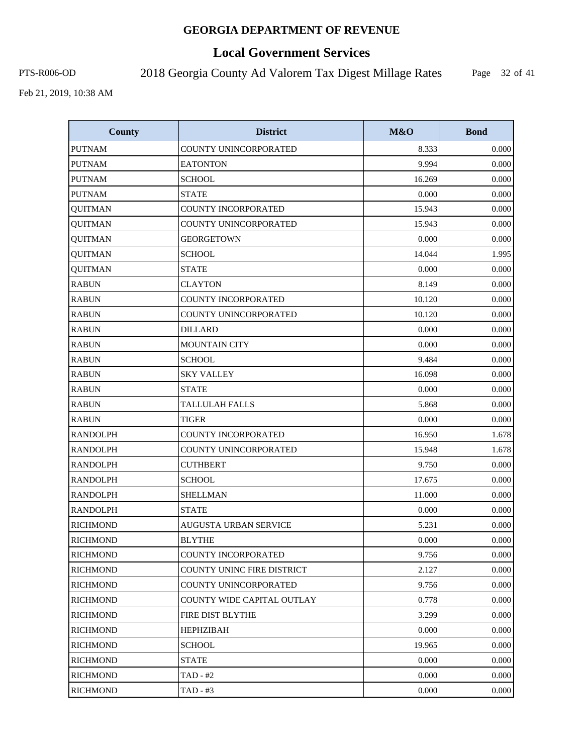# **Local Government Services**

PTS-R006-OD 2018 Georgia County Ad Valorem Tax Digest Millage Rates

Page 32 of 41

| <b>County</b>   | <b>District</b>                   | M&O    | <b>Bond</b> |
|-----------------|-----------------------------------|--------|-------------|
| <b>PUTNAM</b>   | COUNTY UNINCORPORATED             | 8.333  | 0.000       |
| <b>PUTNAM</b>   | <b>EATONTON</b>                   | 9.994  | 0.000       |
| <b>PUTNAM</b>   | <b>SCHOOL</b>                     | 16.269 | 0.000       |
| <b>PUTNAM</b>   | <b>STATE</b>                      | 0.000  | 0.000       |
| <b>QUITMAN</b>  | <b>COUNTY INCORPORATED</b>        | 15.943 | 0.000       |
| <b>QUITMAN</b>  | COUNTY UNINCORPORATED             | 15.943 | 0.000       |
| <b>QUITMAN</b>  | <b>GEORGETOWN</b>                 | 0.000  | 0.000       |
| <b>QUITMAN</b>  | <b>SCHOOL</b>                     | 14.044 | 1.995       |
| <b>QUITMAN</b>  | <b>STATE</b>                      | 0.000  | 0.000       |
| <b>RABUN</b>    | <b>CLAYTON</b>                    | 8.149  | 0.000       |
| <b>RABUN</b>    | <b>COUNTY INCORPORATED</b>        | 10.120 | 0.000       |
| <b>RABUN</b>    | COUNTY UNINCORPORATED             | 10.120 | 0.000       |
| <b>RABUN</b>    | <b>DILLARD</b>                    | 0.000  | 0.000       |
| <b>RABUN</b>    | <b>MOUNTAIN CITY</b>              | 0.000  | 0.000       |
| <b>RABUN</b>    | <b>SCHOOL</b>                     | 9.484  | 0.000       |
| <b>RABUN</b>    | <b>SKY VALLEY</b>                 | 16.098 | 0.000       |
| <b>RABUN</b>    | <b>STATE</b>                      | 0.000  | 0.000       |
| <b>RABUN</b>    | <b>TALLULAH FALLS</b>             | 5.868  | 0.000       |
| <b>RABUN</b>    | <b>TIGER</b>                      | 0.000  | 0.000       |
| <b>RANDOLPH</b> | COUNTY INCORPORATED               | 16.950 | 1.678       |
| <b>RANDOLPH</b> | COUNTY UNINCORPORATED             | 15.948 | 1.678       |
| <b>RANDOLPH</b> | <b>CUTHBERT</b>                   | 9.750  | 0.000       |
| <b>RANDOLPH</b> | <b>SCHOOL</b>                     | 17.675 | 0.000       |
| <b>RANDOLPH</b> | <b>SHELLMAN</b>                   | 11.000 | 0.000       |
| <b>RANDOLPH</b> | <b>STATE</b>                      | 0.000  | 0.000       |
| <b>RICHMOND</b> | <b>AUGUSTA URBAN SERVICE</b>      | 5.231  | 0.000       |
| <b>RICHMOND</b> | <b>BLYTHE</b>                     | 0.000  | 0.000       |
| <b>RICHMOND</b> | COUNTY INCORPORATED               | 9.756  | 0.000       |
| <b>RICHMOND</b> | <b>COUNTY UNINC FIRE DISTRICT</b> | 2.127  | 0.000       |
| RICHMOND        | COUNTY UNINCORPORATED             | 9.756  | 0.000       |
| <b>RICHMOND</b> | COUNTY WIDE CAPITAL OUTLAY        | 0.778  | 0.000       |
| <b>RICHMOND</b> | FIRE DIST BLYTHE                  | 3.299  | 0.000       |
| <b>RICHMOND</b> | <b>HEPHZIBAH</b>                  | 0.000  | 0.000       |
| <b>RICHMOND</b> | <b>SCHOOL</b>                     | 19.965 | 0.000       |
| <b>RICHMOND</b> | <b>STATE</b>                      | 0.000  | 0.000       |
| <b>RICHMOND</b> | $TAD - #2$                        | 0.000  | 0.000       |
| <b>RICHMOND</b> | $TAD - #3$                        | 0.000  | 0.000       |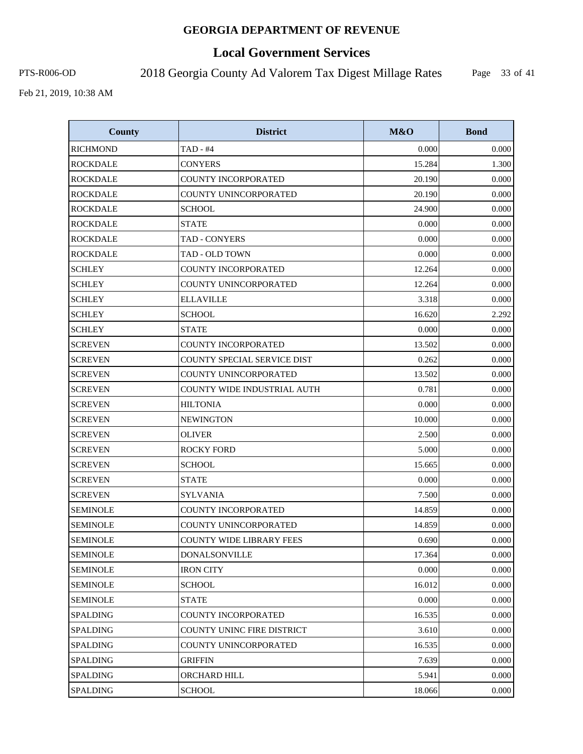# **Local Government Services**

PTS-R006-OD 2018 Georgia County Ad Valorem Tax Digest Millage Rates

Page 33 of 41

| <b>County</b>   | <b>District</b>                   | M&O    | <b>Bond</b> |
|-----------------|-----------------------------------|--------|-------------|
| <b>RICHMOND</b> | $TAD - #4$                        | 0.000  | 0.000       |
| <b>ROCKDALE</b> | <b>CONYERS</b>                    | 15.284 | 1.300       |
| <b>ROCKDALE</b> | <b>COUNTY INCORPORATED</b>        | 20.190 | 0.000       |
| <b>ROCKDALE</b> | COUNTY UNINCORPORATED             | 20.190 | 0.000       |
| <b>ROCKDALE</b> | <b>SCHOOL</b>                     | 24.900 | 0.000       |
| <b>ROCKDALE</b> | <b>STATE</b>                      | 0.000  | 0.000       |
| <b>ROCKDALE</b> | TAD - CONYERS                     | 0.000  | 0.000       |
| <b>ROCKDALE</b> | TAD - OLD TOWN                    | 0.000  | 0.000       |
| <b>SCHLEY</b>   | COUNTY INCORPORATED               | 12.264 | 0.000       |
| <b>SCHLEY</b>   | COUNTY UNINCORPORATED             | 12.264 | 0.000       |
| <b>SCHLEY</b>   | <b>ELLAVILLE</b>                  | 3.318  | 0.000       |
| <b>SCHLEY</b>   | <b>SCHOOL</b>                     | 16.620 | 2.292       |
| <b>SCHLEY</b>   | <b>STATE</b>                      | 0.000  | 0.000       |
| <b>SCREVEN</b>  | COUNTY INCORPORATED               | 13.502 | 0.000       |
| <b>SCREVEN</b>  | COUNTY SPECIAL SERVICE DIST       | 0.262  | 0.000       |
| <b>SCREVEN</b>  | <b>COUNTY UNINCORPORATED</b>      | 13.502 | 0.000       |
| <b>SCREVEN</b>  | COUNTY WIDE INDUSTRIAL AUTH       | 0.781  | 0.000       |
| <b>SCREVEN</b>  | <b>HILTONIA</b>                   | 0.000  | 0.000       |
| <b>SCREVEN</b>  | <b>NEWINGTON</b>                  | 10.000 | 0.000       |
| <b>SCREVEN</b>  | <b>OLIVER</b>                     | 2.500  | 0.000       |
| <b>SCREVEN</b>  | <b>ROCKY FORD</b>                 | 5.000  | 0.000       |
| <b>SCREVEN</b>  | <b>SCHOOL</b>                     | 15.665 | 0.000       |
| <b>SCREVEN</b>  | <b>STATE</b>                      | 0.000  | 0.000       |
| <b>SCREVEN</b>  | <b>SYLVANIA</b>                   | 7.500  | 0.000       |
| <b>SEMINOLE</b> | COUNTY INCORPORATED               | 14.859 | 0.000       |
| <b>SEMINOLE</b> | COUNTY UNINCORPORATED             | 14.859 | 0.000       |
| <b>SEMINOLE</b> | <b>COUNTY WIDE LIBRARY FEES</b>   | 0.690  | 0.000       |
| <b>SEMINOLE</b> | <b>DONALSONVILLE</b>              | 17.364 | 0.000       |
| <b>SEMINOLE</b> | <b>IRON CITY</b>                  | 0.000  | 0.000       |
| <b>SEMINOLE</b> | <b>SCHOOL</b>                     | 16.012 | 0.000       |
| <b>SEMINOLE</b> | <b>STATE</b>                      | 0.000  | 0.000       |
| <b>SPALDING</b> | COUNTY INCORPORATED               | 16.535 | 0.000       |
| <b>SPALDING</b> | <b>COUNTY UNINC FIRE DISTRICT</b> | 3.610  | 0.000       |
| <b>SPALDING</b> | COUNTY UNINCORPORATED             | 16.535 | 0.000       |
| <b>SPALDING</b> | <b>GRIFFIN</b>                    | 7.639  | 0.000       |
| <b>SPALDING</b> | ORCHARD HILL                      | 5.941  | 0.000       |
| <b>SPALDING</b> | <b>SCHOOL</b>                     | 18.066 | 0.000       |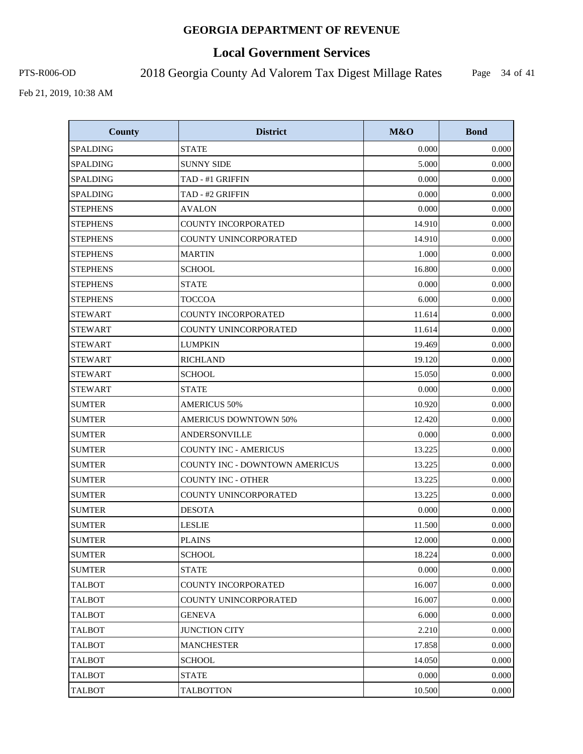# **Local Government Services**

PTS-R006-OD 2018 Georgia County Ad Valorem Tax Digest Millage Rates

Page 34 of 41

| <b>County</b>   | <b>District</b>                       | M&O    | <b>Bond</b> |
|-----------------|---------------------------------------|--------|-------------|
| <b>SPALDING</b> | <b>STATE</b>                          | 0.000  | 0.000       |
| <b>SPALDING</b> | <b>SUNNY SIDE</b>                     | 5.000  | 0.000       |
| <b>SPALDING</b> | TAD - #1 GRIFFIN                      | 0.000  | 0.000       |
| <b>SPALDING</b> | TAD - #2 GRIFFIN                      | 0.000  | 0.000       |
| <b>STEPHENS</b> | <b>AVALON</b>                         | 0.000  | 0.000       |
| <b>STEPHENS</b> | COUNTY INCORPORATED                   | 14.910 | 0.000       |
| <b>STEPHENS</b> | COUNTY UNINCORPORATED                 | 14.910 | 0.000       |
| <b>STEPHENS</b> | <b>MARTIN</b>                         | 1.000  | 0.000       |
| <b>STEPHENS</b> | <b>SCHOOL</b>                         | 16.800 | 0.000       |
| <b>STEPHENS</b> | <b>STATE</b>                          | 0.000  | 0.000       |
| <b>STEPHENS</b> | <b>TOCCOA</b>                         | 6.000  | 0.000       |
| <b>STEWART</b>  | <b>COUNTY INCORPORATED</b>            | 11.614 | 0.000       |
| <b>STEWART</b>  | COUNTY UNINCORPORATED                 | 11.614 | 0.000       |
| <b>STEWART</b>  | <b>LUMPKIN</b>                        | 19.469 | 0.000       |
| <b>STEWART</b>  | <b>RICHLAND</b>                       | 19.120 | 0.000       |
| <b>STEWART</b>  | <b>SCHOOL</b>                         | 15.050 | 0.000       |
| <b>STEWART</b>  | <b>STATE</b>                          | 0.000  | 0.000       |
| <b>SUMTER</b>   | <b>AMERICUS 50%</b>                   | 10.920 | 0.000       |
| <b>SUMTER</b>   | <b>AMERICUS DOWNTOWN 50%</b>          | 12.420 | 0.000       |
| <b>SUMTER</b>   | ANDERSONVILLE                         | 0.000  | 0.000       |
| <b>SUMTER</b>   | <b>COUNTY INC - AMERICUS</b>          | 13.225 | 0.000       |
| <b>SUMTER</b>   | <b>COUNTY INC - DOWNTOWN AMERICUS</b> | 13.225 | 0.000       |
| <b>SUMTER</b>   | <b>COUNTY INC - OTHER</b>             | 13.225 | 0.000       |
| <b>SUMTER</b>   | COUNTY UNINCORPORATED                 | 13.225 | 0.000       |
| <b>SUMTER</b>   | <b>DESOTA</b>                         | 0.000  | 0.000       |
| <b>SUMTER</b>   | <b>LESLIE</b>                         | 11.500 | 0.000       |
| <b>SUMTER</b>   | <b>PLAINS</b>                         | 12.000 | 0.000       |
| <b>SUMTER</b>   | <b>SCHOOL</b>                         | 18.224 | 0.000       |
| <b>SUMTER</b>   | <b>STATE</b>                          | 0.000  | 0.000       |
| <b>TALBOT</b>   | COUNTY INCORPORATED                   | 16.007 | 0.000       |
| <b>TALBOT</b>   | COUNTY UNINCORPORATED                 | 16.007 | 0.000       |
| <b>TALBOT</b>   | <b>GENEVA</b>                         | 6.000  | 0.000       |
| <b>TALBOT</b>   | <b>JUNCTION CITY</b>                  | 2.210  | 0.000       |
| <b>TALBOT</b>   | <b>MANCHESTER</b>                     | 17.858 | 0.000       |
| <b>TALBOT</b>   | <b>SCHOOL</b>                         | 14.050 | 0.000       |
| <b>TALBOT</b>   | <b>STATE</b>                          | 0.000  | 0.000       |
| <b>TALBOT</b>   | <b>TALBOTTON</b>                      | 10.500 | 0.000       |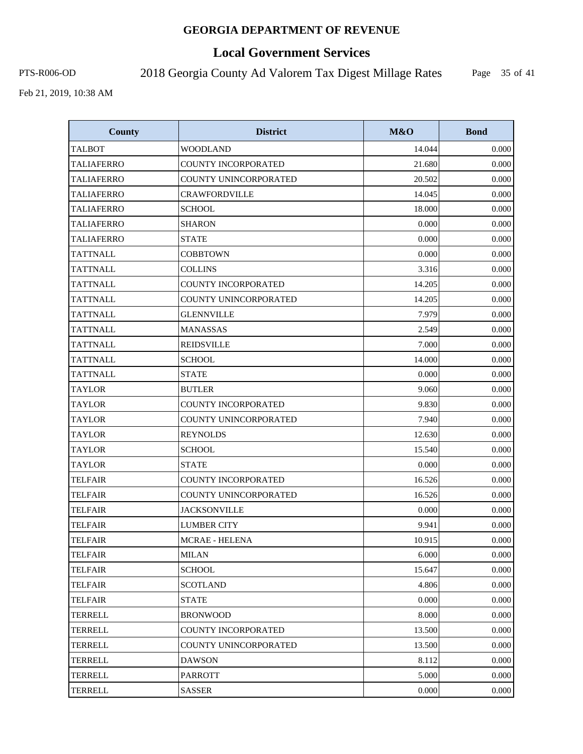# **Local Government Services**

PTS-R006-OD 2018 Georgia County Ad Valorem Tax Digest Millage Rates

Page 35 of 41

| <b>County</b>     | <b>District</b>              | M&O    | <b>Bond</b> |
|-------------------|------------------------------|--------|-------------|
| <b>TALBOT</b>     | <b>WOODLAND</b>              | 14.044 | 0.000       |
| <b>TALIAFERRO</b> | <b>COUNTY INCORPORATED</b>   | 21.680 | 0.000       |
| <b>TALIAFERRO</b> | COUNTY UNINCORPORATED        | 20.502 | 0.000       |
| TALIAFERRO        | <b>CRAWFORDVILLE</b>         | 14.045 | 0.000       |
| <b>TALIAFERRO</b> | <b>SCHOOL</b>                | 18.000 | 0.000       |
| <b>TALIAFERRO</b> | <b>SHARON</b>                | 0.000  | 0.000       |
| <b>TALIAFERRO</b> | <b>STATE</b>                 | 0.000  | 0.000       |
| <b>TATTNALL</b>   | <b>COBBTOWN</b>              | 0.000  | 0.000       |
| <b>TATTNALL</b>   | <b>COLLINS</b>               | 3.316  | 0.000       |
| <b>TATTNALL</b>   | COUNTY INCORPORATED          | 14.205 | 0.000       |
| <b>TATTNALL</b>   | COUNTY UNINCORPORATED        | 14.205 | 0.000       |
| <b>TATTNALL</b>   | <b>GLENNVILLE</b>            | 7.979  | 0.000       |
| <b>TATTNALL</b>   | <b>MANASSAS</b>              | 2.549  | 0.000       |
| <b>TATTNALL</b>   | <b>REIDSVILLE</b>            | 7.000  | 0.000       |
| <b>TATTNALL</b>   | <b>SCHOOL</b>                | 14.000 | 0.000       |
| <b>TATTNALL</b>   | <b>STATE</b>                 | 0.000  | 0.000       |
| <b>TAYLOR</b>     | <b>BUTLER</b>                | 9.060  | 0.000       |
| <b>TAYLOR</b>     | COUNTY INCORPORATED          | 9.830  | 0.000       |
| <b>TAYLOR</b>     | COUNTY UNINCORPORATED        | 7.940  | 0.000       |
| <b>TAYLOR</b>     | <b>REYNOLDS</b>              | 12.630 | 0.000       |
| <b>TAYLOR</b>     | <b>SCHOOL</b>                | 15.540 | 0.000       |
| <b>TAYLOR</b>     | <b>STATE</b>                 | 0.000  | 0.000       |
| <b>TELFAIR</b>    | <b>COUNTY INCORPORATED</b>   | 16.526 | 0.000       |
| <b>TELFAIR</b>    | <b>COUNTY UNINCORPORATED</b> | 16.526 | 0.000       |
| <b>TELFAIR</b>    | <b>JACKSONVILLE</b>          | 0.000  | 0.000       |
| <b>TELFAIR</b>    | <b>LUMBER CITY</b>           | 9.941  | 0.000       |
| <b>TELFAIR</b>    | <b>MCRAE - HELENA</b>        | 10.915 | 0.000       |
| <b>TELFAIR</b>    | <b>MILAN</b>                 | 6.000  | 0.000       |
| <b>TELFAIR</b>    | <b>SCHOOL</b>                | 15.647 | 0.000       |
| TELFAIR           | <b>SCOTLAND</b>              | 4.806  | 0.000       |
| <b>TELFAIR</b>    | <b>STATE</b>                 | 0.000  | 0.000       |
| <b>TERRELL</b>    | <b>BRONWOOD</b>              | 8.000  | 0.000       |
| <b>TERRELL</b>    | COUNTY INCORPORATED          | 13.500 | 0.000       |
| <b>TERRELL</b>    | COUNTY UNINCORPORATED        | 13.500 | 0.000       |
| <b>TERRELL</b>    | DAWSON                       | 8.112  | 0.000       |
| <b>TERRELL</b>    | <b>PARROTT</b>               | 5.000  | 0.000       |
| <b>TERRELL</b>    | <b>SASSER</b>                | 0.000  | 0.000       |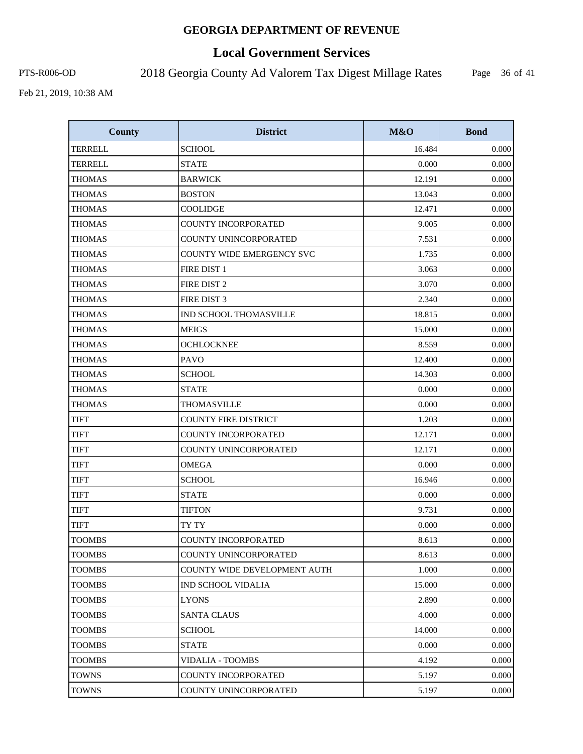# **Local Government Services**

PTS-R006-OD 2018 Georgia County Ad Valorem Tax Digest Millage Rates

Page 36 of 41

| <b>County</b>  | <b>District</b>                  | M&O    | <b>Bond</b> |
|----------------|----------------------------------|--------|-------------|
| <b>TERRELL</b> | <b>SCHOOL</b>                    | 16.484 | 0.000       |
| <b>TERRELL</b> | <b>STATE</b>                     | 0.000  | 0.000       |
| <b>THOMAS</b>  | <b>BARWICK</b>                   | 12.191 | 0.000       |
| <b>THOMAS</b>  | <b>BOSTON</b>                    | 13.043 | 0.000       |
| <b>THOMAS</b>  | <b>COOLIDGE</b>                  | 12.471 | 0.000       |
| <b>THOMAS</b>  | <b>COUNTY INCORPORATED</b>       | 9.005  | 0.000       |
| <b>THOMAS</b>  | <b>COUNTY UNINCORPORATED</b>     | 7.531  | 0.000       |
| <b>THOMAS</b>  | <b>COUNTY WIDE EMERGENCY SVC</b> | 1.735  | 0.000       |
| <b>THOMAS</b>  | FIRE DIST 1                      | 3.063  | 0.000       |
| <b>THOMAS</b>  | FIRE DIST 2                      | 3.070  | 0.000       |
| <b>THOMAS</b>  | FIRE DIST 3                      | 2.340  | 0.000       |
| <b>THOMAS</b>  | <b>IND SCHOOL THOMASVILLE</b>    | 18.815 | 0.000       |
| <b>THOMAS</b>  | <b>MEIGS</b>                     | 15.000 | 0.000       |
| <b>THOMAS</b>  | <b>OCHLOCKNEE</b>                | 8.559  | 0.000       |
| <b>THOMAS</b>  | <b>PAVO</b>                      | 12.400 | 0.000       |
| <b>THOMAS</b>  | <b>SCHOOL</b>                    | 14.303 | 0.000       |
| <b>THOMAS</b>  | <b>STATE</b>                     | 0.000  | 0.000       |
| <b>THOMAS</b>  | THOMASVILLE                      | 0.000  | 0.000       |
| <b>TIFT</b>    | <b>COUNTY FIRE DISTRICT</b>      | 1.203  | 0.000       |
| <b>TIFT</b>    | COUNTY INCORPORATED              | 12.171 | 0.000       |
| <b>TIFT</b>    | COUNTY UNINCORPORATED            | 12.171 | 0.000       |
| <b>TIFT</b>    | <b>OMEGA</b>                     | 0.000  | 0.000       |
| <b>TIFT</b>    | <b>SCHOOL</b>                    | 16.946 | 0.000       |
| <b>TIFT</b>    | <b>STATE</b>                     | 0.000  | 0.000       |
| <b>TIFT</b>    | <b>TIFTON</b>                    | 9.731  | 0.000       |
| <b>TIFT</b>    | TY TY                            | 0.000  | 0.000       |
| <b>TOOMBS</b>  | <b>COUNTY INCORPORATED</b>       | 8.613  | 0.000       |
| <b>TOOMBS</b>  | COUNTY UNINCORPORATED            | 8.613  | 0.000       |
| TOOMBS         | COUNTY WIDE DEVELOPMENT AUTH     | 1.000  | 0.000       |
| <b>TOOMBS</b>  | <b>IND SCHOOL VIDALIA</b>        | 15.000 | 0.000       |
| <b>TOOMBS</b>  | <b>LYONS</b>                     | 2.890  | 0.000       |
| <b>TOOMBS</b>  | <b>SANTA CLAUS</b>               | 4.000  | 0.000       |
| <b>TOOMBS</b>  | <b>SCHOOL</b>                    | 14.000 | 0.000       |
| <b>TOOMBS</b>  | <b>STATE</b>                     | 0.000  | 0.000       |
| <b>TOOMBS</b>  | <b>VIDALIA - TOOMBS</b>          | 4.192  | 0.000       |
| <b>TOWNS</b>   | COUNTY INCORPORATED              | 5.197  | 0.000       |
| <b>TOWNS</b>   | COUNTY UNINCORPORATED            | 5.197  | 0.000       |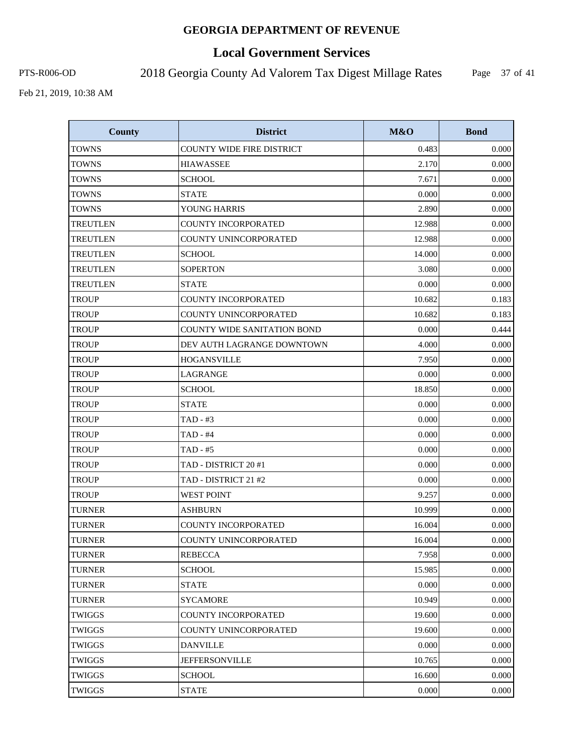# **Local Government Services**

PTS-R006-OD 2018 Georgia County Ad Valorem Tax Digest Millage Rates

Page 37 of 41

| <b>County</b>   | <b>District</b>                    | M&O    | <b>Bond</b> |
|-----------------|------------------------------------|--------|-------------|
| <b>TOWNS</b>    | <b>COUNTY WIDE FIRE DISTRICT</b>   | 0.483  | 0.000       |
| <b>TOWNS</b>    | <b>HIAWASSEE</b>                   | 2.170  | 0.000       |
| <b>TOWNS</b>    | <b>SCHOOL</b>                      | 7.671  | 0.000       |
| <b>TOWNS</b>    | <b>STATE</b>                       | 0.000  | 0.000       |
| TOWNS           | YOUNG HARRIS                       | 2.890  | 0.000       |
| TREUTLEN        | COUNTY INCORPORATED                | 12.988 | 0.000       |
| <b>TREUTLEN</b> | COUNTY UNINCORPORATED              | 12.988 | 0.000       |
| <b>TREUTLEN</b> | <b>SCHOOL</b>                      | 14.000 | 0.000       |
| TREUTLEN        | <b>SOPERTON</b>                    | 3.080  | 0.000       |
| <b>TREUTLEN</b> | <b>STATE</b>                       | 0.000  | 0.000       |
| <b>TROUP</b>    | COUNTY INCORPORATED                | 10.682 | 0.183       |
| <b>TROUP</b>    | COUNTY UNINCORPORATED              | 10.682 | 0.183       |
| <b>TROUP</b>    | <b>COUNTY WIDE SANITATION BOND</b> | 0.000  | 0.444       |
| <b>TROUP</b>    | DEV AUTH LAGRANGE DOWNTOWN         | 4.000  | 0.000       |
| <b>TROUP</b>    | <b>HOGANSVILLE</b>                 | 7.950  | 0.000       |
| <b>TROUP</b>    | LAGRANGE                           | 0.000  | 0.000       |
| <b>TROUP</b>    | <b>SCHOOL</b>                      | 18.850 | 0.000       |
| <b>TROUP</b>    | <b>STATE</b>                       | 0.000  | 0.000       |
| <b>TROUP</b>    | TAD - #3                           | 0.000  | 0.000       |
| <b>TROUP</b>    | $TAD - #4$                         | 0.000  | 0.000       |
| <b>TROUP</b>    | TAD - #5                           | 0.000  | 0.000       |
| <b>TROUP</b>    | TAD - DISTRICT 20 #1               | 0.000  | 0.000       |
| <b>TROUP</b>    | TAD - DISTRICT 21 #2               | 0.000  | 0.000       |
| <b>TROUP</b>    | <b>WEST POINT</b>                  | 9.257  | 0.000       |
| <b>TURNER</b>   | <b>ASHBURN</b>                     | 10.999 | 0.000       |
| <b>TURNER</b>   | <b>COUNTY INCORPORATED</b>         | 16.004 | 0.000       |
| TURNER          | COUNTY UNINCORPORATED              | 16.004 | 0.000       |
| <b>TURNER</b>   | <b>REBECCA</b>                     | 7.958  | 0.000       |
| TURNER          | <b>SCHOOL</b>                      | 15.985 | 0.000       |
| TURNER          | <b>STATE</b>                       | 0.000  | 0.000       |
| <b>TURNER</b>   | <b>SYCAMORE</b>                    | 10.949 | 0.000       |
| TWIGGS          | <b>COUNTY INCORPORATED</b>         | 19.600 | 0.000       |
| <b>TWIGGS</b>   | COUNTY UNINCORPORATED              | 19.600 | 0.000       |
| <b>TWIGGS</b>   | <b>DANVILLE</b>                    | 0.000  | 0.000       |
| TWIGGS          | <b>JEFFERSONVILLE</b>              | 10.765 | 0.000       |
| <b>TWIGGS</b>   | <b>SCHOOL</b>                      | 16.600 | 0.000       |
| <b>TWIGGS</b>   | <b>STATE</b>                       | 0.000  | 0.000       |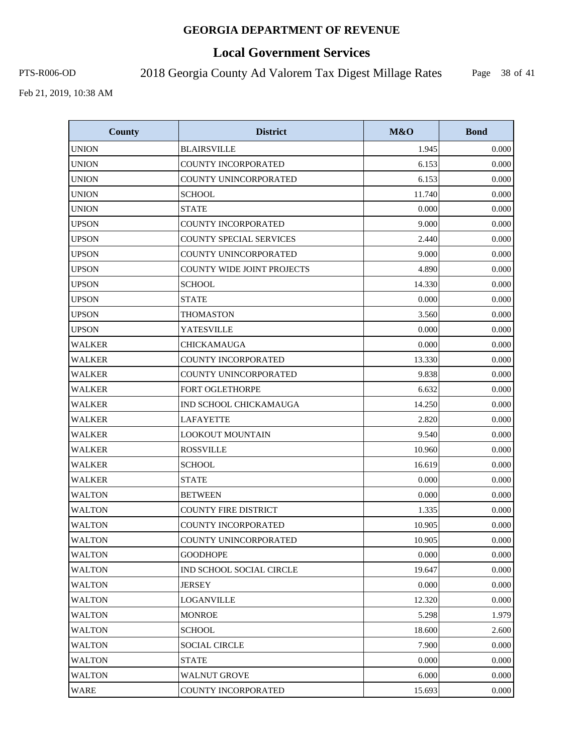# **Local Government Services**

PTS-R006-OD 2018 Georgia County Ad Valorem Tax Digest Millage Rates

Page 38 of 41

| <b>County</b> | <b>District</b>             | M&O    | <b>Bond</b> |
|---------------|-----------------------------|--------|-------------|
| <b>UNION</b>  | <b>BLAIRSVILLE</b>          | 1.945  | 0.000       |
| <b>UNION</b>  | COUNTY INCORPORATED         | 6.153  | 0.000       |
| <b>UNION</b>  | COUNTY UNINCORPORATED       | 6.153  | 0.000       |
| <b>UNION</b>  | <b>SCHOOL</b>               | 11.740 | 0.000       |
| <b>UNION</b>  | <b>STATE</b>                | 0.000  | 0.000       |
| <b>UPSON</b>  | <b>COUNTY INCORPORATED</b>  | 9.000  | 0.000       |
| <b>UPSON</b>  | COUNTY SPECIAL SERVICES     | 2.440  | 0.000       |
| <b>UPSON</b>  | COUNTY UNINCORPORATED       | 9.000  | 0.000       |
| <b>UPSON</b>  | COUNTY WIDE JOINT PROJECTS  | 4.890  | 0.000       |
| <b>UPSON</b>  | <b>SCHOOL</b>               | 14.330 | 0.000       |
| <b>UPSON</b>  | <b>STATE</b>                | 0.000  | 0.000       |
| <b>UPSON</b>  | <b>THOMASTON</b>            | 3.560  | 0.000       |
| <b>UPSON</b>  | YATESVILLE                  | 0.000  | 0.000       |
| <b>WALKER</b> | CHICKAMAUGA                 | 0.000  | 0.000       |
| <b>WALKER</b> | <b>COUNTY INCORPORATED</b>  | 13.330 | 0.000       |
| <b>WALKER</b> | COUNTY UNINCORPORATED       | 9.838  | 0.000       |
| <b>WALKER</b> | FORT OGLETHORPE             | 6.632  | 0.000       |
| <b>WALKER</b> | IND SCHOOL CHICKAMAUGA      | 14.250 | 0.000       |
| <b>WALKER</b> | <b>LAFAYETTE</b>            | 2.820  | 0.000       |
| <b>WALKER</b> | <b>LOOKOUT MOUNTAIN</b>     | 9.540  | 0.000       |
| WALKER        | <b>ROSSVILLE</b>            | 10.960 | 0.000       |
| <b>WALKER</b> | <b>SCHOOL</b>               | 16.619 | 0.000       |
| <b>WALKER</b> | <b>STATE</b>                | 0.000  | 0.000       |
| <b>WALTON</b> | <b>BETWEEN</b>              | 0.000  | 0.000       |
| <b>WALTON</b> | <b>COUNTY FIRE DISTRICT</b> | 1.335  | 0.000       |
| <b>WALTON</b> | <b>COUNTY INCORPORATED</b>  | 10.905 | 0.000       |
| <b>WALTON</b> | COUNTY UNINCORPORATED       | 10.905 | 0.000       |
| <b>WALTON</b> | <b>GOODHOPE</b>             | 0.000  | 0.000       |
| WALTON        | IND SCHOOL SOCIAL CIRCLE    | 19.647 | 0.000       |
| <b>WALTON</b> | <b>JERSEY</b>               | 0.000  | 0.000       |
| <b>WALTON</b> | LOGANVILLE                  | 12.320 | 0.000       |
| WALTON        | <b>MONROE</b>               | 5.298  | 1.979       |
| <b>WALTON</b> | <b>SCHOOL</b>               | 18.600 | 2.600       |
| <b>WALTON</b> | <b>SOCIAL CIRCLE</b>        | 7.900  | 0.000       |
| <b>WALTON</b> | <b>STATE</b>                | 0.000  | 0.000       |
| <b>WALTON</b> | <b>WALNUT GROVE</b>         | 6.000  | 0.000       |
| <b>WARE</b>   | COUNTY INCORPORATED         | 15.693 | 0.000       |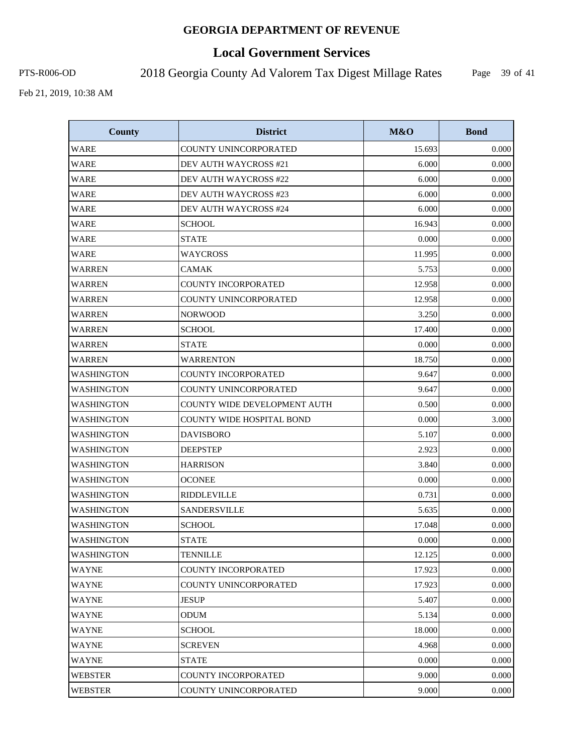# **Local Government Services**

PTS-R006-OD 2018 Georgia County Ad Valorem Tax Digest Millage Rates

Page 39 of 41

| <b>County</b>     | <b>District</b>                     | M&O    | <b>Bond</b> |
|-------------------|-------------------------------------|--------|-------------|
| WARE              | COUNTY UNINCORPORATED               | 15.693 | 0.000       |
| WARE              | DEV AUTH WAYCROSS #21               | 6.000  | 0.000       |
| WARE              | DEV AUTH WAYCROSS #22               | 6.000  | 0.000       |
| <b>WARE</b>       | DEV AUTH WAYCROSS #23               | 6.000  | 0.000       |
| WARE              | DEV AUTH WAYCROSS #24               | 6.000  | 0.000       |
| <b>WARE</b>       | <b>SCHOOL</b>                       | 16.943 | 0.000       |
| <b>WARE</b>       | <b>STATE</b>                        | 0.000  | 0.000       |
| <b>WARE</b>       | <b>WAYCROSS</b>                     | 11.995 | 0.000       |
| WARREN            | CAMAK                               | 5.753  | 0.000       |
| <b>WARREN</b>     | <b>COUNTY INCORPORATED</b>          | 12.958 | 0.000       |
| <b>WARREN</b>     | COUNTY UNINCORPORATED               | 12.958 | 0.000       |
| <b>WARREN</b>     | <b>NORWOOD</b>                      | 3.250  | 0.000       |
| WARREN            | <b>SCHOOL</b>                       | 17.400 | 0.000       |
| <b>WARREN</b>     | <b>STATE</b>                        | 0.000  | 0.000       |
| WARREN            | <b>WARRENTON</b>                    | 18.750 | 0.000       |
| WASHINGTON        | <b>COUNTY INCORPORATED</b>          | 9.647  | 0.000       |
| <b>WASHINGTON</b> | COUNTY UNINCORPORATED               | 9.647  | 0.000       |
| WASHINGTON        | <b>COUNTY WIDE DEVELOPMENT AUTH</b> | 0.500  | 0.000       |
| <b>WASHINGTON</b> | <b>COUNTY WIDE HOSPITAL BOND</b>    | 0.000  | 3.000       |
| <b>WASHINGTON</b> | <b>DAVISBORO</b>                    | 5.107  | 0.000       |
| <b>WASHINGTON</b> | <b>DEEPSTEP</b>                     | 2.923  | 0.000       |
| WASHINGTON        | <b>HARRISON</b>                     | 3.840  | 0.000       |
| <b>WASHINGTON</b> | <b>OCONEE</b>                       | 0.000  | 0.000       |
| <b>WASHINGTON</b> | <b>RIDDLEVILLE</b>                  | 0.731  | 0.000       |
| <b>WASHINGTON</b> | <b>SANDERSVILLE</b>                 | 5.635  | 0.000       |
| <b>WASHINGTON</b> | <b>SCHOOL</b>                       | 17.048 | 0.000       |
| WASHINGTON        | <b>STATE</b>                        | 0.000  | 0.000       |
| <b>WASHINGTON</b> | <b>TENNILLE</b>                     | 12.125 | 0.000       |
| <b>WAYNE</b>      | <b>COUNTY INCORPORATED</b>          | 17.923 | 0.000       |
| <b>WAYNE</b>      | COUNTY UNINCORPORATED               | 17.923 | 0.000       |
| <b>WAYNE</b>      | <b>JESUP</b>                        | 5.407  | 0.000       |
| WAYNE             | <b>ODUM</b>                         | 5.134  | 0.000       |
| WAYNE             | <b>SCHOOL</b>                       | 18.000 | 0.000       |
| WAYNE             | <b>SCREVEN</b>                      | 4.968  | 0.000       |
| WAYNE             | <b>STATE</b>                        | 0.000  | 0.000       |
| <b>WEBSTER</b>    | COUNTY INCORPORATED                 | 9.000  | 0.000       |
| <b>WEBSTER</b>    | COUNTY UNINCORPORATED               | 9.000  | 0.000       |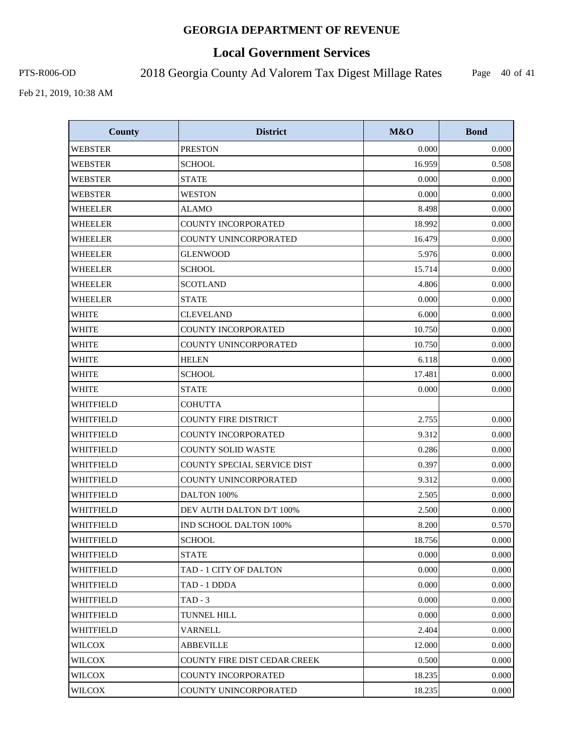# **Local Government Services**

PTS-R006-OD 2018 Georgia County Ad Valorem Tax Digest Millage Rates

Page 40 of 41

| <b>County</b>  | <b>District</b>              | M&O    | <b>Bond</b> |
|----------------|------------------------------|--------|-------------|
| <b>WEBSTER</b> | <b>PRESTON</b>               | 0.000  | 0.000       |
| <b>WEBSTER</b> | <b>SCHOOL</b>                | 16.959 | 0.508       |
| <b>WEBSTER</b> | <b>STATE</b>                 | 0.000  | 0.000       |
| <b>WEBSTER</b> | <b>WESTON</b>                | 0.000  | 0.000       |
| <b>WHEELER</b> | <b>ALAMO</b>                 | 8.498  | 0.000       |
| <b>WHEELER</b> | COUNTY INCORPORATED          | 18.992 | 0.000       |
| <b>WHEELER</b> | COUNTY UNINCORPORATED        | 16.479 | 0.000       |
| <b>WHEELER</b> | <b>GLENWOOD</b>              | 5.976  | 0.000       |
| WHEELER        | <b>SCHOOL</b>                | 15.714 | 0.000       |
| WHEELER        | <b>SCOTLAND</b>              | 4.806  | 0.000       |
| <b>WHEELER</b> | <b>STATE</b>                 | 0.000  | 0.000       |
| <b>WHITE</b>   | <b>CLEVELAND</b>             | 6.000  | 0.000       |
| <b>WHITE</b>   | <b>COUNTY INCORPORATED</b>   | 10.750 | 0.000       |
| <b>WHITE</b>   | COUNTY UNINCORPORATED        | 10.750 | 0.000       |
| <b>WHITE</b>   | <b>HELEN</b>                 | 6.118  | 0.000       |
| <b>WHITE</b>   | <b>SCHOOL</b>                | 17.481 | 0.000       |
| <b>WHITE</b>   | <b>STATE</b>                 | 0.000  | 0.000       |
| WHITFIELD      | <b>COHUTTA</b>               |        |             |
| WHITFIELD      | <b>COUNTY FIRE DISTRICT</b>  | 2.755  | 0.000       |
| WHITFIELD      | COUNTY INCORPORATED          | 9.312  | 0.000       |
| WHITFIELD      | COUNTY SOLID WASTE           | 0.286  | 0.000       |
| WHITFIELD      | COUNTY SPECIAL SERVICE DIST  | 0.397  | 0.000       |
| WHITFIELD      | COUNTY UNINCORPORATED        | 9.312  | 0.000       |
| WHITFIELD      | DALTON 100%                  | 2.505  | 0.000       |
| WHITFIELD      | DEV AUTH DALTON D/T 100%     | 2.500  | 0.000       |
| WHITFIELD      | IND SCHOOL DALTON 100%       | 8.200  | 0.570       |
| WHITFIELD      | <b>SCHOOL</b>                | 18.756 | 0.000       |
| WHITFIELD      | <b>STATE</b>                 | 0.000  | 0.000       |
| WHITFIELD      | TAD - 1 CITY OF DALTON       | 0.000  | 0.000       |
| WHITFIELD      | TAD - 1 DDDA                 | 0.000  | 0.000       |
| WHITFIELD      | $TAD - 3$                    | 0.000  | 0.000       |
| WHITFIELD      | TUNNEL HILL                  | 0.000  | 0.000       |
| WHITFIELD      | <b>VARNELL</b>               | 2.404  | 0.000       |
| WILCOX         | <b>ABBEVILLE</b>             | 12.000 | 0.000       |
| WILCOX         | COUNTY FIRE DIST CEDAR CREEK | 0.500  | 0.000       |
| <b>WILCOX</b>  | <b>COUNTY INCORPORATED</b>   | 18.235 | 0.000       |
| <b>WILCOX</b>  | COUNTY UNINCORPORATED        | 18.235 | 0.000       |